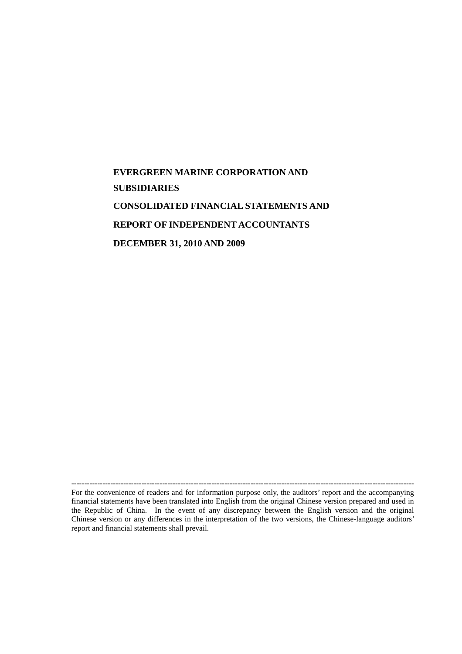# **EVERGREEN MARINE CORPORATION AND SUBSIDIARIES CONSOLIDATED FINANCIAL STATEMENTS AND REPORT OF INDEPENDENT ACCOUNTANTS DECEMBER 31, 2010 AND 2009**

------------------------------------------------------------------------------------------------------------------------------------ For the convenience of readers and for information purpose only, the auditors' report and the accompanying financial statements have been translated into English from the original Chinese version prepared and used in the Republic of China. In the event of any discrepancy between the English version and the original Chinese version or any differences in the interpretation of the two versions, the Chinese-language auditors' report and financial statements shall prevail.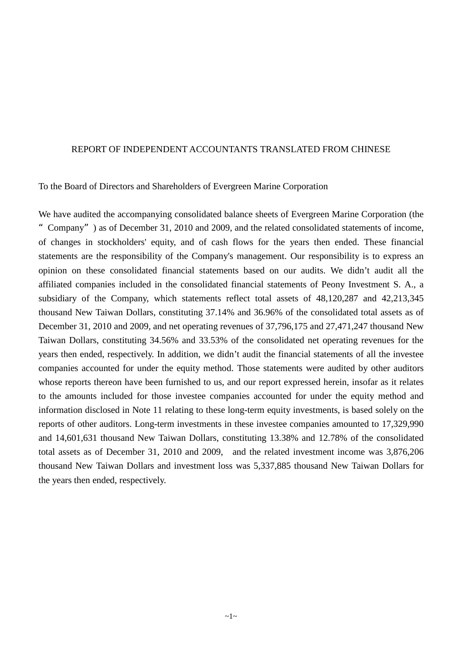#### REPORT OF INDEPENDENT ACCOUNTANTS TRANSLATED FROM CHINESE

To the Board of Directors and Shareholders of Evergreen Marine Corporation

We have audited the accompanying consolidated balance sheets of Evergreen Marine Corporation (the "Company") as of December 31, 2010 and 2009, and the related consolidated statements of income, of changes in stockholders' equity, and of cash flows for the years then ended. These financial statements are the responsibility of the Company's management. Our responsibility is to express an opinion on these consolidated financial statements based on our audits. We didn't audit all the affiliated companies included in the consolidated financial statements of Peony Investment S. A., a subsidiary of the Company, which statements reflect total assets of 48,120,287 and 42,213,345 thousand New Taiwan Dollars, constituting 37.14% and 36.96% of the consolidated total assets as of December 31, 2010 and 2009, and net operating revenues of 37,796,175 and 27,471,247 thousand New Taiwan Dollars, constituting 34.56% and 33.53% of the consolidated net operating revenues for the years then ended, respectively. In addition, we didn't audit the financial statements of all the investee companies accounted for under the equity method. Those statements were audited by other auditors whose reports thereon have been furnished to us, and our report expressed herein, insofar as it relates to the amounts included for those investee companies accounted for under the equity method and information disclosed in Note 11 relating to these long-term equity investments, is based solely on the reports of other auditors. Long-term investments in these investee companies amounted to 17,329,990 and 14,601,631 thousand New Taiwan Dollars, constituting 13.38% and 12.78% of the consolidated total assets as of December 31, 2010 and 2009, and the related investment income was 3,876,206 thousand New Taiwan Dollars and investment loss was 5,337,885 thousand New Taiwan Dollars for the years then ended, respectively.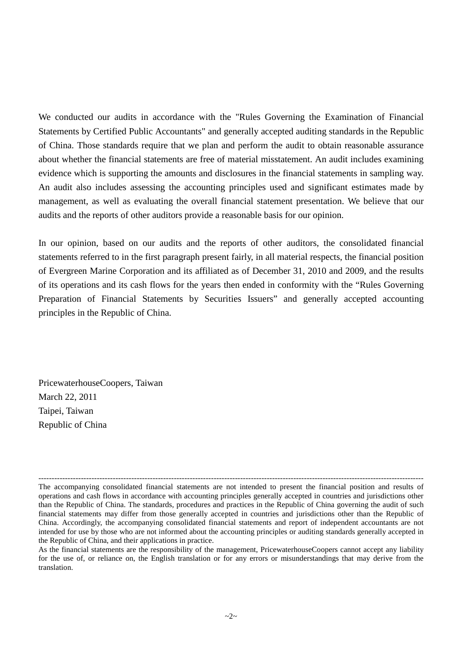We conducted our audits in accordance with the "Rules Governing the Examination of Financial Statements by Certified Public Accountants" and generally accepted auditing standards in the Republic of China. Those standards require that we plan and perform the audit to obtain reasonable assurance about whether the financial statements are free of material misstatement. An audit includes examining evidence which is supporting the amounts and disclosures in the financial statements in sampling way. An audit also includes assessing the accounting principles used and significant estimates made by management, as well as evaluating the overall financial statement presentation. We believe that our audits and the reports of other auditors provide a reasonable basis for our opinion.

In our opinion, based on our audits and the reports of other auditors, the consolidated financial statements referred to in the first paragraph present fairly, in all material respects, the financial position of Evergreen Marine Corporation and its affiliated as of December 31, 2010 and 2009, and the results of its operations and its cash flows for the years then ended in conformity with the "Rules Governing Preparation of Financial Statements by Securities Issuers" and generally accepted accounting principles in the Republic of China.

PricewaterhouseCoopers, Taiwan March 22, 2011 Taipei, Taiwan Republic of China

<sup>-------------------------------------------------------------------------------------------------------------------------------------------------</sup> The accompanying consolidated financial statements are not intended to present the financial position and results of operations and cash flows in accordance with accounting principles generally accepted in countries and jurisdictions other than the Republic of China. The standards, procedures and practices in the Republic of China governing the audit of such financial statements may differ from those generally accepted in countries and jurisdictions other than the Republic of China. Accordingly, the accompanying consolidated financial statements and report of independent accountants are not intended for use by those who are not informed about the accounting principles or auditing standards generally accepted in the Republic of China, and their applications in practice.

As the financial statements are the responsibility of the management, PricewaterhouseCoopers cannot accept any liability for the use of, or reliance on, the English translation or for any errors or misunderstandings that may derive from the translation.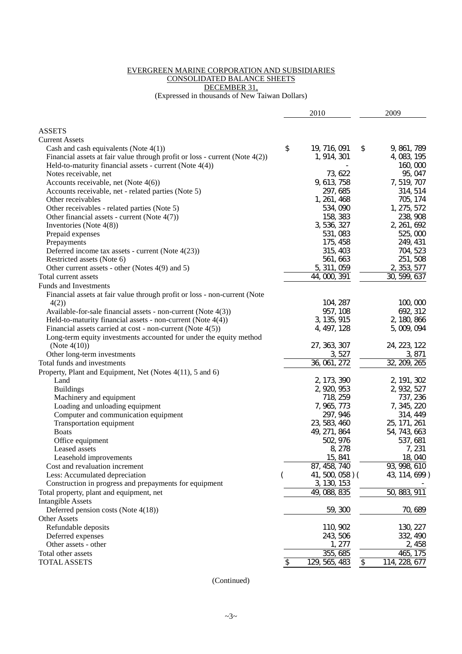#### EVERGREEN MARINE CORPORATION AND SUBSIDIARIES CONSOLIDATED BALANCE SHEETS DECEMBER 31,

(Expressed in thousands of New Taiwan Dollars)

|                                                                                | 2010                | 2009                       |
|--------------------------------------------------------------------------------|---------------------|----------------------------|
|                                                                                |                     |                            |
| <b>ASSETS</b><br><b>Current Assets</b>                                         |                     |                            |
| Cash and cash equivalents (Note $4(1)$ )                                       | \$<br>19, 716, 091  | \$<br>9, 861, 789          |
| Financial assets at fair value through profit or loss - current (Note $4(2)$ ) | 1, 914, 301         | 4, 083, 195                |
| Held-to-maturity financial assets - current (Note $4(4)$ )                     |                     | 160,000                    |
| Notes receivable, net                                                          | 73, 622             | 95, 047                    |
| Accounts receivable, net (Note $4(6)$ )                                        | 9, 613, 758         | 7, 519, 707                |
| Accounts receivable, net - related parties (Note 5)                            | 297, 685            | 314, 514                   |
| Other receivables                                                              | 1, 261, 468         | 705, 174                   |
| Other receivables - related parties (Note 5)                                   | 534, 090            | 1, 275, 572                |
| Other financial assets - current (Note $4(7)$ )                                | 158, 383            | 238, 908                   |
|                                                                                | 3, 536, 327         | 2, 261, 692                |
| Inventories (Note $4(8)$ )                                                     | 531, 083            | 525,000                    |
| Prepaid expenses                                                               | 175, 458            |                            |
| Prepayments                                                                    | 315, 403            | 249, 431                   |
| Deferred income tax assets - current (Note $4(23)$ )                           |                     | 704, 523                   |
| Restricted assets (Note 6)                                                     | 561, 663            | 251, 508                   |
| Other current assets - other (Notes 4(9) and 5)                                | 5, 311, 059         | 2, 353, 577                |
| Total current assets                                                           | 44, 000, 391        | $\overline{30}$ , 599, 637 |
| <b>Funds and Investments</b>                                                   |                     |                            |
| Financial assets at fair value through profit or loss - non-current (Note      |                     |                            |
| 4(2)                                                                           | 104, 287            | 100,000                    |
| Available-for-sale financial assets - non-current (Note 4(3))                  | 957, 108            | 692, 312                   |
| Held-to-maturity financial assets - non-current (Note $4(4)$ )                 | 3, 135, 915         | 2, 180, 866                |
| Financial assets carried at cost - non-current (Note 4(5))                     | 4, 497, 128         | 5,009,094                  |
| Long-term equity investments accounted for under the equity method             |                     |                            |
| (Note $4(10)$ )                                                                | 27, 363, 307        | 24, 223, 122               |
| Other long-term investments                                                    | 3, 527              | 3, 871                     |
| Total funds and investments                                                    | 36, 061, 272        | 32, 209, 265               |
| Property, Plant and Equipment, Net (Notes 4(11), 5 and 6)                      |                     |                            |
| Land                                                                           | 2, 173, 390         | 2, 191, 302                |
| <b>Buildings</b>                                                               | 2, 920, 953         | 2, 932, 527                |
| Machinery and equipment                                                        | 718, 259            | 737, 236                   |
| Loading and unloading equipment                                                | 7, 965, 773         | 7, 345, 220                |
| Computer and communication equipment                                           | 297, 946            | 314, 449                   |
| Transportation equipment                                                       | 23, 583, 460        | 25, 171, 261               |
| <b>Boats</b>                                                                   | 49, 271, 864        | 54, 743, 663               |
| Office equipment                                                               | 502, 976            | 537, 681                   |
| Leased assets                                                                  | 8, 278              | 7, 231                     |
| Leasehold improvements                                                         | 15, 841             | 18,040                     |
| Cost and revaluation increment                                                 | 87, 458, 740        | 93, 998, 610               |
| Less: Accumulated depreciation                                                 | 41, 500, 058) (     | 43, 114, 699)              |
| Construction in progress and prepayments for equipment                         | 3, 130, 153         |                            |
| Total property, plant and equipment, net                                       | 49, 088, 835        | 50, 883, 911               |
| <b>Intangible Assets</b>                                                       |                     |                            |
| Deferred pension costs (Note 4(18))                                            | 59, 300             | 70, 689                    |
| <b>Other Assets</b>                                                            |                     |                            |
| Refundable deposits                                                            | 110, 902            | 130, 227                   |
| Deferred expenses                                                              | 243, 506            | 332, 490                   |
| Other assets - other                                                           | 277                 | 2, 458                     |
| Total other assets                                                             | 355, 685            | 175<br>465,                |
| <b>TOTAL ASSETS</b>                                                            | \$<br>129, 565, 483 | \$<br>114, 228, 677        |

(Continued)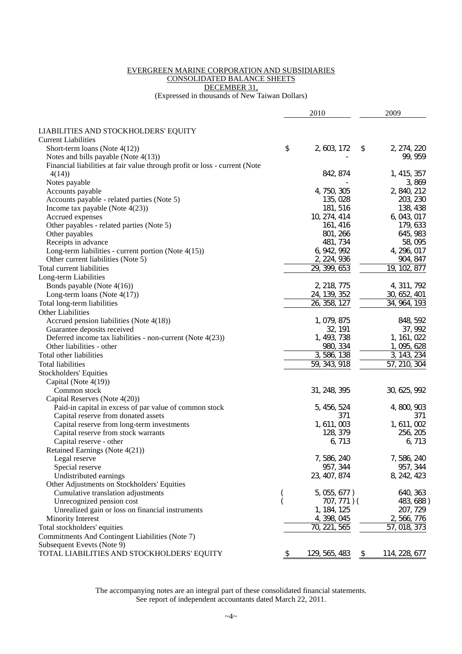#### EVERGREEN MARINE CORPORATION AND SUBSIDIARIES CONSOLIDATED BALANCE SHEETS DECEMBER 31,

(Expressed in thousands of New Taiwan Dollars)

|                                                                            |    | 2010          | 2009                |
|----------------------------------------------------------------------------|----|---------------|---------------------|
|                                                                            |    |               |                     |
| LIABILITIES AND STOCKHOLDERS' EQUITY                                       |    |               |                     |
| <b>Current Liabilities</b>                                                 |    |               |                     |
| Short-term loans (Note $4(12)$ )                                           | \$ | 2, 603, 172   | \$<br>2, 274, 220   |
| Notes and bills payable (Note $4(13)$ )                                    |    |               | 99, 959             |
| Financial liabilities at fair value through profit or loss - current (Note |    |               |                     |
| 4(14)                                                                      |    | 842, 874      | 1, 415, 357         |
| Notes payable                                                              |    |               | 3,869               |
| Accounts payable                                                           |    | 4, 750, 305   | 2, 840, 212         |
| Accounts payable - related parties (Note 5)                                |    | 135, 028      | 203, 230            |
| Income tax payable (Note $4(23)$ )                                         |    | 181, 516      | 138, 438            |
| Accrued expenses                                                           |    | 10, 274, 414  | 6, 043, 017         |
| Other payables - related parties (Note 5)                                  |    | 161, 416      | 179, 633            |
| Other payables                                                             |    | 801, 266      | 645, 983            |
| Receipts in advance                                                        |    | 481, 734      | 58,095              |
| Long-term liabilities - current portion (Note $4(15)$ )                    |    | 6, 942, 992   | 4, 296, 017         |
| Other current liabilities (Note 5)                                         |    | 2, 224, 936   | 904, 847            |
| Total current liabilities                                                  |    | 29, 399, 653  | 19, 102, 877        |
| Long-term Liabilities                                                      |    |               |                     |
| Bonds payable (Note 4(16))                                                 |    | 2, 218, 775   | 4, 311, 792         |
| Long-term loans (Note $4(17)$ )                                            |    | 24, 139, 352  | 30, 652, 401        |
| Total long-term liabilities                                                |    | 26, 358, 127  | 34, 964, 193        |
| Other Liabilities                                                          |    |               |                     |
| Accrued pension liabilities (Note 4(18))                                   |    | 1, 079, 875   | 848, 592            |
| Guarantee deposits received                                                |    | 32, 191       | 37, 992             |
| Deferred income tax liabilities - non-current (Note 4(23))                 |    | 1, 493, 738   | 1, 161, 022         |
| Other liabilities - other                                                  |    | 980, 334      | 1, 095, 628         |
| Total other liabilities                                                    |    | 3, 586, 138   | 3, 143, 234         |
| Total liabilities                                                          |    | 59, 343, 918  | 57, 210, 304        |
| <b>Stockholders' Equities</b>                                              |    |               |                     |
| Capital (Note 4(19))                                                       |    |               |                     |
| Common stock                                                               |    | 31, 248, 395  | 30, 625, 992        |
| Capital Reserves (Note 4(20))                                              |    |               |                     |
| Paid-in capital in excess of par value of common stock                     |    | 5, 456, 524   | 4, 800, 903         |
| Capital reserve from donated assets                                        |    | 371           | 371                 |
| Capital reserve from long-term investments                                 |    | 1, 611, 003   | 1, 611, 002         |
| Capital reserve from stock warrants                                        |    | 128, 379      | 256, 205            |
| Capital reserve - other                                                    |    | 6, 713        | 6, 713              |
| Retained Earnings (Note 4(21))                                             |    |               |                     |
| Legal reserve                                                              |    | 7, 586, 240   | 7, 586, 240         |
| Special reserve                                                            |    | 957, 344      | 957, 344            |
| Undistributed earnings                                                     |    | 23, 407, 874  | 8, 242, 423         |
| Other Adjustments on Stockholders' Equities                                |    |               |                     |
| Cumulative translation adjustments                                         |    | 5, 055, 677)  | 640, 363            |
| Unrecognized pension cost                                                  |    | 707, 771) (   | 483, 688)           |
| Unrealized gain or loss on financial instruments                           |    | 1, 184, 125   | 207, 729            |
| Minority Interest                                                          |    | 4, 398, 045   | 2, 566, 776         |
| Total stockholders' equities                                               |    | 70, 221, 565  | 57, 018, 373        |
| Commitments And Contingent Liabilities (Note 7)                            |    |               |                     |
| Subsequent Evevts (Note 9)                                                 |    |               |                     |
| TOTAL LIABILITIES AND STOCKHOLDERS' EQUITY                                 | P  | 129, 565, 483 | \$<br>114, 228, 677 |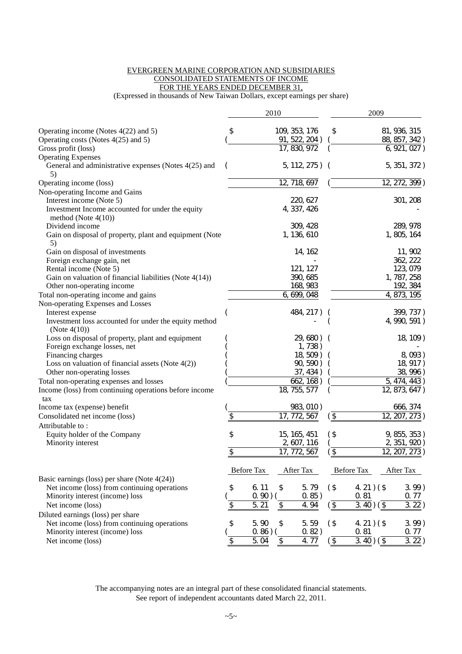#### EVERGREEN MARINE CORPORATION AND SUBSIDIARIES CONSOLIDATED STATEMENTS OF INCOME FOR THE YEARS ENDED DECEMBER 31,

(Expressed in thousands of New Taiwan Dollars, except earnings per share)

|                                                                                              |                 | 2010              |                            |                          | 2009                                  |               |           |
|----------------------------------------------------------------------------------------------|-----------------|-------------------|----------------------------|--------------------------|---------------------------------------|---------------|-----------|
| Operating income (Notes $4(22)$ and 5)                                                       | \$              |                   | 109, 353, 176              | \$                       |                                       | 81, 936, 315  |           |
| Operating costs (Notes 4(25) and 5)                                                          |                 |                   | 91, 522, 204)              |                          |                                       | 88, 857, 342) |           |
| Gross profit (loss)                                                                          |                 |                   | $\overline{17}$ , 830, 972 |                          |                                       | 6, 921, 027)  |           |
| <b>Operating Expenses</b>                                                                    |                 |                   |                            |                          |                                       |               |           |
| General and administrative expenses (Notes 4(25) and<br>5)                                   |                 |                   | 5, 112, 275) (             |                          |                                       | 5, 351, 372)  |           |
| Operating income (loss)                                                                      |                 |                   | 12, 718, 697               |                          |                                       | 12, 272, 399) |           |
| Non-operating Income and Gains                                                               |                 |                   |                            |                          |                                       |               |           |
| Interest income (Note 5)                                                                     |                 |                   | 220, 627                   |                          |                                       |               | 301, 208  |
| Investment Income accounted for under the equity<br>method (Note $4(10)$ )                   |                 |                   | 4, 337, 426                |                          |                                       |               |           |
| Dividend income                                                                              |                 |                   | 309, 428                   |                          |                                       |               | 289, 978  |
| Gain on disposal of property, plant and equipment (Note<br>5)                                |                 |                   | 1, 136, 610                |                          |                                       | 1, 805, 164   |           |
| Gain on disposal of investments                                                              |                 |                   | 14, 162                    |                          |                                       |               | 11, 902   |
| Foreign exchange gain, net                                                                   |                 |                   |                            |                          |                                       |               | 362, 222  |
| Rental income (Note 5)                                                                       |                 |                   | 121, 127                   |                          |                                       |               | 123, 079  |
| Gain on valuation of financial liabilities (Note $4(14)$ )                                   |                 |                   | 390, 685                   |                          |                                       | 1, 787, 258   |           |
| Other non-operating income                                                                   |                 |                   | 168, 983                   |                          |                                       |               | 192, 384  |
| Total non-operating income and gains                                                         |                 |                   | 6, 699, 048                |                          |                                       | 4, 873, 195   |           |
| Non-operating Expenses and Losses                                                            |                 |                   |                            |                          |                                       |               |           |
| Interest expense<br>Investment loss accounted for under the equity method<br>(Note $4(10)$ ) |                 |                   | 484, 217)                  |                          |                                       | 4, 990, 591)  | 399, 737) |
| Loss on disposal of property, plant and equipment                                            |                 |                   | 29,680)                    |                          |                                       |               | 18, 109)  |
| Foreign exchange losses, net                                                                 |                 |                   | 1,738)                     |                          |                                       |               |           |
| Financing charges                                                                            |                 |                   | 18, 509)                   |                          |                                       |               | 8,093)    |
| Loss on valuation of financial assets (Note $4(2)$ )                                         |                 |                   | 90, 590)                   |                          |                                       |               | 18, 917)  |
| Other non-operating losses                                                                   |                 |                   | 37, 434)                   |                          |                                       |               | 38, 996)  |
| Total non-operating expenses and losses                                                      |                 |                   | 662, 168)                  |                          |                                       | 5, 474, 443)  |           |
| Income (loss) from continuing operations before income<br>tax                                |                 |                   | 18, 755, 577               |                          |                                       | 12, 873, 647) |           |
| Income tax (expense) benefit                                                                 |                 |                   | 983, 010)                  |                          |                                       |               | 666, 374  |
| Consolidated net income (loss)                                                               | \$              |                   | 17, 772, 567               | $\overline{\mathcal{F}}$ |                                       | 12, 207, 273  |           |
| Attributable to:                                                                             |                 |                   |                            |                          |                                       |               |           |
| Equity holder of the Company                                                                 | \$              |                   | 15, 165, 451               | (\$                      |                                       | 9, 855, 353)  |           |
| Minority interest                                                                            |                 |                   | 2, 607, 116                |                          |                                       | 2, 351, 920)  |           |
|                                                                                              | \$              |                   | 17, 772, 567               | $\updownarrow$           |                                       | 12, 207, 273) |           |
| Basic earnings (loss) per share (Note $4(24)$ )                                              |                 | <b>Before Tax</b> | After Tax                  |                          | <b>Before Tax</b>                     | After Tax     |           |
| Net income (loss) from continuing operations                                                 | \$              | 6.11              | \$<br>5.79                 | $($ \$                   | 4. 21) $($ \$                         |               | $3.99$ )  |
| Minority interest (income) loss                                                              |                 | 0.90)             | 0.85)                      |                          | 0.81                                  |               | 0.77      |
| Net income (loss)                                                                            | \$              | 5.21              | \$<br>4.94                 | $\overline{\mathcal{F}}$ | $\overline{3.40}$ ) ( $\overline{\$}$ |               | 3.22)     |
| Diluted earnings (loss) per share                                                            |                 |                   |                            |                          |                                       |               |           |
| Net income (loss) from continuing operations                                                 | \$              | 5.90              | \$<br>5.59                 | $($ \$                   | 4. 21) $($ \$                         |               | $3.99$ )  |
| Minority interest (income) loss                                                              |                 | 0.86)             | 0.82)                      |                          | 0.81                                  |               | 0.77      |
| Net income (loss)                                                                            | $\overline{\$}$ | 5.04              | \$<br>4.77                 | $\sqrt{3}$               | $\overline{3.40}$ ) (\$               |               | 3.22)     |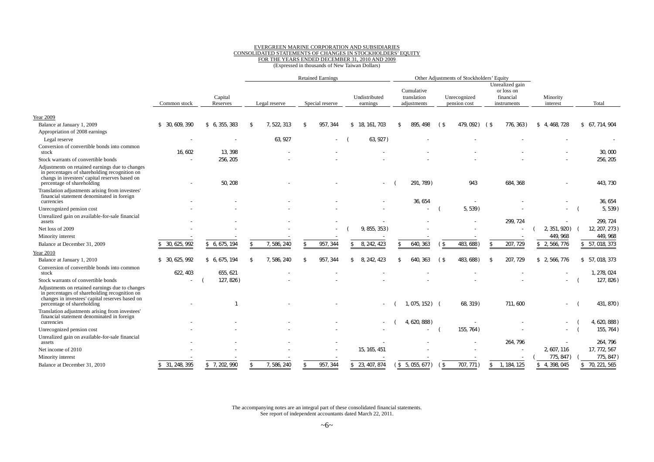#### EVERGREEN MARINE CORPORATION AND SUBSIDIARIES CONSOLIDATED STATEMENTS OF CHANGES IN STOCKHOLDERS' EQUITY FOR THE YEARS ENDED DECEMBER 31, 2010 AND 2009 (Expressed in thousands of New Taiwan Dollars)

|                                                                                                                                                                                   | <b>Retained Earnings</b>            |                   |               |             | Other Adjustments of Stockholders' Equity |   |                           |     |                                          |      |                              |              |                                                           |                      |  |                 |
|-----------------------------------------------------------------------------------------------------------------------------------------------------------------------------------|-------------------------------------|-------------------|---------------|-------------|-------------------------------------------|---|---------------------------|-----|------------------------------------------|------|------------------------------|--------------|-----------------------------------------------------------|----------------------|--|-----------------|
|                                                                                                                                                                                   | Capital<br>Reserves<br>Common stock |                   | Legal reserve |             | Special reserve                           |   | Undistributed<br>earnings |     | Cumulative<br>translation<br>adjustments |      | Unrecognized<br>pension cost |              | Unrealized gain<br>or loss on<br>financial<br>instruments | Minority<br>interest |  | Total           |
|                                                                                                                                                                                   |                                     |                   |               |             |                                           |   |                           |     |                                          |      |                              |              |                                                           |                      |  |                 |
| <b>Year 2009</b>                                                                                                                                                                  |                                     |                   |               |             |                                           |   |                           |     |                                          |      |                              |              |                                                           |                      |  |                 |
| Balance at January 1, 2009                                                                                                                                                        | 30, 609, 390<br>\$                  | 6, 355, 383<br>\$ | \$            | 7, 522, 313 | 957, 344<br>$\mathfrak{F}$                |   | \$18, 161, 703            | . ፍ | 895, 498                                 | (\$  | 479,092) (\$                 |              | 776, 363)                                                 | 4, 468, 728<br>\$    |  | \$ 67, 714, 904 |
| Appropriation of 2008 earnings                                                                                                                                                    |                                     |                   |               |             |                                           |   |                           |     |                                          |      |                              |              |                                                           |                      |  |                 |
| Legal reserve                                                                                                                                                                     |                                     |                   |               | 63, 927     | $\overline{\phantom{a}}$                  |   | 63, 927)                  |     |                                          |      |                              |              |                                                           |                      |  |                 |
| Conversion of convertible bonds into common<br>stock                                                                                                                              | 16.602                              | 13.398            |               |             |                                           |   |                           |     |                                          |      |                              |              |                                                           |                      |  | 30,000          |
| Stock warrants of convertible bonds                                                                                                                                               |                                     | 256, 205          |               |             |                                           |   |                           |     |                                          |      |                              |              |                                                           |                      |  | 256, 205        |
| Adjustments on retained earnings due to changes<br>in percentages of shareholding recognition on<br>changs in investees' capital reserves based on<br>percentage of shareholding  |                                     | 50, 208           |               |             |                                           |   |                           |     | 291, 789)                                |      | 943                          |              | 684, 368                                                  |                      |  | 443, 730        |
| Translation adjustments arising from investees'<br>financial statement denominated in foreign<br>currencies                                                                       |                                     |                   |               |             |                                           |   |                           |     | 36, 654                                  |      |                              |              |                                                           |                      |  | 36, 654         |
| Unrecognized pension cost                                                                                                                                                         |                                     |                   |               |             |                                           |   |                           |     |                                          |      | 5, 539)                      |              |                                                           |                      |  | 5, 539)         |
| Unrealized gain on available-for-sale financial                                                                                                                                   |                                     |                   |               |             |                                           |   |                           |     |                                          |      |                              |              |                                                           |                      |  |                 |
| assets                                                                                                                                                                            |                                     |                   |               |             |                                           |   |                           |     |                                          |      |                              |              | 299.724                                                   |                      |  | 299.724         |
| Net loss of 2009                                                                                                                                                                  |                                     |                   |               |             |                                           |   | 9, 855, 353)              |     |                                          |      |                              |              |                                                           | 2, 351, 920)         |  | 12, 207, 273)   |
| Minority interest                                                                                                                                                                 |                                     |                   |               |             |                                           |   |                           |     |                                          |      |                              |              |                                                           | 449, 968             |  | 449, 968        |
| Balance at December 31, 2009                                                                                                                                                      | 30, 625, 992                        | 6, 675, 194       |               | 7.586.240   | 957, 344                                  |   | 8, 242, 423               |     | 640, 363                                 | ΄ \$ | 483, 688                     |              | 207, 729                                                  | 2, 566, 776          |  | \$ 57, 018, 373 |
| Year 2010                                                                                                                                                                         |                                     |                   |               |             |                                           |   |                           |     |                                          |      |                              |              |                                                           |                      |  |                 |
| Balance at January 1, 2010                                                                                                                                                        | 30, 625, 992<br>\$                  | \$ 6, 675, 194    |               | 7, 586, 240 | 957, 344                                  | ፍ | 8, 242, 423               |     | 640<br>363                               | (\$  | 483.688)                     | -\$          | 207, 729                                                  | \$ 2,566,776         |  | \$ 57,018,373   |
| Conversion of convertible bonds into common<br>stock                                                                                                                              | 622, 403                            | 655.621           |               |             |                                           |   |                           |     |                                          |      |                              |              |                                                           |                      |  | 1.278.024       |
| Stock warrants of convertible bonds                                                                                                                                               |                                     | 127, 826)         |               |             |                                           |   |                           |     |                                          |      |                              |              |                                                           |                      |  | 127, 826)       |
| Adjustments on retained earnings due to changes<br>in percentages of shareholding recognition on<br>changes in investees' capital reserves based on<br>percentage of shareholding |                                     |                   |               |             |                                           |   |                           |     | 1, 075, 152) (                           |      | 68, 319)                     |              | 711, 600                                                  |                      |  | 431, 870)       |
| Translation adjustments arising from investees'<br>financial statement denominated in foreign<br>currencies                                                                       |                                     |                   |               |             |                                           |   |                           |     | 4, 620, 888)                             |      |                              |              |                                                           |                      |  | 4, 620, 888)    |
| Unrecognized pension cost                                                                                                                                                         |                                     |                   |               |             |                                           |   |                           |     |                                          |      | 155, 764)                    |              |                                                           |                      |  | 155, 764)       |
| Unrealized gain on available-for-sale financial<br>assets                                                                                                                         |                                     |                   |               |             |                                           |   |                           |     |                                          |      |                              |              | 264.796                                                   |                      |  | 264, 796        |
| Net income of 2010                                                                                                                                                                |                                     |                   |               |             |                                           |   | 15, 165, 451              |     |                                          |      |                              |              |                                                           | 2, 607, 116          |  | 17, 772, 567    |
| Minority interest                                                                                                                                                                 |                                     |                   |               |             |                                           |   |                           |     |                                          |      |                              |              |                                                           | 775, 847)            |  | 775, 847)       |
| Balance at December 31, 2010                                                                                                                                                      | \$ 31, 248, 395                     | \$7, 202, 990     | \$            | 7, 586, 240 | 957, 344<br>$\mathcal{L}$                 |   | \$ 23, 407, 874           |     | (S, 5, 055, 677)                         | (\$  | 707.771)                     | $\mathbb{S}$ | 1.184.125                                                 | 4.398.045<br>\$      |  | \$70, 221, 565  |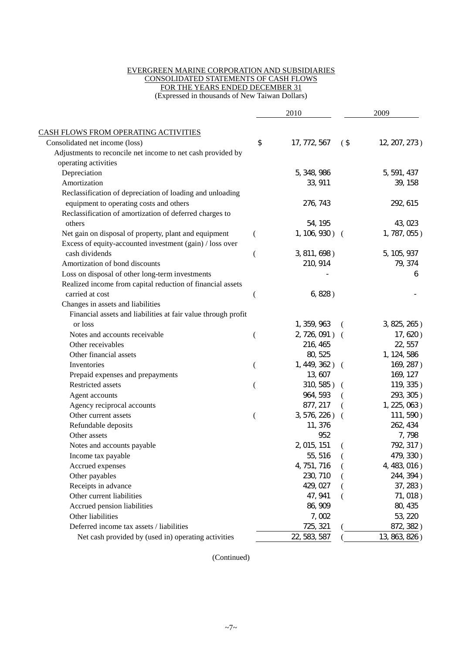#### EVERGREEN MARINE CORPORATION AND SUBSIDIARIES CONSOLIDATED STATEMENTS OF CASH FLOWS FOR THE YEARS ENDED DECEMBER 31

(Expressed in thousands of New Taiwan Dollars)

|                                                               |    | 2010           |        | 2009            |
|---------------------------------------------------------------|----|----------------|--------|-----------------|
| CASH FLOWS FROM OPERATING ACTIVITIES                          |    |                |        |                 |
| Consolidated net income (loss)                                | \$ | 17, 772, 567   | $($ \$ | 12, 207, 273)   |
| Adjustments to reconcile net income to net cash provided by   |    |                |        |                 |
| operating activities                                          |    |                |        |                 |
| Depreciation                                                  |    | 5, 348, 986    |        | 5, 591, 437     |
| Amortization                                                  |    | 33, 911        |        | 39, 158         |
| Reclassification of depreciation of loading and unloading     |    |                |        |                 |
| equipment to operating costs and others                       |    | 276, 743       |        | 292, 615        |
| Reclassification of amortization of deferred charges to       |    |                |        |                 |
| others                                                        |    | 54, 195        |        | 43, 023         |
| Net gain on disposal of property, plant and equipment         |    | 1, 106, 930) ( |        | 1, 787, 055)    |
| Excess of equity-accounted investment (gain) / loss over      |    |                |        |                 |
| cash dividends                                                | (  | 3, 811, 698)   |        | 5, 105, 937     |
| Amortization of bond discounts                                |    | 210, 914       |        | 79, 374         |
| Loss on disposal of other long-term investments               |    |                |        | 6               |
| Realized income from capital reduction of financial assets    |    |                |        |                 |
| carried at cost                                               | (  | 6, 828)        |        |                 |
| Changes in assets and liabilities                             |    |                |        |                 |
| Financial assets and liabilities at fair value through profit |    |                |        |                 |
| or loss                                                       |    | 1, 359, 963    |        | 3, 825, 265)    |
| Notes and accounts receivable                                 |    | 2, 726, 091) ( |        | 17, 620)        |
| Other receivables                                             |    | 216, 465       |        | 22, 557         |
| Other financial assets                                        |    | 80, 525        |        | 1, 124, 586     |
| Inventories                                                   |    | 1, 449, 362) ( |        | 169, 287)       |
| Prepaid expenses and prepayments                              |    | 13, 607        |        | 169, 127        |
| Restricted assets                                             |    | 310, 585) (    |        | 119, 335)       |
| Agent accounts                                                |    | 964, 593       |        | 293, 305)       |
| Agency reciprocal accounts                                    |    | 877, 217       |        | $1, 225, 063$ ) |
| Other current assets                                          |    | 3, 576, 226) ( |        | 111, 590)       |
| Refundable deposits                                           |    | 11, 376        |        | 262, 434        |
| Other assets                                                  |    | 952            |        | 7,798           |
| Notes and accounts payable                                    |    | 2, 015, 151    |        | 792, 317)       |
| Income tax payable                                            |    | 55, 516        |        | 479, 330)       |
| Accrued expenses                                              |    | 4, 751, 716    |        | 4, 483, 016)    |
| Other payables                                                |    | 230, 710       |        | 244, 394)       |
| Receipts in advance                                           |    | 429, 027       |        | 37, 283)        |
| Other current liabilities                                     |    | 47, 941        |        | 71, 018)        |
| Accrued pension liabilities                                   |    | 86, 909        |        | 80, 435         |
| Other liabilities                                             |    | 7,002          |        | 53, 220         |
| Deferred income tax assets / liabilities                      |    | 725, 321       |        | 872, 382)       |
| Net cash provided by (used in) operating activities           |    | 22, 583, 587   |        | 13, 863, 826)   |

(Continued)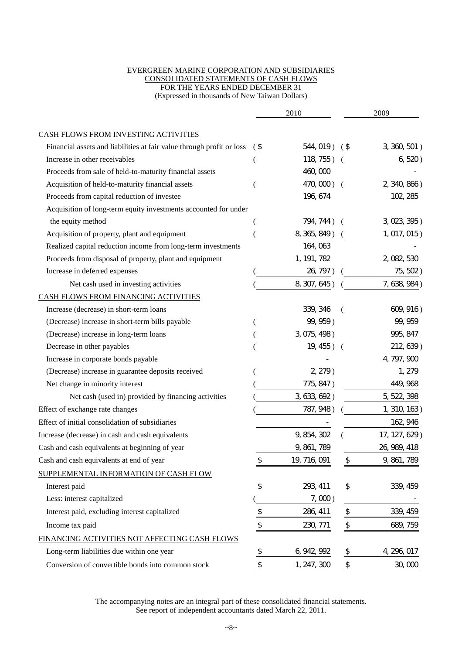#### EVERGREEN MARINE CORPORATION AND SUBSIDIARIES CONSOLIDATED STATEMENTS OF CASH FLOWS FOR THE YEARS ENDED DECEMBER 31 (Expressed in thousands of New Taiwan Dollars)

| CASH FLOWS FROM INVESTING ACTIVITIES<br>Financial assets and liabilities at fair value through profit or loss<br>3, 360, 501)<br>544, 019)<br>$($ \$<br>(\$<br>Increase in other receivables<br>118, 755)<br>6, 520)<br>$\left($<br>460,000<br>Proceeds from sale of held-to-maturity financial assets<br>Acquisition of held-to-maturity financial assets<br>470,000) (<br>$2, 340, 866$ )<br>Proceeds from capital reduction of investee<br>196, 674<br>102, 285<br>Acquisition of long-term equity investments accounted for under |
|---------------------------------------------------------------------------------------------------------------------------------------------------------------------------------------------------------------------------------------------------------------------------------------------------------------------------------------------------------------------------------------------------------------------------------------------------------------------------------------------------------------------------------------|
|                                                                                                                                                                                                                                                                                                                                                                                                                                                                                                                                       |
|                                                                                                                                                                                                                                                                                                                                                                                                                                                                                                                                       |
|                                                                                                                                                                                                                                                                                                                                                                                                                                                                                                                                       |
|                                                                                                                                                                                                                                                                                                                                                                                                                                                                                                                                       |
|                                                                                                                                                                                                                                                                                                                                                                                                                                                                                                                                       |
|                                                                                                                                                                                                                                                                                                                                                                                                                                                                                                                                       |
|                                                                                                                                                                                                                                                                                                                                                                                                                                                                                                                                       |
| the equity method<br>794, 744) (<br>3, 023, 395)                                                                                                                                                                                                                                                                                                                                                                                                                                                                                      |
| Acquisition of property, plant and equipment<br>8, 365, 849) (<br>1, 017, 015)                                                                                                                                                                                                                                                                                                                                                                                                                                                        |
| 164, 063<br>Realized capital reduction income from long-term investments                                                                                                                                                                                                                                                                                                                                                                                                                                                              |
| Proceeds from disposal of property, plant and equipment<br>1, 191, 782<br>2, 082, 530                                                                                                                                                                                                                                                                                                                                                                                                                                                 |
| Increase in deferred expenses<br>26, 797)<br>75, 502)                                                                                                                                                                                                                                                                                                                                                                                                                                                                                 |
| 8, 307, 645)<br>7, 638, 984)<br>Net cash used in investing activities                                                                                                                                                                                                                                                                                                                                                                                                                                                                 |
| CASH FLOWS FROM FINANCING ACTIVITIES                                                                                                                                                                                                                                                                                                                                                                                                                                                                                                  |
| Increase (decrease) in short-term loans<br>339, 346<br>609, 916)                                                                                                                                                                                                                                                                                                                                                                                                                                                                      |
| 99, 959)<br>99, 959<br>(Decrease) increase in short-term bills payable                                                                                                                                                                                                                                                                                                                                                                                                                                                                |
| 3, 075, 498)<br>(Decrease) increase in long-term loans<br>995, 847                                                                                                                                                                                                                                                                                                                                                                                                                                                                    |
| Decrease in other payables<br>19, 455) (<br>212, 639)                                                                                                                                                                                                                                                                                                                                                                                                                                                                                 |
| 4, 797, 900<br>Increase in corporate bonds payable                                                                                                                                                                                                                                                                                                                                                                                                                                                                                    |
| 1, 279<br>(Decrease) increase in guarantee deposits received<br>$2, 279$ )                                                                                                                                                                                                                                                                                                                                                                                                                                                            |
| Net change in minority interest<br>775, 847)<br>449, 968                                                                                                                                                                                                                                                                                                                                                                                                                                                                              |
| Net cash (used in) provided by financing activities<br>3, 633, 692)<br>5, 522, 398                                                                                                                                                                                                                                                                                                                                                                                                                                                    |
| Effect of exchange rate changes<br>787, 948)<br>1, 310, 163)                                                                                                                                                                                                                                                                                                                                                                                                                                                                          |
| Effect of initial consolidation of subsidiaries<br>162, 946                                                                                                                                                                                                                                                                                                                                                                                                                                                                           |
| 17, 127, 629)<br>Increase (decrease) in cash and cash equivalents<br>9, 854, 302                                                                                                                                                                                                                                                                                                                                                                                                                                                      |
| 9, 861, 789<br>Cash and cash equivalents at beginning of year<br>26, 989, 418                                                                                                                                                                                                                                                                                                                                                                                                                                                         |
| Cash and cash equivalents at end of year<br>\$<br>9, 861, 789<br>19, 716, 091<br>⊅                                                                                                                                                                                                                                                                                                                                                                                                                                                    |
| SUPPLEMENTAL INFORMATION OF CASH FLOW                                                                                                                                                                                                                                                                                                                                                                                                                                                                                                 |
| $\updownarrow$<br>\$<br>293, 411<br>339, 459<br>Interest paid                                                                                                                                                                                                                                                                                                                                                                                                                                                                         |
| Less: interest capitalized<br>$7,000$ )                                                                                                                                                                                                                                                                                                                                                                                                                                                                                               |
| $\updownarrow$<br>$\frac{1}{2}$<br>339, 459<br>Interest paid, excluding interest capitalized<br>286, 411                                                                                                                                                                                                                                                                                                                                                                                                                              |
| \$<br>$\boldsymbol{\mathsf{\$}}$<br>230, 771<br>Income tax paid<br>689, 759                                                                                                                                                                                                                                                                                                                                                                                                                                                           |
| FINANCING ACTIVITIES NOT AFFECTING CASH FLOWS                                                                                                                                                                                                                                                                                                                                                                                                                                                                                         |
| Long-term liabilities due within one year<br>\$<br>6, 942, 992<br>\$<br>4, 296, 017                                                                                                                                                                                                                                                                                                                                                                                                                                                   |
| \$<br>\$<br>Conversion of convertible bonds into common stock<br>1, 247, 300<br>30,000                                                                                                                                                                                                                                                                                                                                                                                                                                                |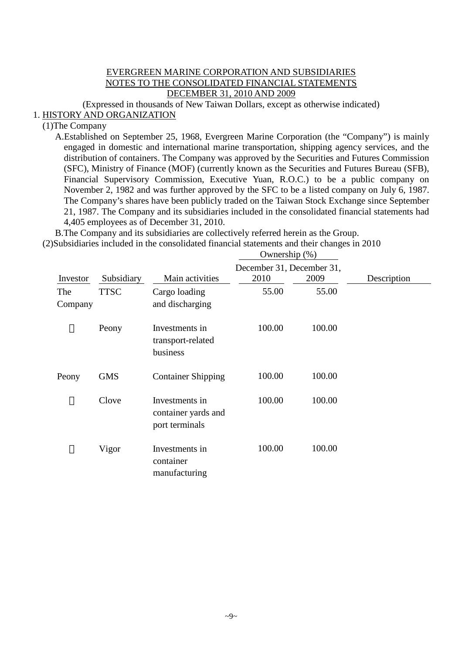# EVERGREEN MARINE CORPORATION AND SUBSIDIARIES NOTES TO THE CONSOLIDATED FINANCIAL STATEMENTS DECEMBER 31, 2010 AND 2009

(Expressed in thousands of New Taiwan Dollars, except as otherwise indicated)

# 1. HISTORY AND ORGANIZATION

# (1)The Company

A.Established on September 25, 1968, Evergreen Marine Corporation (the "Company") is mainly engaged in domestic and international marine transportation, shipping agency services, and the distribution of containers. The Company was approved by the Securities and Futures Commission (SFC), Ministry of Finance (MOF) (currently known as the Securities and Futures Bureau (SFB), Financial Supervisory Commission, Executive Yuan, R.O.C.) to be a public company on November 2, 1982 and was further approved by the SFC to be a listed company on July 6, 1987. The Company's shares have been publicly traded on the Taiwan Stock Exchange since September 21, 1987. The Company and its subsidiaries included in the consolidated financial statements had 4,405 employees as of December 31, 2010.

B.The Company and its subsidiaries are collectively referred herein as the Group.

(2)Subsidiaries included in the consolidated financial statements and their changes in 2010 Ownership (%)

|                |             |                                                         | December 31, December 31, |        |             |
|----------------|-------------|---------------------------------------------------------|---------------------------|--------|-------------|
| Investor       | Subsidiary  | Main activities                                         | 2010                      | 2009   | Description |
| The<br>Company | <b>TTSC</b> | Cargo loading<br>and discharging                        | 55.00                     | 55.00  |             |
|                | Peony       | Investments in<br>transport-related<br>business         | 100.00                    | 100.00 |             |
| Peony          | <b>GMS</b>  | <b>Container Shipping</b>                               | 100.00                    | 100.00 |             |
|                | Clove       | Investments in<br>container yards and<br>port terminals | 100.00                    | 100.00 |             |
|                | Vigor       | Investments in<br>container<br>manufacturing            | 100.00                    | 100.00 |             |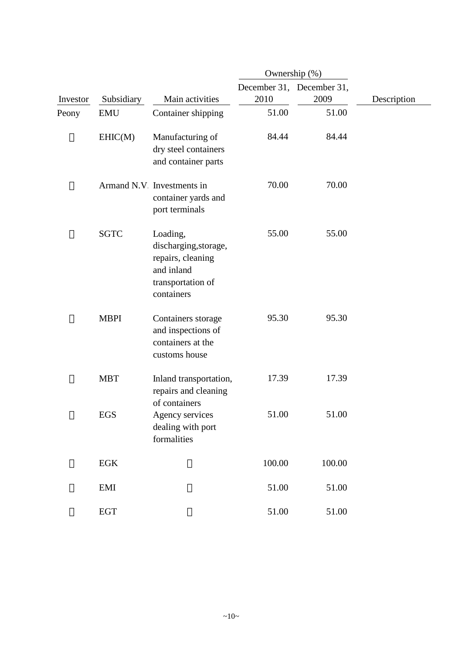|          |              |                                                                                                         | Ownership (%) |                                   |             |
|----------|--------------|---------------------------------------------------------------------------------------------------------|---------------|-----------------------------------|-------------|
| Investor | Subsidiary   | Main activities                                                                                         | 2010          | December 31, December 31,<br>2009 | Description |
| Peony    | <b>EMU</b>   | Container shipping                                                                                      | 51.00         | 51.00                             |             |
|          | EHIC(M)      | Manufacturing of<br>dry steel containers<br>and container parts                                         | 84.44         | 84.44                             |             |
|          |              | Armand N.V Investments in<br>container yards and<br>port terminals                                      | 70.00         | 70.00                             |             |
|          | <b>SGTC</b>  | Loading,<br>discharging, storage,<br>repairs, cleaning<br>and inland<br>transportation of<br>containers | 55.00         | 55.00                             |             |
|          | <b>MBPI</b>  | Containers storage<br>and inspections of<br>containers at the<br>customs house                          | 95.30         | 95.30                             |             |
|          | <b>MBT</b>   | Inland transportation,<br>repairs and cleaning<br>of containers                                         | 17.39         | 17.39                             |             |
|          | <b>EGS</b>   | Agency services<br>dealing with port<br>formalities                                                     | 51.00         | 51.00                             |             |
|          | $_{\rm EGK}$ |                                                                                                         | 100.00        | 100.00                            |             |
|          | EMI          |                                                                                                         | 51.00         | 51.00                             |             |
|          | <b>EGT</b>   |                                                                                                         | 51.00         | 51.00                             |             |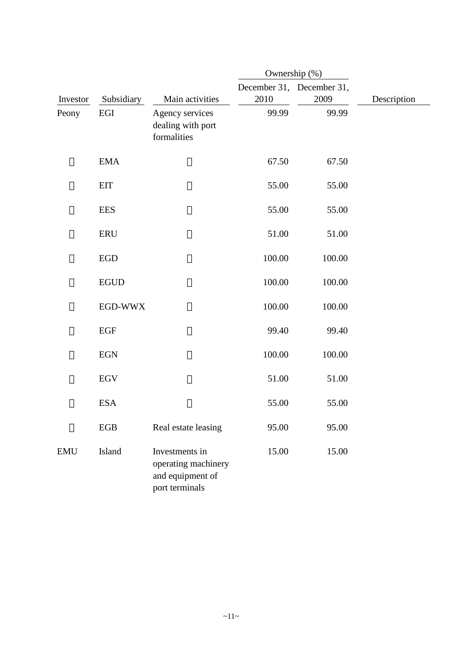|            |             |                                                                             | Ownership (%) |                                   |             |
|------------|-------------|-----------------------------------------------------------------------------|---------------|-----------------------------------|-------------|
| Investor   | Subsidiary  | Main activities                                                             | 2010          | December 31, December 31,<br>2009 | Description |
| Peony      | EGI         | Agency services<br>dealing with port<br>formalities                         | 99.99         | 99.99                             |             |
|            | <b>EMA</b>  |                                                                             | 67.50         | 67.50                             |             |
|            | <b>EIT</b>  |                                                                             | 55.00         | 55.00                             |             |
|            | <b>EES</b>  |                                                                             | 55.00         | 55.00                             |             |
|            | <b>ERU</b>  |                                                                             | 51.00         | 51.00                             |             |
|            | <b>EGD</b>  |                                                                             | 100.00        | 100.00                            |             |
|            | <b>EGUD</b> |                                                                             | 100.00        | 100.00                            |             |
|            | EGD-WWX     |                                                                             | 100.00        | 100.00                            |             |
|            | <b>EGF</b>  |                                                                             | 99.40         | 99.40                             |             |
|            | <b>EGN</b>  |                                                                             | 100.00        | 100.00                            |             |
|            | <b>EGV</b>  |                                                                             | 51.00         | 51.00                             |             |
|            | <b>ESA</b>  |                                                                             | 55.00         | 55.00                             |             |
|            | ${\rm EGB}$ | Real estate leasing                                                         | 95.00         | 95.00                             |             |
| <b>EMU</b> | Island      | Investments in<br>operating machinery<br>and equipment of<br>port terminals | 15.00         | 15.00                             |             |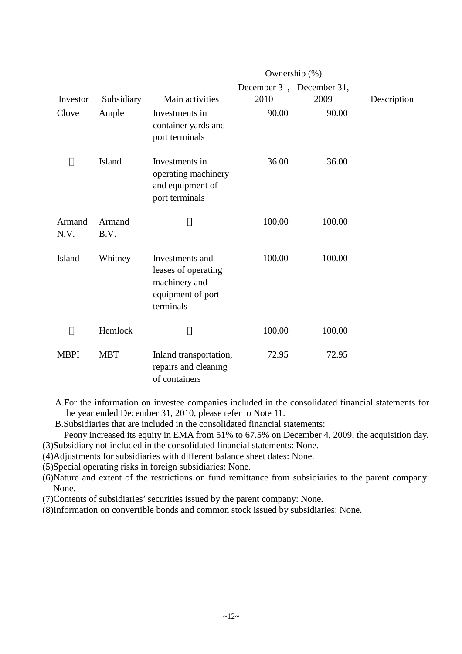|                |                |                                                                                           | Ownership (%) |                                   |             |
|----------------|----------------|-------------------------------------------------------------------------------------------|---------------|-----------------------------------|-------------|
| Investor       | Subsidiary     | Main activities                                                                           | 2010          | December 31, December 31,<br>2009 | Description |
| Clove          | Ample          | Investments in<br>container yards and<br>port terminals                                   | 90.00         | 90.00                             |             |
|                | Island         | Investments in<br>operating machinery<br>and equipment of<br>port terminals               | 36.00         | 36.00                             |             |
| Armand<br>N.V. | Armand<br>B.V. |                                                                                           | 100.00        | 100.00                            |             |
| Island         | Whitney        | Investments and<br>leases of operating<br>machinery and<br>equipment of port<br>terminals | 100.00        | 100.00                            |             |
|                | Hemlock        |                                                                                           | 100.00        | 100.00                            |             |
| <b>MBPI</b>    | <b>MBT</b>     | Inland transportation,<br>repairs and cleaning<br>of containers                           | 72.95         | 72.95                             |             |

A.For the information on investee companies included in the consolidated financial statements for the year ended December 31, 2010, please refer to Note 11.

B.Subsidiaries that are included in the consolidated financial statements:

Peony increased its equity in EMA from 51% to 67.5% on December 4, 2009, the acquisition day. (3)Subsidiary not included in the consolidated financial statements: None.

(4)Adjustments for subsidiaries with different balance sheet dates: None.

(5)Special operating risks in foreign subsidiaries: None.

(6)Nature and extent of the restrictions on fund remittance from subsidiaries to the parent company: None.

(7)Contents of subsidiaries' securities issued by the parent company: None.

(8)Information on convertible bonds and common stock issued by subsidiaries: None.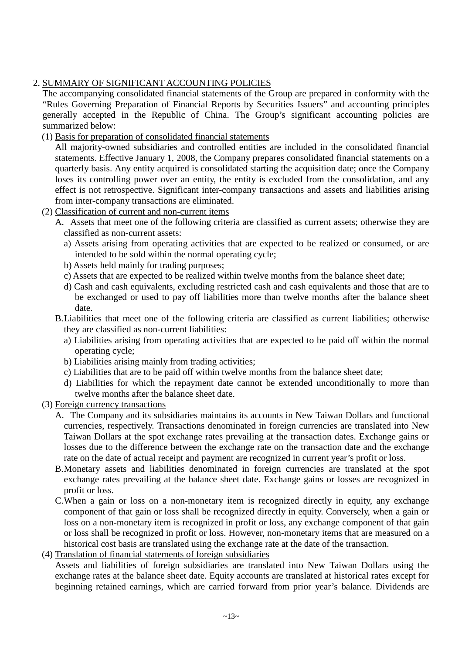# 2. SUMMARY OF SIGNIFICANT ACCOUNTING POLICIES

The accompanying consolidated financial statements of the Group are prepared in conformity with the "Rules Governing Preparation of Financial Reports by Securities Issuers" and accounting principles generally accepted in the Republic of China. The Group's significant accounting policies are summarized below:

(1) Basis for preparation of consolidated financial statements

All majority-owned subsidiaries and controlled entities are included in the consolidated financial statements. Effective January 1, 2008, the Company prepares consolidated financial statements on a quarterly basis. Any entity acquired is consolidated starting the acquisition date; once the Company loses its controlling power over an entity, the entity is excluded from the consolidation, and any effect is not retrospective. Significant inter-company transactions and assets and liabilities arising from inter-company transactions are eliminated.

- (2) Classification of current and non-current items
	- A. Assets that meet one of the following criteria are classified as current assets; otherwise they are classified as non-current assets:
		- a) Assets arising from operating activities that are expected to be realized or consumed, or are intended to be sold within the normal operating cycle;
		- b) Assets held mainly for trading purposes;
		- c) Assets that are expected to be realized within twelve months from the balance sheet date;
		- d) Cash and cash equivalents, excluding restricted cash and cash equivalents and those that are to be exchanged or used to pay off liabilities more than twelve months after the balance sheet date.
	- B.Liabilities that meet one of the following criteria are classified as current liabilities; otherwise they are classified as non-current liabilities:
		- a) Liabilities arising from operating activities that are expected to be paid off within the normal operating cycle;
		- b) Liabilities arising mainly from trading activities;
		- c) Liabilities that are to be paid off within twelve months from the balance sheet date;
		- d) Liabilities for which the repayment date cannot be extended unconditionally to more than twelve months after the balance sheet date.
- (3) Foreign currency transactions
	- A. The Company and its subsidiaries maintains its accounts in New Taiwan Dollars and functional currencies, respectively. Transactions denominated in foreign currencies are translated into New Taiwan Dollars at the spot exchange rates prevailing at the transaction dates. Exchange gains or losses due to the difference between the exchange rate on the transaction date and the exchange rate on the date of actual receipt and payment are recognized in current year's profit or loss.
	- B.Monetary assets and liabilities denominated in foreign currencies are translated at the spot exchange rates prevailing at the balance sheet date. Exchange gains or losses are recognized in profit or loss.
	- C.When a gain or loss on a non-monetary item is recognized directly in equity, any exchange component of that gain or loss shall be recognized directly in equity. Conversely, when a gain or loss on a non-monetary item is recognized in profit or loss, any exchange component of that gain or loss shall be recognized in profit or loss. However, non-monetary items that are measured on a historical cost basis are translated using the exchange rate at the date of the transaction.
- (4) Translation of financial statements of foreign subsidiaries

Assets and liabilities of foreign subsidiaries are translated into New Taiwan Dollars using the exchange rates at the balance sheet date. Equity accounts are translated at historical rates except for beginning retained earnings, which are carried forward from prior year's balance. Dividends are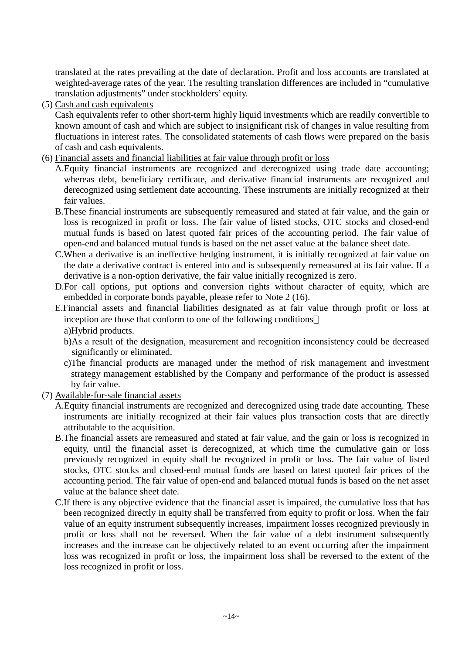translated at the rates prevailing at the date of declaration. Profit and loss accounts are translated at weighted-average rates of the year. The resulting translation differences are included in "cumulative translation adjustments" under stockholders' equity.

(5) Cash and cash equivalents

Cash equivalents refer to other short-term highly liquid investments which are readily convertible to known amount of cash and which are subject to insignificant risk of changes in value resulting from fluctuations in interest rates. The consolidated statements of cash flows were prepared on the basis of cash and cash equivalents.

- (6) Financial assets and financial liabilities at fair value through profit or loss
	- A.Equity financial instruments are recognized and derecognized using trade date accounting; whereas debt, beneficiary certificate, and derivative financial instruments are recognized and derecognized using settlement date accounting. These instruments are initially recognized at their fair values.
	- B.These financial instruments are subsequently remeasured and stated at fair value, and the gain or loss is recognized in profit or loss. The fair value of listed stocks, OTC stocks and closed-end mutual funds is based on latest quoted fair prices of the accounting period. The fair value of open-end and balanced mutual funds is based on the net asset value at the balance sheet date.
	- C.When a derivative is an ineffective hedging instrument, it is initially recognized at fair value on the date a derivative contract is entered into and is subsequently remeasured at its fair value. If a derivative is a non-option derivative, the fair value initially recognized is zero.
	- D.For call options, put options and conversion rights without character of equity, which are embedded in corporate bonds payable, please refer to Note 2 (16).
	- E.Financial assets and financial liabilities designated as at fair value through profit or loss at inception are those that conform to one of the following conditions a)Hybrid products.
		- b)As a result of the designation, measurement and recognition inconsistency could be decreased significantly or eliminated.
		- c)The financial products are managed under the method of risk management and investment strategy management established by the Company and performance of the product is assessed by fair value.
- (7) Available-for-sale financial assets
	- A.Equity financial instruments are recognized and derecognized using trade date accounting. These instruments are initially recognized at their fair values plus transaction costs that are directly attributable to the acquisition.
	- B.The financial assets are remeasured and stated at fair value, and the gain or loss is recognized in equity, until the financial asset is derecognized, at which time the cumulative gain or loss previously recognized in equity shall be recognized in profit or loss. The fair value of listed stocks, OTC stocks and closed-end mutual funds are based on latest quoted fair prices of the accounting period. The fair value of open-end and balanced mutual funds is based on the net asset value at the balance sheet date.
	- C.If there is any objective evidence that the financial asset is impaired, the cumulative loss that has been recognized directly in equity shall be transferred from equity to profit or loss. When the fair value of an equity instrument subsequently increases, impairment losses recognized previously in profit or loss shall not be reversed. When the fair value of a debt instrument subsequently increases and the increase can be objectively related to an event occurring after the impairment loss was recognized in profit or loss, the impairment loss shall be reversed to the extent of the loss recognized in profit or loss.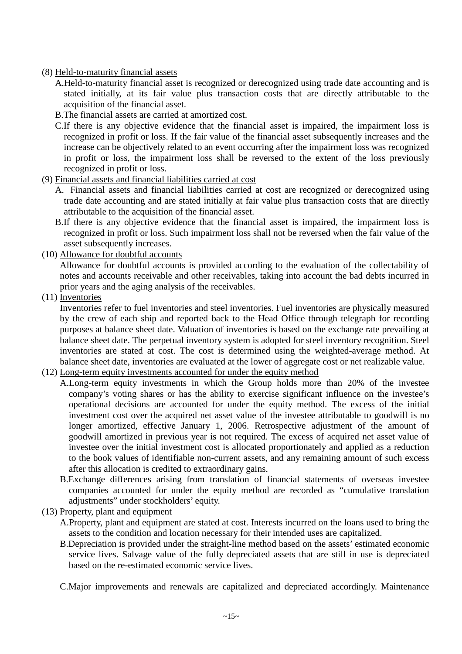- (8) Held-to-maturity financial assets
	- A.Held-to-maturity financial asset is recognized or derecognized using trade date accounting and is stated initially, at its fair value plus transaction costs that are directly attributable to the acquisition of the financial asset.
	- B.The financial assets are carried at amortized cost.
	- C.If there is any objective evidence that the financial asset is impaired, the impairment loss is recognized in profit or loss. If the fair value of the financial asset subsequently increases and the increase can be objectively related to an event occurring after the impairment loss was recognized in profit or loss, the impairment loss shall be reversed to the extent of the loss previously recognized in profit or loss.
- (9) Financial assets and financial liabilities carried at cost
	- A. Financial assets and financial liabilities carried at cost are recognized or derecognized using trade date accounting and are stated initially at fair value plus transaction costs that are directly attributable to the acquisition of the financial asset.
	- B.If there is any objective evidence that the financial asset is impaired, the impairment loss is recognized in profit or loss. Such impairment loss shall not be reversed when the fair value of the asset subsequently increases.
- (10) Allowance for doubtful accounts

Allowance for doubtful accounts is provided according to the evaluation of the collectability of notes and accounts receivable and other receivables, taking into account the bad debts incurred in prior years and the aging analysis of the receivables.

(11) Inventories

Inventories refer to fuel inventories and steel inventories. Fuel inventories are physically measured by the crew of each ship and reported back to the Head Office through telegraph for recording purposes at balance sheet date. Valuation of inventories is based on the exchange rate prevailing at balance sheet date. The perpetual inventory system is adopted for steel inventory recognition. Steel inventories are stated at cost. The cost is determined using the weighted-average method. At balance sheet date, inventories are evaluated at the lower of aggregate cost or net realizable value.

- (12) Long-term equity investments accounted for under the equity method
	- A.Long-term equity investments in which the Group holds more than 20% of the investee company's voting shares or has the ability to exercise significant influence on the investee's operational decisions are accounted for under the equity method. The excess of the initial investment cost over the acquired net asset value of the investee attributable to goodwill is no longer amortized, effective January 1, 2006. Retrospective adjustment of the amount of goodwill amortized in previous year is not required. The excess of acquired net asset value of investee over the initial investment cost is allocated proportionately and applied as a reduction to the book values of identifiable non-current assets, and any remaining amount of such excess after this allocation is credited to extraordinary gains.
	- B.Exchange differences arising from translation of financial statements of overseas investee companies accounted for under the equity method are recorded as "cumulative translation adjustments" under stockholders' equity.
- (13) Property, plant and equipment
	- A.Property, plant and equipment are stated at cost. Interests incurred on the loans used to bring the assets to the condition and location necessary for their intended uses are capitalized.
	- B.Depreciation is provided under the straight-line method based on the assets' estimated economic service lives. Salvage value of the fully depreciated assets that are still in use is depreciated based on the re-estimated economic service lives.

C.Major improvements and renewals are capitalized and depreciated accordingly. Maintenance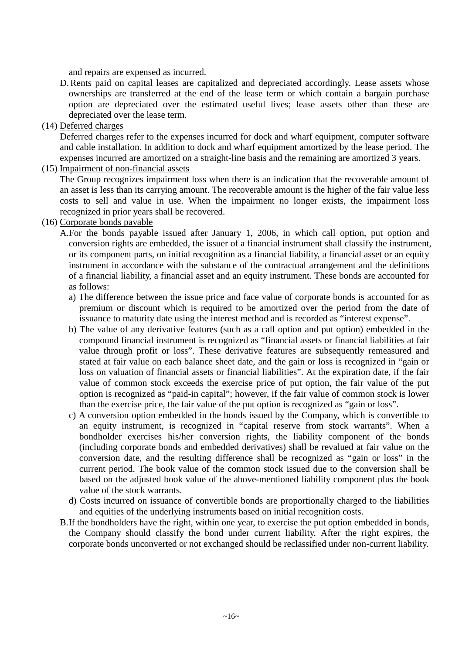and repairs are expensed as incurred.

- D. Rents paid on capital leases are capitalized and depreciated accordingly. Lease assets whose ownerships are transferred at the end of the lease term or which contain a bargain purchase option are depreciated over the estimated useful lives; lease assets other than these are depreciated over the lease term.
- (14) Deferred charges

Deferred charges refer to the expenses incurred for dock and wharf equipment, computer software and cable installation. In addition to dock and wharf equipment amortized by the lease period. The expenses incurred are amortized on a straight-line basis and the remaining are amortized 3 years.

(15) Impairment of non-financial assets

The Group recognizes impairment loss when there is an indication that the recoverable amount of an asset is less than its carrying amount. The recoverable amount is the higher of the fair value less costs to sell and value in use. When the impairment no longer exists, the impairment loss recognized in prior years shall be recovered.

### (16) Corporate bonds payable

A.For the bonds payable issued after January 1, 2006, in which call option, put option and conversion rights are embedded, the issuer of a financial instrument shall classify the instrument, or its component parts, on initial recognition as a financial liability, a financial asset or an equity instrument in accordance with the substance of the contractual arrangement and the definitions of a financial liability, a financial asset and an equity instrument. These bonds are accounted for as follows:

- a) The difference between the issue price and face value of corporate bonds is accounted for as premium or discount which is required to be amortized over the period from the date of issuance to maturity date using the interest method and is recorded as "interest expense".
- b) The value of any derivative features (such as a call option and put option) embedded in the compound financial instrument is recognized as "financial assets or financial liabilities at fair value through profit or loss". These derivative features are subsequently remeasured and stated at fair value on each balance sheet date, and the gain or loss is recognized in "gain or loss on valuation of financial assets or financial liabilities". At the expiration date, if the fair value of common stock exceeds the exercise price of put option, the fair value of the put option is recognized as "paid-in capital"; however, if the fair value of common stock is lower than the exercise price, the fair value of the put option is recognized as "gain or loss".
- c) A conversion option embedded in the bonds issued by the Company, which is convertible to an equity instrument, is recognized in "capital reserve from stock warrants". When a bondholder exercises his/her conversion rights, the liability component of the bonds (including corporate bonds and embedded derivatives) shall be revalued at fair value on the conversion date, and the resulting difference shall be recognized as "gain or loss" in the current period. The book value of the common stock issued due to the conversion shall be based on the adjusted book value of the above-mentioned liability component plus the book value of the stock warrants.
- d) Costs incurred on issuance of convertible bonds are proportionally charged to the liabilities and equities of the underlying instruments based on initial recognition costs.
- B.If the bondholders have the right, within one year, to exercise the put option embedded in bonds, the Company should classify the bond under current liability. After the right expires, the corporate bonds unconverted or not exchanged should be reclassified under non-current liability.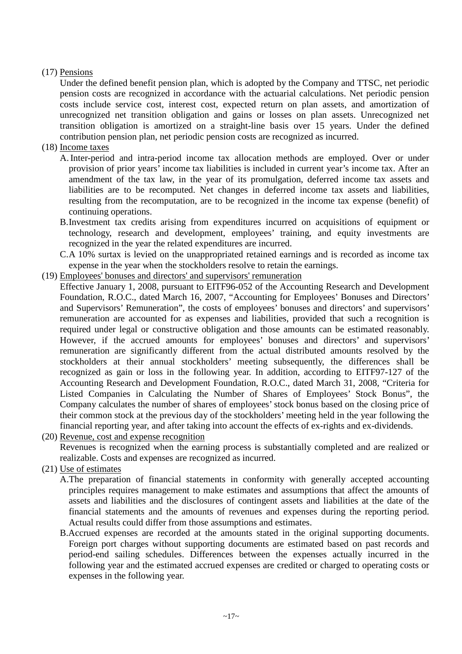# (17) Pensions

Under the defined benefit pension plan, which is adopted by the Company and TTSC, net periodic pension costs are recognized in accordance with the actuarial calculations. Net periodic pension costs include service cost, interest cost, expected return on plan assets, and amortization of unrecognized net transition obligation and gains or losses on plan assets. Unrecognized net transition obligation is amortized on a straight-line basis over 15 years. Under the defined contribution pension plan, net periodic pension costs are recognized as incurred.

# (18) Income taxes

- A. Inter-period and intra-period income tax allocation methods are employed. Over or under provision of prior years' income tax liabilities is included in current year's income tax. After an amendment of the tax law, in the year of its promulgation, deferred income tax assets and liabilities are to be recomputed. Net changes in deferred income tax assets and liabilities, resulting from the recomputation, are to be recognized in the income tax expense (benefit) of continuing operations.
- B.Investment tax credits arising from expenditures incurred on acquisitions of equipment or technology, research and development, employees' training, and equity investments are recognized in the year the related expenditures are incurred.
- C.A 10% surtax is levied on the unappropriated retained earnings and is recorded as income tax expense in the year when the stockholders resolve to retain the earnings.
- (19) Employees' bonuses and directors' and supervisors' remuneration

Effective January 1, 2008, pursuant to EITF96-052 of the Accounting Research and Development Foundation, R.O.C., dated March 16, 2007, "Accounting for Employees' Bonuses and Directors' and Supervisors' Remuneration", the costs of employees' bonuses and directors' and supervisors' remuneration are accounted for as expenses and liabilities, provided that such a recognition is required under legal or constructive obligation and those amounts can be estimated reasonably. However, if the accrued amounts for employees' bonuses and directors' and supervisors' remuneration are significantly different from the actual distributed amounts resolved by the stockholders at their annual stockholders' meeting subsequently, the differences shall be recognized as gain or loss in the following year. In addition, according to EITF97-127 of the Accounting Research and Development Foundation, R.O.C., dated March 31, 2008, "Criteria for Listed Companies in Calculating the Number of Shares of Employees' Stock Bonus", the Company calculates the number of shares of employees' stock bonus based on the closing price of their common stock at the previous day of the stockholders' meeting held in the year following the financial reporting year, and after taking into account the effects of ex-rights and ex-dividends.

(20) Revenue, cost and expense recognition

Revenues is recognized when the earning process is substantially completed and are realized or realizable. Costs and expenses are recognized as incurred.

(21) Use of estimates

A.The preparation of financial statements in conformity with generally accepted accounting principles requires management to make estimates and assumptions that affect the amounts of assets and liabilities and the disclosures of contingent assets and liabilities at the date of the financial statements and the amounts of revenues and expenses during the reporting period. Actual results could differ from those assumptions and estimates.

B.Accrued expenses are recorded at the amounts stated in the original supporting documents. Foreign port charges without supporting documents are estimated based on past records and period-end sailing schedules. Differences between the expenses actually incurred in the following year and the estimated accrued expenses are credited or charged to operating costs or expenses in the following year.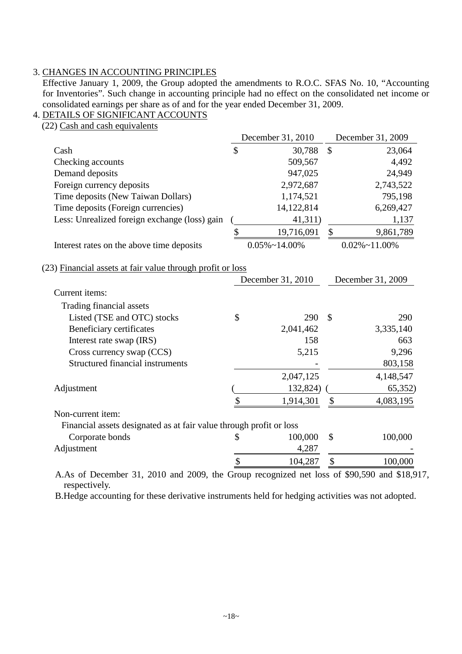# 3. CHANGES IN ACCOUNTING PRINCIPLES

Effective January 1, 2009, the Group adopted the amendments to R.O.C. SFAS No. 10, "Accounting for Inventories". Such change in accounting principle had no effect on the consolidated net income or consolidated earnings per share as of and for the year ended December 31, 2009.

### 4. DETAILS OF SIGNIFICANT ACCOUNTS

(22) Cash and cash equivalents

|                                                                     |    | December 31, 2010     |                           | December 31, 2009     |
|---------------------------------------------------------------------|----|-----------------------|---------------------------|-----------------------|
| Cash                                                                | \$ | 30,788                | $\boldsymbol{\mathsf{S}}$ | 23,064                |
| Checking accounts                                                   |    | 509,567               |                           | 4,492                 |
| Demand deposits                                                     |    | 947,025               |                           | 24,949                |
| Foreign currency deposits                                           |    | 2,972,687             |                           | 2,743,522             |
| Time deposits (New Taiwan Dollars)                                  |    | 1,174,521             |                           | 795,198               |
| Time deposits (Foreign currencies)                                  |    | 14,122,814            |                           | 6,269,427             |
| Less: Unrealized foreign exchange (loss) gain                       |    | 41,311)               |                           | 1,137                 |
|                                                                     | \$ | 19,716,091            | $\boldsymbol{\mathsf{S}}$ | 9,861,789             |
| Interest rates on the above time deposits                           |    | $0.05\% \sim 14.00\%$ |                           | $0.02\% \sim 11.00\%$ |
| (23) Financial assets at fair value through profit or loss          |    |                       |                           |                       |
|                                                                     |    | December 31, 2010     |                           | December 31, 2009     |
| Current items:                                                      |    |                       |                           |                       |
| Trading financial assets                                            |    |                       |                           |                       |
| Listed (TSE and OTC) stocks                                         | \$ | 290                   | $\mathcal{S}$             | 290                   |
| Beneficiary certificates                                            |    | 2,041,462             |                           | 3,335,140             |
| Interest rate swap (IRS)                                            |    | 158                   |                           | 663                   |
| Cross currency swap (CCS)                                           |    | 5,215                 |                           | 9,296                 |
| Structured financial instruments                                    |    |                       |                           | 803,158               |
|                                                                     |    | 2,047,125             |                           | 4,148,547             |
| Adjustment                                                          |    | 132,824)              |                           | 65,352)               |
|                                                                     | \$ | 1,914,301             | \$                        | 4,083,195             |
| Non-current item:                                                   |    |                       |                           |                       |
| Financial assets designated as at fair value through profit or loss |    |                       |                           |                       |
| Corporate bonds                                                     | S  | 100,000               | $\mathcal{S}$             | 100,000               |
| Adjustment                                                          |    | 4,287                 |                           |                       |
|                                                                     | \$ | 104,287               | \$                        | 100,000               |
| $\sim$ 1<br>0.010                                                   |    |                       |                           | 0.00000               |

A.As of December 31, 2010 and 2009, the Group recognized net loss of \$90,590 and \$18,917, respectively.

B.Hedge accounting for these derivative instruments held for hedging activities was not adopted.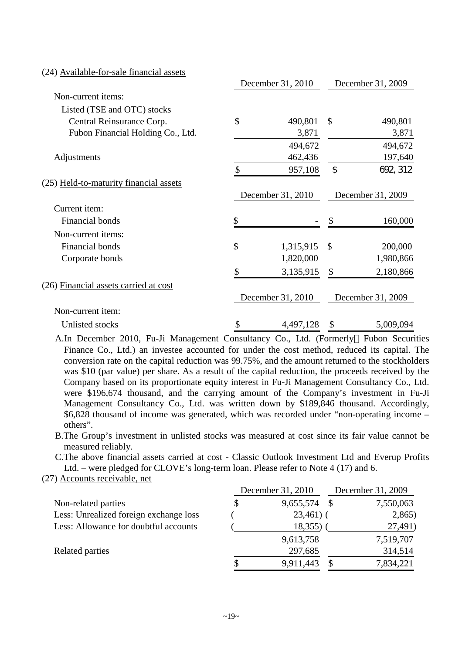| (24) Available-for-sale financial assets |                    |                   |               |                   |
|------------------------------------------|--------------------|-------------------|---------------|-------------------|
|                                          |                    | December 31, 2010 |               | December 31, 2009 |
| Non-current items:                       |                    |                   |               |                   |
| Listed (TSE and OTC) stocks              |                    |                   |               |                   |
| Central Reinsurance Corp.                | \$                 | 490,801           | $\mathcal{S}$ | 490,801           |
| Fubon Financial Holding Co., Ltd.        |                    | 3,871             |               | 3,871             |
|                                          |                    | 494,672           |               | 494,672           |
| Adjustments                              |                    | 462,436           |               | 197,640           |
|                                          | \$                 | 957,108           | \$            | 692, 312          |
| (25) Held-to-maturity financial assets   |                    |                   |               |                   |
|                                          |                    | December 31, 2010 |               | December 31, 2009 |
| Current item:                            |                    |                   |               |                   |
| Financial bonds                          | \$                 |                   | \$            | 160,000           |
| Non-current items:                       |                    |                   |               |                   |
| Financial bonds                          | $\mathbf{\hat{S}}$ | 1,315,915         | \$            | 200,000           |
| Corporate bonds                          |                    | 1,820,000         |               | 1,980,866         |
|                                          | \$                 | 3,135,915         | \$            | 2,180,866         |
| (26) Financial assets carried at cost    |                    |                   |               |                   |
|                                          |                    | December 31, 2010 |               | December 31, 2009 |
| Non-current item:                        |                    |                   |               |                   |
| Unlisted stocks                          | \$                 | 4,497,128         | \$            | 5,009,094         |

A.In December 2010, Fu-Ji Management Consultancy Co., Ltd. (Formerly Fubon Securities Finance Co., Ltd.) an investee accounted for under the cost method, reduced its capital. The conversion rate on the capital reduction was 99.75%, and the amount returned to the stockholders was \$10 (par value) per share. As a result of the capital reduction, the proceeds received by the Company based on its proportionate equity interest in Fu-Ji Management Consultancy Co., Ltd. were \$196,674 thousand, and the carrying amount of the Company's investment in Fu-Ji Management Consultancy Co., Ltd. was written down by \$189,846 thousand. Accordingly, \$6,828 thousand of income was generated, which was recorded under "non-operating income – others".

B.The Group's investment in unlisted stocks was measured at cost since its fair value cannot be measured reliably.

C.The above financial assets carried at cost - Classic Outlook Investment Ltd and Everup Profits Ltd. – were pledged for CLOVE's long-term loan. Please refer to Note 4 (17) and 6.

(27) Accounts receivable, net

|                                        | December 31, 2010 |              | December 31, 2009 |           |  |
|----------------------------------------|-------------------|--------------|-------------------|-----------|--|
| Non-related parties                    |                   | 9,655,574    | -8                | 7,550,063 |  |
| Less: Unrealized foreign exchange loss |                   | $23,461$ ) ( |                   | 2,865     |  |
| Less: Allowance for doubtful accounts  |                   | 18,355)      |                   | 27,491)   |  |
|                                        |                   | 9,613,758    |                   | 7,519,707 |  |
| Related parties                        |                   | 297,685      |                   | 314,514   |  |
|                                        |                   | 9,911,443    |                   | 7,834,221 |  |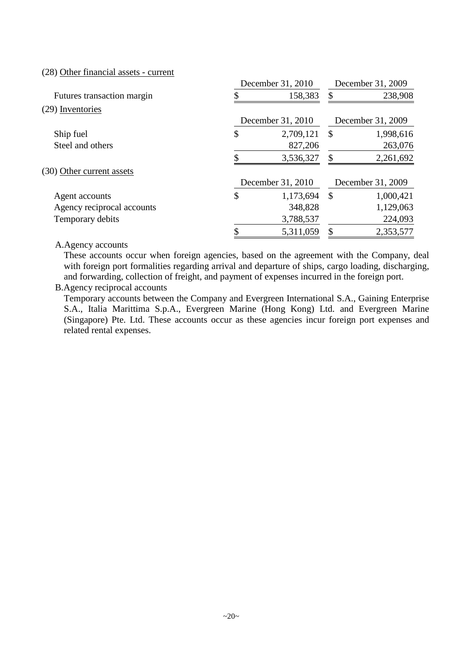(28) Other financial assets - current

|                            | December 31, 2010 | December 31, 2009         |                   |  |
|----------------------------|-------------------|---------------------------|-------------------|--|
| Futures transaction margin | 158,383           | \$                        | 238,908           |  |
| (29) Inventories           |                   |                           |                   |  |
|                            | December 31, 2010 |                           | December 31, 2009 |  |
| Ship fuel                  | \$<br>2,709,121   | $\mathcal{S}$             | 1,998,616         |  |
| Steel and others           | 827,206           |                           | 263,076           |  |
|                            | 3,536,327         | S                         | 2,261,692         |  |
| (30) Other current assets  |                   |                           |                   |  |
|                            | December 31, 2010 |                           | December 31, 2009 |  |
| Agent accounts             | \$<br>1,173,694   | $\boldsymbol{\mathsf{S}}$ | 1,000,421         |  |
| Agency reciprocal accounts | 348,828           |                           | 1,129,063         |  |
| Temporary debits           | 3,788,537         |                           | 224,093           |  |
|                            | \$<br>5,311,059   | \$                        | 2,353,577         |  |

#### A.Agency accounts

These accounts occur when foreign agencies, based on the agreement with the Company, deal with foreign port formalities regarding arrival and departure of ships, cargo loading, discharging, and forwarding, collection of freight, and payment of expenses incurred in the foreign port.

### B.Agency reciprocal accounts

Temporary accounts between the Company and Evergreen International S.A., Gaining Enterprise S.A., Italia Marittima S.p.A., Evergreen Marine (Hong Kong) Ltd. and Evergreen Marine (Singapore) Pte. Ltd. These accounts occur as these agencies incur foreign port expenses and related rental expenses.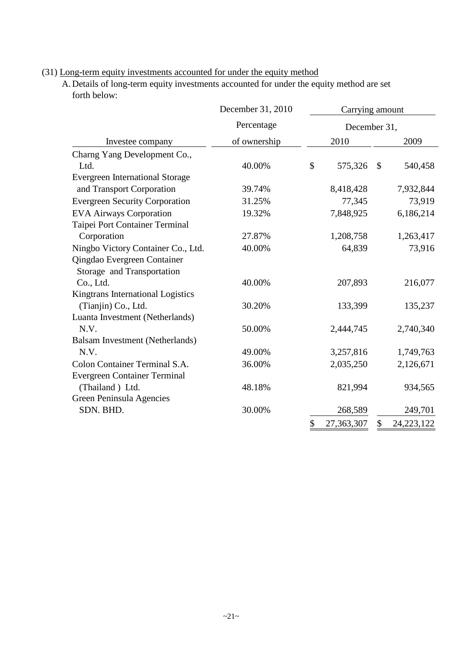# (31) Long-term equity investments accounted for under the equity method

A.Details of long-term equity investments accounted for under the equity method are set forth below:

|                                        | December 31, 2010 | Carrying amount |              |    |              |
|----------------------------------------|-------------------|-----------------|--------------|----|--------------|
|                                        | Percentage        |                 | December 31, |    |              |
| Investee company                       | of ownership      |                 | 2010         |    | 2009         |
| Charng Yang Development Co.,           |                   |                 |              |    |              |
| Ltd.                                   | 40.00%            | \$              | 575,326      | \$ | 540,458      |
| <b>Evergreen International Storage</b> |                   |                 |              |    |              |
| and Transport Corporation              | 39.74%            |                 | 8,418,428    |    | 7,932,844    |
| <b>Evergreen Security Corporation</b>  | 31.25%            |                 | 77,345       |    | 73,919       |
| <b>EVA Airways Corporation</b>         | 19.32%            |                 | 7,848,925    |    | 6,186,214    |
| Taipei Port Container Terminal         |                   |                 |              |    |              |
| Corporation                            | 27.87%            |                 | 1,208,758    |    | 1,263,417    |
| Ningbo Victory Container Co., Ltd.     | 40.00%            | 64,839          |              |    | 73,916       |
| Qingdao Evergreen Container            |                   |                 |              |    |              |
| Storage and Transportation             |                   |                 |              |    |              |
| Co., Ltd.                              | 40.00%            |                 | 207,893      |    | 216,077      |
| Kingtrans International Logistics      |                   |                 |              |    |              |
| (Tianjin) Co., Ltd.                    | 30.20%            |                 | 133,399      |    | 135,237      |
| Luanta Investment (Netherlands)        |                   |                 |              |    |              |
| N.V.                                   | 50.00%            |                 | 2,444,745    |    | 2,740,340    |
| Balsam Investment (Netherlands)        |                   |                 |              |    |              |
| N.V.                                   | 49.00%            |                 | 3,257,816    |    | 1,749,763    |
| Colon Container Terminal S.A.          | 36.00%            |                 | 2,035,250    |    | 2,126,671    |
| <b>Evergreen Container Terminal</b>    |                   |                 |              |    |              |
| (Thailand) Ltd.                        | 48.18%            |                 | 821,994      |    | 934,565      |
| Green Peninsula Agencies               |                   |                 |              |    |              |
| SDN. BHD.                              | 30.00%            |                 | 268,589      |    | 249,701      |
|                                        |                   | \$              | 27,363,307   | \$ | 24, 223, 122 |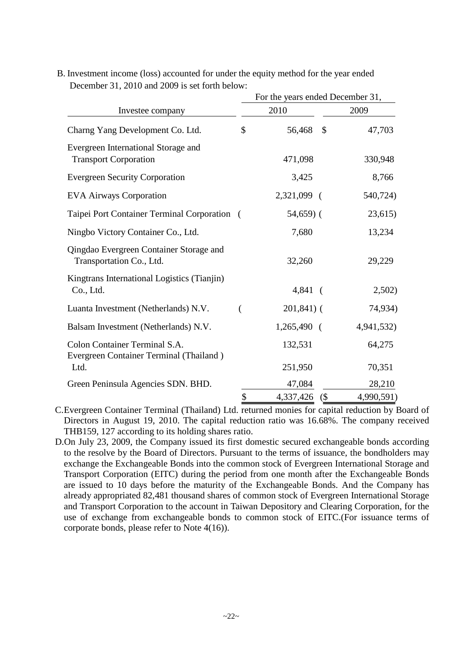|                                                                          | For the years ended December 31, |                         |            |  |  |  |  |
|--------------------------------------------------------------------------|----------------------------------|-------------------------|------------|--|--|--|--|
| Investee company                                                         |                                  | 2010                    | 2009       |  |  |  |  |
| Charng Yang Development Co. Ltd.                                         | \$                               | $\mathcal{S}$<br>56,468 | 47,703     |  |  |  |  |
| Evergreen International Storage and<br><b>Transport Corporation</b>      |                                  | 471,098                 | 330,948    |  |  |  |  |
| <b>Evergreen Security Corporation</b>                                    |                                  | 3,425                   | 8,766      |  |  |  |  |
| <b>EVA Airways Corporation</b>                                           |                                  | 2,321,099 (             | 540,724)   |  |  |  |  |
| Taipei Port Container Terminal Corporation (                             |                                  | $54,659$ (              | 23,615)    |  |  |  |  |
| Ningbo Victory Container Co., Ltd.                                       |                                  | 7,680                   | 13,234     |  |  |  |  |
| Qingdao Evergreen Container Storage and<br>Transportation Co., Ltd.      |                                  | 32,260                  | 29,229     |  |  |  |  |
| Kingtrans International Logistics (Tianjin)<br>Co., Ltd.                 |                                  | $4,841$ (               | 2,502)     |  |  |  |  |
| Luanta Investment (Netherlands) N.V.                                     | €                                | $201,841$ ) (           | 74,934)    |  |  |  |  |
| Balsam Investment (Netherlands) N.V.                                     |                                  | $1,265,490$ (           | 4,941,532) |  |  |  |  |
| Colon Container Terminal S.A.<br>Evergreen Container Terminal (Thailand) |                                  | 132,531                 | 64,275     |  |  |  |  |
| Ltd.                                                                     |                                  | 251,950                 | 70,351     |  |  |  |  |
| Green Peninsula Agencies SDN. BHD.                                       |                                  | 47,084                  | 28,210     |  |  |  |  |
|                                                                          | \$                               | 4,337,426<br>$($ \$     | 4,990,591) |  |  |  |  |

B. Investment income (loss) accounted for under the equity method for the year ended December 31, 2010 and 2009 is set forth below:

C.Evergreen Container Terminal (Thailand) Ltd. returned monies for capital reduction by Board of Directors in August 19, 2010. The capital reduction ratio was 16.68%. The company received THB159, 127 according to its holding shares ratio.

D.On July 23, 2009, the Company issued its first domestic secured exchangeable bonds according to the resolve by the Board of Directors. Pursuant to the terms of issuance, the bondholders may exchange the Exchangeable Bonds into the common stock of Evergreen International Storage and Transport Corporation (EITC) during the period from one month after the Exchangeable Bonds are issued to 10 days before the maturity of the Exchangeable Bonds. And the Company has already appropriated 82,481 thousand shares of common stock of Evergreen International Storage and Transport Corporation to the account in Taiwan Depository and Clearing Corporation, for the use of exchange from exchangeable bonds to common stock of EITC.(For issuance terms of corporate bonds, please refer to Note 4(16)).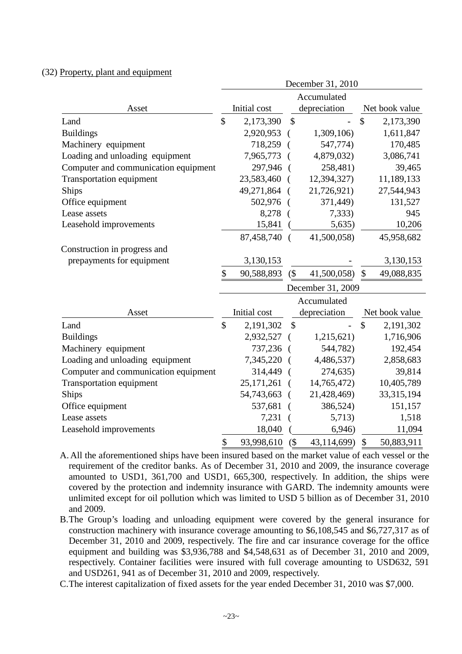#### (32) Property, plant and equipment

|                                      | December 31, 2010 |                              |               |                   |               |                |  |  |
|--------------------------------------|-------------------|------------------------------|---------------|-------------------|---------------|----------------|--|--|
|                                      | Accumulated       |                              |               |                   |               |                |  |  |
| Asset                                |                   | depreciation<br>Initial cost |               |                   |               | Net book value |  |  |
| Land                                 | \$                | 2,173,390                    | \$            |                   | \$            | 2,173,390      |  |  |
| <b>Buildings</b>                     |                   | 2,920,953                    |               | 1,309,106)        |               | 1,611,847      |  |  |
| Machinery equipment                  |                   | 718,259                      |               | 547,774)          |               | 170,485        |  |  |
| Loading and unloading equipment      |                   | 7,965,773                    |               | 4,879,032)        |               | 3,086,741      |  |  |
| Computer and communication equipment |                   | 297,946                      | $\sqrt{ }$    | 258,481)          |               | 39,465         |  |  |
| <b>Transportation equipment</b>      |                   | 23,583,460                   |               | 12,394,327)       |               | 11,189,133     |  |  |
| Ships                                |                   | 49,271,864                   |               | 21,726,921)       |               | 27,544,943     |  |  |
| Office equipment                     |                   | 502,976                      |               | 371,449)          |               | 131,527        |  |  |
| Lease assets                         |                   | 8,278                        |               | 7,333)            |               | 945            |  |  |
| Leasehold improvements               |                   | 15,841                       |               | 5,635)            |               | 10,206         |  |  |
|                                      |                   | 87,458,740 (                 |               | 41,500,058)       |               | 45,958,682     |  |  |
| Construction in progress and         |                   |                              |               |                   |               |                |  |  |
| prepayments for equipment            |                   | 3,130,153                    |               |                   |               | 3,130,153      |  |  |
|                                      | \$                | 90,588,893                   | (             | 41,500,058)       | $\mathcal{S}$ | 49,088,835     |  |  |
|                                      |                   |                              |               | December 31, 2009 |               |                |  |  |
|                                      |                   |                              |               | Accumulated       |               |                |  |  |
| Asset                                |                   | Initial cost                 |               | depreciation      |               | Net book value |  |  |
| Land                                 | $\mathcal{S}$     | 2,191,302                    | $\mathcal{S}$ |                   | $\mathsf{\$}$ | 2,191,302      |  |  |
| <b>Buildings</b>                     |                   | 2,932,527                    |               | 1,215,621)        |               | 1,716,906      |  |  |
| Machinery equipment                  |                   | 737,236                      | $\sqrt{ }$    | 544,782)          |               | 192,454        |  |  |
| Loading and unloading equipment      |                   | 7,345,220                    |               | 4,486,537)        |               | 2,858,683      |  |  |
| Computer and communication equipment |                   | 314,449                      |               | 274,635)          |               | 39,814         |  |  |
| <b>Transportation equipment</b>      |                   | 25,171,261                   |               | 14,765,472)       |               | 10,405,789     |  |  |
| Ships                                |                   | 54,743,663                   |               | 21,428,469)       |               | 33,315,194     |  |  |
| Office equipment                     |                   | 537,681                      |               | 386,524)          |               | 151,157        |  |  |
| Lease assets                         |                   | 7,231                        |               | 5,713)            |               | 1,518          |  |  |
| Leasehold improvements               |                   | 18,040                       |               | 6,946)            |               | 11,094         |  |  |
|                                      | \$                | 93,998,610                   | $($ \$        | 43,114,699)       | $\mathcal{S}$ | 50,883,911     |  |  |

A. All the aforementioned ships have been insured based on the market value of each vessel or the requirement of the creditor banks. As of December 31, 2010 and 2009, the insurance coverage amounted to USD1, 361,700 and USD1, 665,300, respectively. In addition, the ships were covered by the protection and indemnity insurance with GARD. The indemnity amounts were unlimited except for oil pollution which was limited to USD 5 billion as of December 31, 2010 and 2009.

B.The Group's loading and unloading equipment were covered by the general insurance for construction machinery with insurance coverage amounting to \$6,108,545 and \$6,727,317 as of December 31, 2010 and 2009, respectively. The fire and car insurance coverage for the office equipment and building was \$3,936,788 and \$4,548,631 as of December 31, 2010 and 2009, respectively. Container facilities were insured with full coverage amounting to USD632, 591 and USD261, 941 as of December 31, 2010 and 2009, respectively.

C.The interest capitalization of fixed assets for the year ended December 31, 2010 was \$7,000.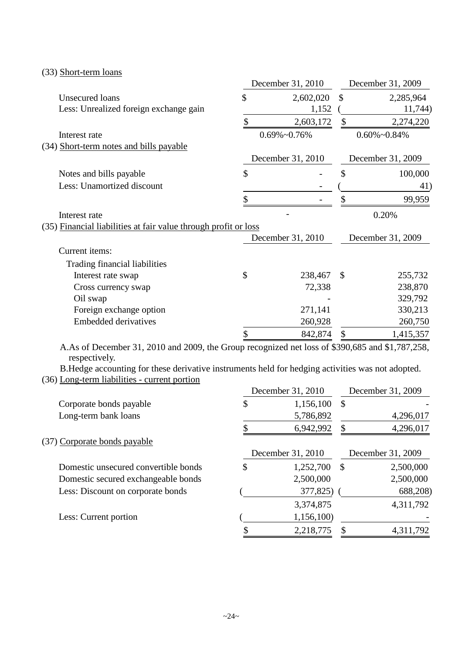|                                                                 | December 31, 2010    | December 31, 2009 |                      |  |
|-----------------------------------------------------------------|----------------------|-------------------|----------------------|--|
| Unsecured loans                                                 | \$<br>2,602,020      | \$                | 2,285,964            |  |
| Less: Unrealized foreign exchange gain                          | 1,152                |                   | 11,744)              |  |
|                                                                 | \$<br>2,603,172      | \$                | 2,274,220            |  |
| Interest rate                                                   | $0.69\% \sim 0.76\%$ |                   | $0.60\% \sim 0.84\%$ |  |
| (34) Short-term notes and bills payable                         |                      |                   |                      |  |
|                                                                 | December 31, 2010    |                   | December 31, 2009    |  |
| Notes and bills payable                                         | \$                   | \$                | 100,000              |  |
| Less: Unamortized discount                                      |                      |                   | 41)                  |  |
|                                                                 | \$                   | \$                | 99,959               |  |
| Interest rate                                                   |                      |                   | 0.20%                |  |
| (35) Financial liabilities at fair value through profit or loss |                      |                   |                      |  |
|                                                                 | December 31, 2010    |                   | December 31, 2009    |  |
| Current items:                                                  |                      |                   |                      |  |
| Trading financial liabilities                                   |                      |                   |                      |  |
| Interest rate swap                                              | \$<br>238,467        | $\mathcal{S}$     | 255,732              |  |
| Cross currency swap                                             | 72,338               |                   | 238,870              |  |
| Oil swap                                                        |                      |                   | 329,792              |  |
| Foreign exchange option                                         | 271,141              |                   | 330,213              |  |
| <b>Embedded derivatives</b>                                     | 260,928              |                   | 260,750              |  |
|                                                                 | \$<br>842,874        | \$                | 1,415,357            |  |

(33) Short-term loans

A.As of December 31, 2010 and 2009, the Group recognized net loss of \$390,685 and \$1,787,258, respectively.

B.Hedge accounting for these derivative instruments held for hedging activities was not adopted. (36) Long-term liabilities - current portion December 31, 2010 December 31, 2009

|                                      | December 31, 2010 |               | December 31, 2009 |
|--------------------------------------|-------------------|---------------|-------------------|
| Corporate bonds payable              | \$<br>1,156,100   | $\mathcal{S}$ |                   |
| Long-term bank loans                 | 5,786,892         |               | 4,296,017         |
|                                      | 6,942,992         |               | 4,296,017         |
| (37) Corporate bonds payable         |                   |               |                   |
|                                      | December 31, 2010 |               | December 31, 2009 |
| Domestic unsecured convertible bonds | \$<br>1,252,700   | \$            | 2,500,000         |
| Domestic secured exchangeable bonds  | 2,500,000         |               | 2,500,000         |
| Less: Discount on corporate bonds    | 377,825)          |               | 688,208)          |
|                                      | 3,374,875         |               | 4,311,792         |
| Less: Current portion                | 1,156,100         |               |                   |
|                                      | 2,218,775         |               | 4,311,792         |
|                                      |                   |               |                   |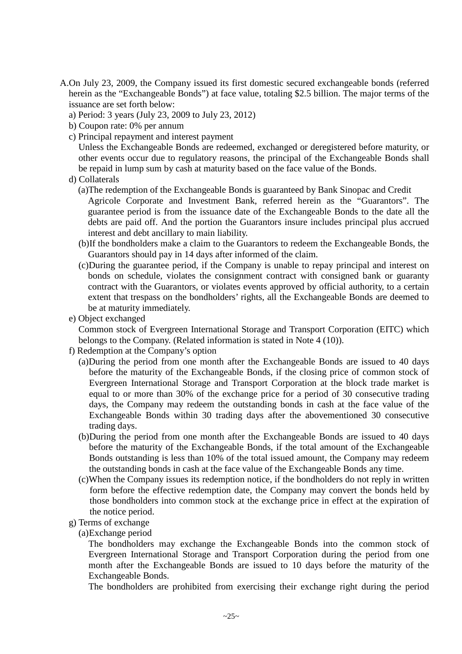- A.On July 23, 2009, the Company issued its first domestic secured exchangeable bonds (referred herein as the "Exchangeable Bonds") at face value, totaling \$2.5 billion. The major terms of the issuance are set forth below:
	- a) Period: 3 years (July 23, 2009 to July 23, 2012)
	- b) Coupon rate: 0% per annum
	- c) Principal repayment and interest payment

Unless the Exchangeable Bonds are redeemed, exchanged or deregistered before maturity, or other events occur due to regulatory reasons, the principal of the Exchangeable Bonds shall be repaid in lump sum by cash at maturity based on the face value of the Bonds.

- d) Collaterals
	- (a)The redemption of the Exchangeable Bonds is guaranteed by Bank Sinopac and Credit

Agricole Corporate and Investment Bank, referred herein as the "Guarantors". The guarantee period is from the issuance date of the Exchangeable Bonds to the date all the debts are paid off. And the portion the Guarantors insure includes principal plus accrued interest and debt ancillary to main liability.

- (b)If the bondholders make a claim to the Guarantors to redeem the Exchangeable Bonds, the Guarantors should pay in 14 days after informed of the claim.
- (c)During the guarantee period, if the Company is unable to repay principal and interest on bonds on schedule, violates the consignment contract with consigned bank or guaranty contract with the Guarantors, or violates events approved by official authority, to a certain extent that trespass on the bondholders' rights, all the Exchangeable Bonds are deemed to be at maturity immediately.
- e) Object exchanged

Common stock of Evergreen International Storage and Transport Corporation (EITC) which belongs to the Company. (Related information is stated in Note 4 (10)).

- f) Redemption at the Company's option
	- (a)During the period from one month after the Exchangeable Bonds are issued to 40 days before the maturity of the Exchangeable Bonds, if the closing price of common stock of Evergreen International Storage and Transport Corporation at the block trade market is equal to or more than 30% of the exchange price for a period of 30 consecutive trading days, the Company may redeem the outstanding bonds in cash at the face value of the Exchangeable Bonds within 30 trading days after the abovementioned 30 consecutive trading days.
	- (b)During the period from one month after the Exchangeable Bonds are issued to 40 days before the maturity of the Exchangeable Bonds, if the total amount of the Exchangeable Bonds outstanding is less than 10% of the total issued amount, the Company may redeem the outstanding bonds in cash at the face value of the Exchangeable Bonds any time.
	- (c)When the Company issues its redemption notice, if the bondholders do not reply in written form before the effective redemption date, the Company may convert the bonds held by those bondholders into common stock at the exchange price in effect at the expiration of the notice period.
- g) Terms of exchange

(a)Exchange period

The bondholders may exchange the Exchangeable Bonds into the common stock of Evergreen International Storage and Transport Corporation during the period from one month after the Exchangeable Bonds are issued to 10 days before the maturity of the Exchangeable Bonds.

The bondholders are prohibited from exercising their exchange right during the period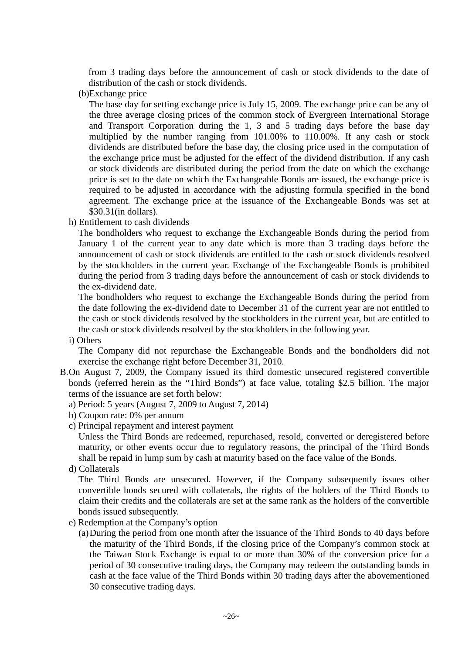from 3 trading days before the announcement of cash or stock dividends to the date of distribution of the cash or stock dividends.

(b)Exchange price

The base day for setting exchange price is July 15, 2009. The exchange price can be any of the three average closing prices of the common stock of Evergreen International Storage and Transport Corporation during the 1, 3 and 5 trading days before the base day multiplied by the number ranging from 101.00% to 110.00%. If any cash or stock dividends are distributed before the base day, the closing price used in the computation of the exchange price must be adjusted for the effect of the dividend distribution. If any cash or stock dividends are distributed during the period from the date on which the exchange price is set to the date on which the Exchangeable Bonds are issued, the exchange price is required to be adjusted in accordance with the adjusting formula specified in the bond agreement. The exchange price at the issuance of the Exchangeable Bonds was set at \$30.31(in dollars).

h) Entitlement to cash dividends

The bondholders who request to exchange the Exchangeable Bonds during the period from January 1 of the current year to any date which is more than 3 trading days before the announcement of cash or stock dividends are entitled to the cash or stock dividends resolved by the stockholders in the current year. Exchange of the Exchangeable Bonds is prohibited during the period from 3 trading days before the announcement of cash or stock dividends to the ex-dividend date.

The bondholders who request to exchange the Exchangeable Bonds during the period from the date following the ex-dividend date to December 31 of the current year are not entitled to the cash or stock dividends resolved by the stockholders in the current year, but are entitled to the cash or stock dividends resolved by the stockholders in the following year.

i) Others

The Company did not repurchase the Exchangeable Bonds and the bondholders did not exercise the exchange right before December 31, 2010.

- B.On August 7, 2009, the Company issued its third domestic unsecured registered convertible bonds (referred herein as the "Third Bonds") at face value, totaling \$2.5 billion. The major terms of the issuance are set forth below:
	- a) Period: 5 years (August 7, 2009 to August 7, 2014)
	- b) Coupon rate: 0% per annum
	- c) Principal repayment and interest payment

Unless the Third Bonds are redeemed, repurchased, resold, converted or deregistered before maturity, or other events occur due to regulatory reasons, the principal of the Third Bonds shall be repaid in lump sum by cash at maturity based on the face value of the Bonds.

d) Collaterals

The Third Bonds are unsecured. However, if the Company subsequently issues other convertible bonds secured with collaterals, the rights of the holders of the Third Bonds to claim their credits and the collaterals are set at the same rank as the holders of the convertible bonds issued subsequently.

- e) Redemption at the Company's option
	- (a)During the period from one month after the issuance of the Third Bonds to 40 days before the maturity of the Third Bonds, if the closing price of the Company's common stock at the Taiwan Stock Exchange is equal to or more than 30% of the conversion price for a period of 30 consecutive trading days, the Company may redeem the outstanding bonds in cash at the face value of the Third Bonds within 30 trading days after the abovementioned 30 consecutive trading days.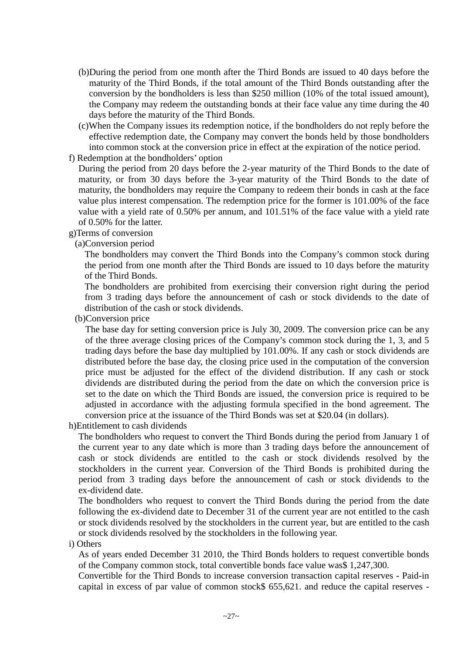- (b)During the period from one month after the Third Bonds are issued to 40 days before the maturity of the Third Bonds, if the total amount of the Third Bonds outstanding after the conversion by the bondholders is less than \$250 million (10% of the total issued amount), the Company may redeem the outstanding bonds at their face value any time during the 40 days before the maturity of the Third Bonds.
- (c)When the Company issues its redemption notice, if the bondholders do not reply before the effective redemption date, the Company may convert the bonds held by those bondholders into common stock at the conversion price in effect at the expiration of the notice period.
- f) Redemption at the bondholders' option

During the period from 20 days before the 2-year maturity of the Third Bonds to the date of maturity, or from 30 days before the 3-year maturity of the Third Bonds to the date of maturity, the bondholders may require the Company to redeem their bonds in cash at the face value plus interest compensation. The redemption price for the former is 101.00% of the face value with a yield rate of 0.50% per annum, and 101.51% of the face value with a yield rate of 0.50% for the latter.

### g)Terms of conversion

### (a)Conversion period

The bondholders may convert the Third Bonds into the Company's common stock during the period from one month after the Third Bonds are issued to 10 days before the maturity of the Third Bonds.

The bondholders are prohibited from exercising their conversion right during the period from 3 trading days before the announcement of cash or stock dividends to the date of distribution of the cash or stock dividends.

### (b)Conversion price

The base day for setting conversion price is July 30, 2009. The conversion price can be any of the three average closing prices of the Company's common stock during the 1, 3, and 5 trading days before the base day multiplied by 101.00%. If any cash or stock dividends are distributed before the base day, the closing price used in the computation of the conversion price must be adjusted for the effect of the dividend distribution. If any cash or stock dividends are distributed during the period from the date on which the conversion price is set to the date on which the Third Bonds are issued, the conversion price is required to be adjusted in accordance with the adjusting formula specified in the bond agreement. The conversion price at the issuance of the Third Bonds was set at \$20.04 (in dollars).

h)Entitlement to cash dividends

The bondholders who request to convert the Third Bonds during the period from January 1 of the current year to any date which is more than 3 trading days before the announcement of cash or stock dividends are entitled to the cash or stock dividends resolved by the stockholders in the current year. Conversion of the Third Bonds is prohibited during the period from 3 trading days before the announcement of cash or stock dividends to the ex-dividend date.

The bondholders who request to convert the Third Bonds during the period from the date following the ex-dividend date to December 31 of the current year are not entitled to the cash or stock dividends resolved by the stockholders in the current year, but are entitled to the cash or stock dividends resolved by the stockholders in the following year.

### i).Others

As of years ended December 31 2010, the Third Bonds holders to request convertible bonds of the Company common stock, total convertible bonds face value was\$ 1,247,300.

Convertible for the Third Bonds to increase conversion transaction capital reserves - Paid-in capital in excess of par value of common stock\$ 655,621. and reduce the capital reserves -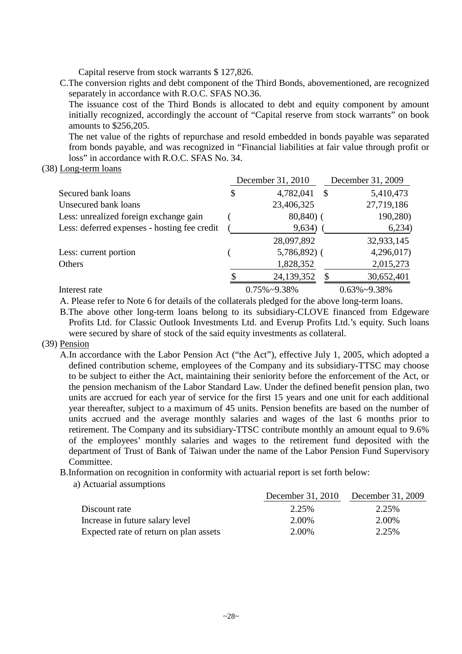Capital reserve from stock warrants \$ 127,826.

C.The conversion rights and debt component of the Third Bonds, abovementioned, are recognized separately in accordance with R.O.C. SFAS NO.36.

The issuance cost of the Third Bonds is allocated to debt and equity component by amount initially recognized, accordingly the account of "Capital reserve from stock warrants" on book amounts to \$256,205.

The net value of the rights of repurchase and resold embedded in bonds payable was separated from bonds payable, and was recognized in "Financial liabilities at fair value through profit or loss" in accordance with R.O.C. SFAS No. 34.

(38) Long-term loans

|                                              | December 31, 2010    | December 31, 2009 |                      |  |
|----------------------------------------------|----------------------|-------------------|----------------------|--|
| Secured bank loans                           | \$<br>4,782,041      | $\mathcal{S}$     | 5,410,473            |  |
| Unsecured bank loans                         | 23,406,325           |                   | 27,719,186           |  |
| Less: unrealized foreign exchange gain       | $80,840$ (           |                   | 190,280)             |  |
| Less: deferred expenses - hosting fee credit | 9,634)               |                   | 6,234)               |  |
|                                              | 28,097,892           |                   | 32,933,145           |  |
| Less: current portion                        | $5,786,892$ (        |                   | 4,296,017            |  |
| Others                                       | 1,828,352            |                   | 2,015,273            |  |
|                                              | 24,139,352           | \$                | 30,652,401           |  |
| Interest rate                                | $0.75\% \sim 9.38\%$ |                   | $0.63\% \sim 9.38\%$ |  |

A. Please refer to Note 6 for details of the collaterals pledged for the above long-term loans.

B.The above other long-term loans belong to its subsidiary-CLOVE financed from Edgeware Profits Ltd. for Classic Outlook Investments Ltd. and Everup Profits Ltd.'s equity. Such loans were secured by share of stock of the said equity investments as collateral.

### (39) Pension

- A.In accordance with the Labor Pension Act ("the Act"), effective July 1, 2005, which adopted a defined contribution scheme, employees of the Company and its subsidiary-TTSC may choose to be subject to either the Act, maintaining their seniority before the enforcement of the Act, or the pension mechanism of the Labor Standard Law. Under the defined benefit pension plan, two units are accrued for each year of service for the first 15 years and one unit for each additional year thereafter, subject to a maximum of 45 units. Pension benefits are based on the number of units accrued and the average monthly salaries and wages of the last 6 months prior to retirement. The Company and its subsidiary-TTSC contribute monthly an amount equal to 9.6% of the employees' monthly salaries and wages to the retirement fund deposited with the department of Trust of Bank of Taiwan under the name of the Labor Pension Fund Supervisory Committee.
- B.Information on recognition in conformity with actuarial report is set forth below:
	- a) Actuarial assumptions

|                                        | December 31, 2010 December 31, 2009 |       |
|----------------------------------------|-------------------------------------|-------|
| Discount rate                          | 2.25%                               | 2.25% |
| Increase in future salary level        | 2.00%                               | 2.00% |
| Expected rate of return on plan assets | 2.00%                               | 2.25% |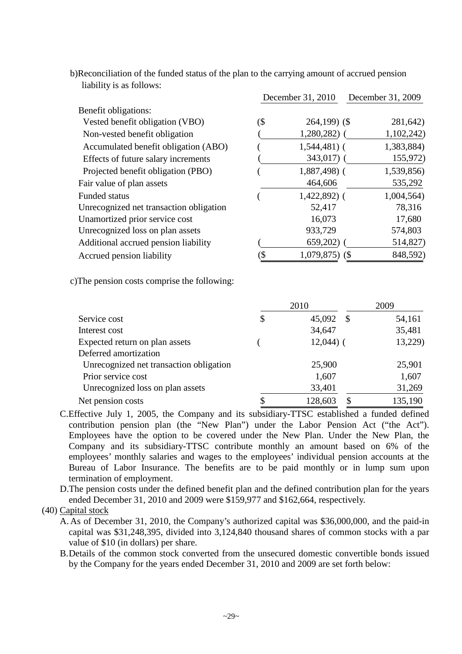| Hublilly to us follows.                 |     |                   |                   |
|-----------------------------------------|-----|-------------------|-------------------|
|                                         |     | December 31, 2010 | December 31, 2009 |
| Benefit obligations:                    |     |                   |                   |
| Vested benefit obligation (VBO)         | (\$ | $264,199$ (\$)    | 281,642)          |
| Non-vested benefit obligation           |     | $1,280,282$ (     | 1,102,242)        |
| Accumulated benefit obligation (ABO)    |     | $1,544,481$ (     | 1,383,884)        |
| Effects of future salary increments     |     | $343,017$ (       | 155,972)          |
| Projected benefit obligation (PBO)      |     | $1,887,498$ (     | 1,539,856)        |
| Fair value of plan assets               |     | 464,606           | 535,292           |
| <b>Funded status</b>                    |     | $1,422,892$ (     | 1,004,564)        |
| Unrecognized net transaction obligation |     | 52,417            | 78,316            |
| Unamortized prior service cost          |     | 16,073            | 17,680            |
| Unrecognized loss on plan assets        |     | 933,729           | 574,803           |
| Additional accrued pension liability    |     | 659,202)          | 514,827)          |
| Accrued pension liability               | (\$ | $1,079,875$ (\$)  | 848,592)          |

b)Reconciliation of the funded status of the plan to the carrying amount of accrued pension liability is as follows:

c)The pension costs comprise the following:

|                                         | 2010                 | 2009    |  |  |
|-----------------------------------------|----------------------|---------|--|--|
| Service cost                            | \$<br>45,092<br>- \$ | 54,161  |  |  |
| Interest cost                           | 34,647               | 35,481  |  |  |
| Expected return on plan assets          | $12,044$ ) (         | 13,229) |  |  |
| Deferred amortization                   |                      |         |  |  |
| Unrecognized net transaction obligation | 25,900               | 25,901  |  |  |
| Prior service cost                      | 1,607                | 1,607   |  |  |
| Unrecognized loss on plan assets        | 33,401               | 31,269  |  |  |
| Net pension costs                       | 128,603<br>\$        | 135,190 |  |  |

C.Effective July 1, 2005, the Company and its subsidiary-TTSC established a funded defined contribution pension plan (the "New Plan") under the Labor Pension Act ("the Act"). Employees have the option to be covered under the New Plan. Under the New Plan, the Company and its subsidiary-TTSC contribute monthly an amount based on 6% of the employees' monthly salaries and wages to the employees' individual pension accounts at the Bureau of Labor Insurance. The benefits are to be paid monthly or in lump sum upon termination of employment.

D.The pension costs under the defined benefit plan and the defined contribution plan for the years ended December 31, 2010 and 2009 were \$159,977 and \$162,664, respectively.

(40) Capital stock

- A. As of December 31, 2010, the Company's authorized capital was \$36,000,000, and the paid-in capital was \$31,248,395, divided into 3,124,840 thousand shares of common stocks with a par value of \$10 (in dollars) per share.
- B.Details of the common stock converted from the unsecured domestic convertible bonds issued by the Company for the years ended December 31, 2010 and 2009 are set forth below: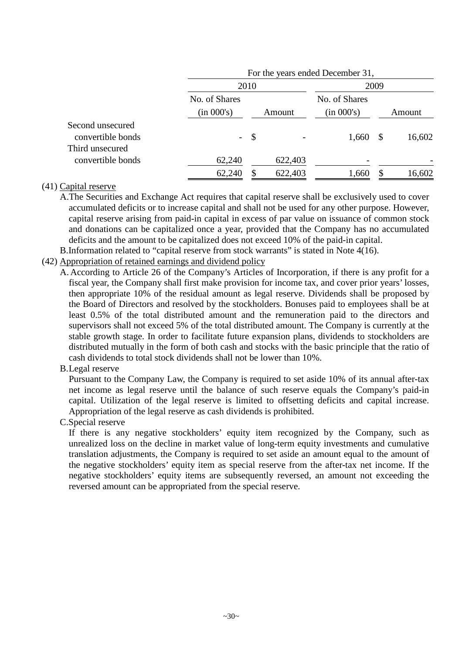|                                                          | For the years ended December 31, |        |         |               |                           |        |  |  |
|----------------------------------------------------------|----------------------------------|--------|---------|---------------|---------------------------|--------|--|--|
|                                                          |                                  | 2010   |         |               | 2009                      |        |  |  |
|                                                          | No. of Shares                    |        |         | No. of Shares |                           |        |  |  |
|                                                          | (in 000's)                       | Amount |         | (in 000's)    |                           | Amount |  |  |
| Second unsecured<br>convertible bonds<br>Third unsecured |                                  | $-$ \$ |         | 1,660         | $\boldsymbol{\mathsf{S}}$ | 16,602 |  |  |
| convertible bonds                                        | 62,240                           |        | 622,403 |               |                           |        |  |  |
|                                                          | 62,240                           | \$     | 622,403 | 1,660         | S                         | 16,602 |  |  |

### (41) Capital reserve

A.The Securities and Exchange Act requires that capital reserve shall be exclusively used to cover accumulated deficits or to increase capital and shall not be used for any other purpose. However, capital reserve arising from paid-in capital in excess of par value on issuance of common stock and donations can be capitalized once a year, provided that the Company has no accumulated deficits and the amount to be capitalized does not exceed 10% of the paid-in capital.

B.Information related to "capital reserve from stock warrants" is stated in Note 4(16).

- (42) Appropriation of retained earnings and dividend policy
	- A. According to Article 26 of the Company's Articles of Incorporation, if there is any profit for a fiscal year, the Company shall first make provision for income tax, and cover prior years' losses, then appropriate 10% of the residual amount as legal reserve. Dividends shall be proposed by the Board of Directors and resolved by the stockholders. Bonuses paid to employees shall be at least 0.5% of the total distributed amount and the remuneration paid to the directors and supervisors shall not exceed 5% of the total distributed amount. The Company is currently at the stable growth stage. In order to facilitate future expansion plans, dividends to stockholders are distributed mutually in the form of both cash and stocks with the basic principle that the ratio of cash dividends to total stock dividends shall not be lower than 10%.

# B.Legal reserve

Pursuant to the Company Law, the Company is required to set aside 10% of its annual after-tax net income as legal reserve until the balance of such reserve equals the Company's paid-in capital. Utilization of the legal reserve is limited to offsetting deficits and capital increase. Appropriation of the legal reserve as cash dividends is prohibited.

# C.Special reserve

If there is any negative stockholders' equity item recognized by the Company, such as unrealized loss on the decline in market value of long-term equity investments and cumulative translation adjustments, the Company is required to set aside an amount equal to the amount of the negative stockholders' equity item as special reserve from the after-tax net income. If the negative stockholders' equity items are subsequently reversed, an amount not exceeding the reversed amount can be appropriated from the special reserve.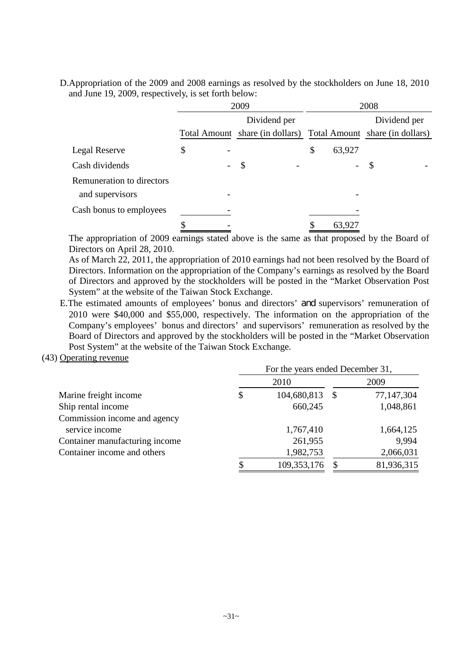D.Appropriation of the 2009 and 2008 earnings as resolved by the stockholders on June 18, 2010 and June 19, 2009, respectively, is set forth below:

|                           |                                | 2009                                                            |              | 2008                                      |
|---------------------------|--------------------------------|-----------------------------------------------------------------|--------------|-------------------------------------------|
|                           |                                | Dividend per                                                    |              | Dividend per                              |
|                           |                                | Total Amount share (in dollars) Total Amount share (in dollars) |              |                                           |
| Legal Reserve             | \$<br>$\overline{\phantom{0}}$ |                                                                 | \$<br>63,927 |                                           |
| Cash dividends            | $\overline{\phantom{a}}$       | $\boldsymbol{\mathsf{S}}$                                       | $\sim$       | $\mathcal{S}$<br>$\overline{\phantom{a}}$ |
| Remuneration to directors |                                |                                                                 |              |                                           |
| and supervisors           |                                |                                                                 |              |                                           |
| Cash bonus to employees   |                                |                                                                 |              |                                           |
|                           |                                |                                                                 | 63,927       |                                           |

The appropriation of 2009 earnings stated above is the same as that proposed by the Board of Directors on April 28, 2010.

As of March 22, 2011, the appropriation of 2010 earnings had not been resolved by the Board of Directors. Information on the appropriation of the Company's earnings as resolved by the Board of Directors and approved by the stockholders will be posted in the "Market Observation Post System" at the website of the Taiwan Stock Exchange.

- E.The estimated amounts of employees' bonus and directors' and supervisors' remuneration of 2010 were \$40,000 and \$55,000, respectively. The information on the appropriation of the Company's employees' bonus and directors' and supervisors' remuneration as resolved by the Board of Directors and approved by the stockholders will be posted in the "Market Observation Post System" at the website of the Taiwan Stock Exchange.
- (43) Operating revenue

|                                | For the years ended December 31, |             |  |            |  |  |  |
|--------------------------------|----------------------------------|-------------|--|------------|--|--|--|
|                                | 2010                             |             |  | 2009       |  |  |  |
| Marine freight income          | \$                               | 104,680,813 |  | 77,147,304 |  |  |  |
| Ship rental income             |                                  | 660,245     |  | 1,048,861  |  |  |  |
| Commission income and agency   |                                  |             |  |            |  |  |  |
| service income                 |                                  | 1,767,410   |  | 1,664,125  |  |  |  |
| Container manufacturing income |                                  | 261,955     |  | 9,994      |  |  |  |
| Container income and others    |                                  | 1,982,753   |  | 2,066,031  |  |  |  |
|                                |                                  | 109,353,176 |  | 81,936,315 |  |  |  |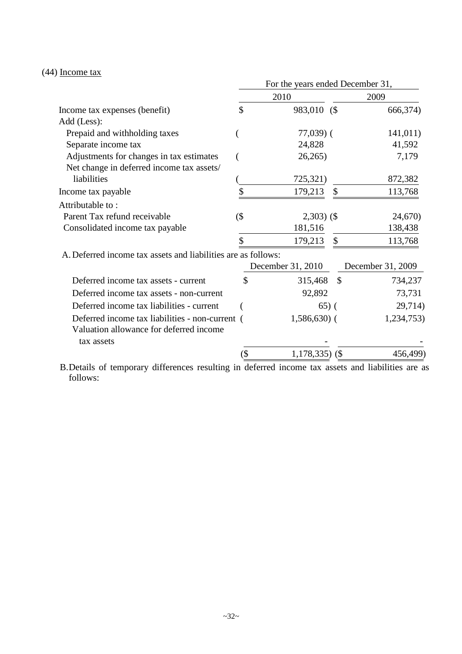# (44) Income tax

|                                                               | For the years ended December 31, |                   |               |                   |  |  |  |  |
|---------------------------------------------------------------|----------------------------------|-------------------|---------------|-------------------|--|--|--|--|
|                                                               | 2010                             |                   |               | 2009              |  |  |  |  |
| Income tax expenses (benefit)                                 | \$                               | 983,010 (\$       |               | 666,374)          |  |  |  |  |
| Add (Less):                                                   |                                  |                   |               |                   |  |  |  |  |
| Prepaid and withholding taxes                                 |                                  | $77,039$ (        |               | 141,011)          |  |  |  |  |
| Separate income tax                                           |                                  | 24,828            |               | 41,592            |  |  |  |  |
| Adjustments for changes in tax estimates                      |                                  | 26,265            |               | 7,179             |  |  |  |  |
| Net change in deferred income tax assets/                     |                                  |                   |               |                   |  |  |  |  |
| liabilities                                                   |                                  | 725,321)          |               | 872,382           |  |  |  |  |
| Income tax payable                                            |                                  | 179,213           | \$            | 113,768           |  |  |  |  |
| Attributable to:                                              |                                  |                   |               |                   |  |  |  |  |
| Parent Tax refund receivable                                  | $($ \$                           | $2,303)$ (\$)     |               | 24,670)           |  |  |  |  |
| Consolidated income tax payable                               |                                  | 181,516           |               | 138,438           |  |  |  |  |
|                                                               |                                  | 179,213           | $\mathcal{S}$ | 113,768           |  |  |  |  |
| A. Deferred income tax assets and liabilities are as follows: |                                  |                   |               |                   |  |  |  |  |
|                                                               |                                  | December 31, 2010 |               | December 31, 2009 |  |  |  |  |
| Deferred income tax assets - current                          | \$                               | 315,468           | $\mathcal{S}$ | 734,237           |  |  |  |  |
| Deferred income tax assets - non-current                      |                                  | 92,892            |               | 73,731            |  |  |  |  |
| Deferred income tax liabilities - current                     |                                  |                   | $(65)$ (      | 29,714)           |  |  |  |  |
| Deferred income tax liabilities - non-current (               |                                  | $1,586,630$ (     |               | 1,234,753)        |  |  |  |  |
| Valuation allowance for deferred income                       |                                  |                   |               |                   |  |  |  |  |
| tax assets                                                    |                                  |                   |               |                   |  |  |  |  |
|                                                               | (\$                              | $1,178,335$ (\$)  |               | 456,499)          |  |  |  |  |

B.Details of temporary differences resulting in deferred income tax assets and liabilities are as follows: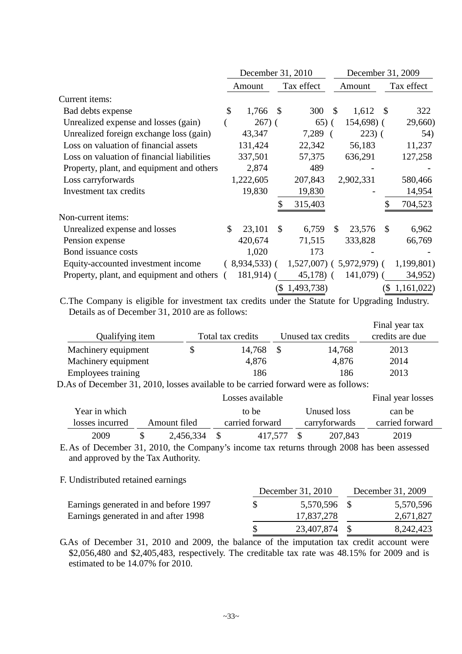|                                            | December 31, 2010 |                 |                            |               | December 31, 2009 |              |       |            |
|--------------------------------------------|-------------------|-----------------|----------------------------|---------------|-------------------|--------------|-------|------------|
|                                            | Amount            |                 |                            | Tax effect    |                   | Amount       |       | Tax effect |
| Current items:                             |                   |                 |                            |               |                   |              |       |            |
| Bad debts expense                          | \$                | 1,766           | -\$                        | 300           | <sup>S</sup>      | $1,612$ \$   |       | 322        |
| Unrealized expense and losses (gain)       |                   | $267)$ (        |                            | $65)$ (       |                   | 154,698) (   |       | 29,660)    |
| Unrealized foreign exchange loss (gain)    |                   | 43,347          |                            | 7,289 (       |                   | $223)$ (     |       | 54)        |
| Loss on valuation of financial assets      |                   | 131,424         |                            | 22,342        |                   | 56,183       |       | 11,237     |
| Loss on valuation of financial liabilities |                   | 337,501         |                            | 57,375        |                   | 636,291      |       | 127,258    |
| Property, plant, and equipment and others  |                   | 2,874           |                            | 489           |                   |              |       |            |
| Loss carryforwards                         |                   | 1,222,605       |                            | 207,843       |                   | 2,902,331    |       | 580,466    |
| Investment tax credits                     |                   | 19,830          |                            | 19,830        |                   |              |       | 14,954     |
|                                            |                   |                 |                            | 315,403       |                   |              | \$    | 704,523    |
| Non-current items:                         |                   |                 |                            |               |                   |              |       |            |
| Unrealized expense and losses              | \$                | 23,101          | \$                         | 6,759         | \$.               | 23,576       | \$    | 6,962      |
| Pension expense                            |                   | 420,674         |                            | 71,515        |                   | 333,828      |       | 66,769     |
| Bond issuance costs                        |                   | 1,020           |                            | 173           |                   |              |       |            |
| Equity-accounted investment income         |                   | $(8,934,533)$ ( |                            | $1,527,007$ ( |                   | 5,972,979) ( |       | 1,199,801) |
| Property, plant, and equipment and others  |                   | $181,914$ ) (   |                            | $45,178$ (    |                   | $141,079$ )  |       | 34,952)    |
|                                            |                   |                 | $\left( \mathbb{S}\right)$ | 1,493,738)    |                   |              | $\Im$ | 1,161,022  |

C.The Company is eligible for investment tax credits under the Statute for Upgrading Industry. Details as of December 31, 2010 are as follows:

| Qualifying item     | Total tax credits | Unused tax credits | Final year tax<br>credits are due |
|---------------------|-------------------|--------------------|-----------------------------------|
| Machinery equipment | 14,768            | 14,768             | 2013                              |
| Machinery equipment | 4,876             | 4,876              | 2014                              |
| Employees training  | 186               | 186                | 2013                              |

D.As of December 31, 2010, losses available to be carried forward were as follows:

|                 | Losses available |                                  |               |                 |  |  |
|-----------------|------------------|----------------------------------|---------------|-----------------|--|--|
| Year in which   |                  | to be                            | Unused loss   | can be          |  |  |
| losses incurred | Amount filed     | carried forward<br>carryforwards |               | carried forward |  |  |
| 2009            | 2,456,334        | 417.577                          | -8<br>207,843 | 2019            |  |  |
|                 | $21.2010 \pm 7$  |                                  | 1.0001        |                 |  |  |

E.As of December 31, 2010, the Company's income tax returns through 2008 has been assessed and approved by the Tax Authority.

#### F. Undistributed retained earnings

|                                       | December 31, 2010 | December 31, 2009 |           |  |
|---------------------------------------|-------------------|-------------------|-----------|--|
| Earnings generated in and before 1997 | 5,570,596 \$      |                   | 5,570,596 |  |
| Earnings generated in and after 1998  | 17,837,278        |                   | 2,671,827 |  |
|                                       | 23,407,874        |                   | 8,242,423 |  |

G.As of December 31, 2010 and 2009, the balance of the imputation tax credit account were \$2,056,480 and \$2,405,483, respectively. The creditable tax rate was 48.15% for 2009 and is estimated to be 14.07% for 2010.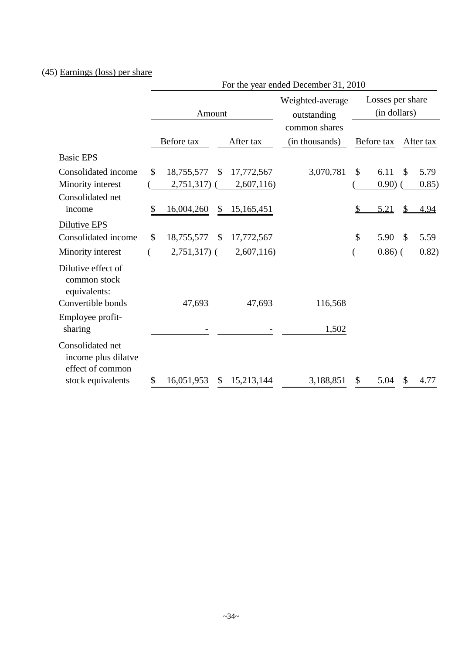# (45) Earnings (loss) per share

|                                                             |                                  | For the year ended December 31, 2010         |                                     |  |  |  |
|-------------------------------------------------------------|----------------------------------|----------------------------------------------|-------------------------------------|--|--|--|
|                                                             | Amount                           | Weighted-average<br>outstanding              | Losses per share<br>(in dollars)    |  |  |  |
|                                                             | Before tax                       | common shares<br>After tax<br>(in thousands) | Before tax<br>After tax             |  |  |  |
| <b>Basic EPS</b>                                            |                                  |                                              |                                     |  |  |  |
| Consolidated income                                         | \$<br>18,755,577<br>\$           | 3,070,781<br>17,772,567                      | \$<br>6.11<br>$\mathcal{S}$<br>5.79 |  |  |  |
| Minority interest                                           | 2,751,317)                       | 2,607,116)                                   | 0.90)<br>0.85)                      |  |  |  |
| Consolidated net                                            |                                  |                                              |                                     |  |  |  |
| income                                                      | \$<br>16,004,260<br>\$           | 15,165,451                                   | 5.21<br>4.94                        |  |  |  |
| Dilutive EPS                                                |                                  |                                              |                                     |  |  |  |
| Consolidated income                                         | \$<br>18,755,577<br>$\mathbb{S}$ | 17,772,567                                   | \$<br>5.90<br>$\mathcal{S}$<br>5.59 |  |  |  |
| Minority interest                                           | $2,751,317$ ) (                  | 2,607,116                                    | $0.86$ ) (<br>0.82)                 |  |  |  |
| Dilutive effect of<br>common stock<br>equivalents:          |                                  |                                              |                                     |  |  |  |
| Convertible bonds                                           | 47,693                           | 47,693<br>116,568                            |                                     |  |  |  |
| Employee profit-<br>sharing                                 |                                  | 1,502                                        |                                     |  |  |  |
| Consolidated net<br>income plus dilatve<br>effect of common |                                  |                                              |                                     |  |  |  |
| stock equivalents                                           | \$<br>16,051,953<br>\$           | 15,213,144<br>3,188,851                      | \$<br>5.04<br>\$<br>4.77            |  |  |  |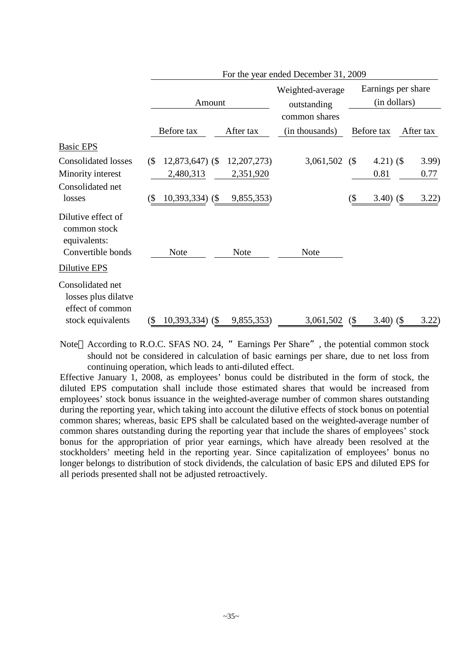|                                                                                         |               | For the year ended December 31, 2009              |                                          |                                                  |                                    |                                      |  |                        |  |  |
|-----------------------------------------------------------------------------------------|---------------|---------------------------------------------------|------------------------------------------|--------------------------------------------------|------------------------------------|--------------------------------------|--|------------------------|--|--|
|                                                                                         |               | Amount                                            |                                          | Weighted-average<br>outstanding<br>common shares | Earnings per share<br>(in dollars) |                                      |  |                        |  |  |
|                                                                                         |               | Before tax                                        | After tax                                | (in thousands)                                   |                                    | Before tax                           |  | After tax              |  |  |
| <b>Basic EPS</b>                                                                        |               |                                                   |                                          |                                                  |                                    |                                      |  |                        |  |  |
| <b>Consolidated losses</b><br>Minority interest<br>Consolidated net<br>losses           | $($ \$<br>(\$ | 12,873,647) (\$<br>2,480,313<br>$10,393,334$ (\$) | 12, 207, 273)<br>2,351,920<br>9,855,353) | 3,061,502                                        | (<br>(\$                           | 4.21 $)$ (\$<br>0.81<br>$3.40)$ (\$) |  | 3.99)<br>0.77<br>3.22) |  |  |
| Dilutive effect of<br>common stock<br>equivalents:<br>Convertible bonds<br>Dilutive EPS |               | <b>Note</b>                                       | <b>Note</b>                              | <b>Note</b>                                      |                                    |                                      |  |                        |  |  |
| Consolidated net<br>losses plus dilatve<br>effect of common<br>stock equivalents        | $\Im$         | $10,393,334$ (\$)                                 | 9,855,353)                               | 3,061,502                                        | (                                  | $3.40)$ (\$                          |  | 3.22)                  |  |  |

Note According to R.O.C. SFAS NO. 24, " Earnings Per Share", the potential common stock should not be considered in calculation of basic earnings per share, due to net loss from continuing operation, which leads to anti-diluted effect.

Effective January 1, 2008, as employees' bonus could be distributed in the form of stock, the diluted EPS computation shall include those estimated shares that would be increased from employees' stock bonus issuance in the weighted-average number of common shares outstanding during the reporting year, which taking into account the dilutive effects of stock bonus on potential common shares; whereas, basic EPS shall be calculated based on the weighted-average number of common shares outstanding during the reporting year that include the shares of employees' stock bonus for the appropriation of prior year earnings, which have already been resolved at the stockholders' meeting held in the reporting year. Since capitalization of employees' bonus no longer belongs to distribution of stock dividends, the calculation of basic EPS and diluted EPS for all periods presented shall not be adjusted retroactively.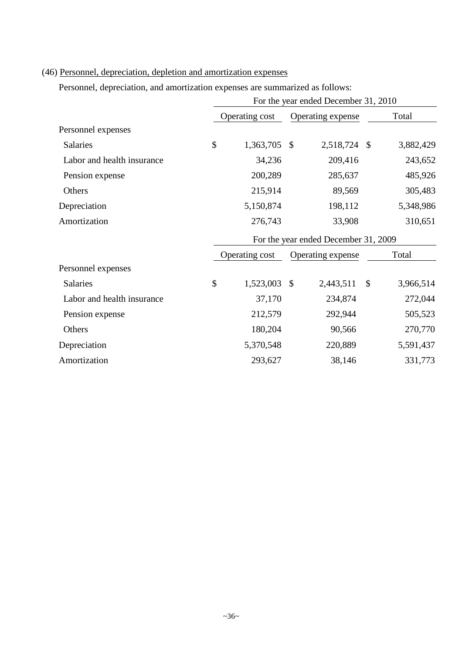# (46) Personnel, depreciation, depletion and amortization expenses

Personnel, depreciation, and amortization expenses are summarized as follows:

|                            | For the year ended December 31, 2010 |                |                   |              |               |           |  |  |  |
|----------------------------|--------------------------------------|----------------|-------------------|--------------|---------------|-----------|--|--|--|
|                            |                                      | Operating cost | Operating expense |              | Total         |           |  |  |  |
| Personnel expenses         |                                      |                |                   |              |               |           |  |  |  |
| <b>Salaries</b>            | \$                                   | 1,363,705      | -\$               | 2,518,724 \$ |               | 3,882,429 |  |  |  |
| Labor and health insurance |                                      | 34,236         |                   | 209,416      |               | 243,652   |  |  |  |
| Pension expense            |                                      | 200,289        |                   | 285,637      |               | 485,926   |  |  |  |
| Others                     |                                      | 215,914        |                   | 89,569       |               | 305,483   |  |  |  |
| Depreciation               |                                      | 5,150,874      |                   | 198,112      |               | 5,348,986 |  |  |  |
| Amortization               |                                      | 276,743        |                   | 33,908       |               | 310,651   |  |  |  |
|                            | For the year ended December 31, 2009 |                |                   |              |               |           |  |  |  |
|                            |                                      | Operating cost | Operating expense |              | Total         |           |  |  |  |
| Personnel expenses         |                                      |                |                   |              |               |           |  |  |  |
| <b>Salaries</b>            | \$                                   | 1,523,003 \$   |                   | 2,443,511    | $\mathcal{S}$ | 3,966,514 |  |  |  |
| Labor and health insurance |                                      | 37,170         |                   | 234,874      |               | 272,044   |  |  |  |
| Pension expense            |                                      | 212,579        |                   | 292,944      |               | 505,523   |  |  |  |
| Others                     |                                      | 180,204        |                   | 90,566       |               | 270,770   |  |  |  |
| Depreciation               |                                      | 5,370,548      |                   | 220,889      |               | 5,591,437 |  |  |  |
| Amortization               |                                      | 293,627        |                   | 38,146       |               | 331,773   |  |  |  |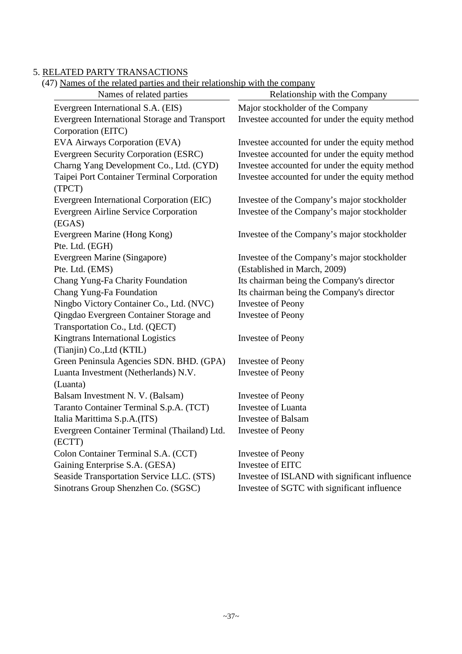### 5. RELATED PARTY TRANSACTIONS

(47) Names of the related parties and their relationship with the company

| <u>I raines of the related parties and their relationship with the company</u><br>Names of related parties | Relationship with the Company                  |  |  |  |  |  |
|------------------------------------------------------------------------------------------------------------|------------------------------------------------|--|--|--|--|--|
| Evergreen International S.A. (EIS)                                                                         | Major stockholder of the Company               |  |  |  |  |  |
| Evergreen International Storage and Transport                                                              | Investee accounted for under the equity method |  |  |  |  |  |
| Corporation (EITC)                                                                                         |                                                |  |  |  |  |  |
| EVA Airways Corporation (EVA)                                                                              | Investee accounted for under the equity method |  |  |  |  |  |
| Evergreen Security Corporation (ESRC)                                                                      | Investee accounted for under the equity method |  |  |  |  |  |
| Charng Yang Development Co., Ltd. (CYD)                                                                    | Investee accounted for under the equity method |  |  |  |  |  |
| Taipei Port Container Terminal Corporation                                                                 | Investee accounted for under the equity method |  |  |  |  |  |
| (TPCT)                                                                                                     |                                                |  |  |  |  |  |
| Evergreen International Corporation (EIC)                                                                  | Investee of the Company's major stockholder    |  |  |  |  |  |
| <b>Evergreen Airline Service Corporation</b>                                                               | Investee of the Company's major stockholder    |  |  |  |  |  |
| (EGAS)                                                                                                     |                                                |  |  |  |  |  |
| Evergreen Marine (Hong Kong)                                                                               | Investee of the Company's major stockholder    |  |  |  |  |  |
| Pte. Ltd. (EGH)                                                                                            |                                                |  |  |  |  |  |
| Evergreen Marine (Singapore)                                                                               | Investee of the Company's major stockholder    |  |  |  |  |  |
| Pte. Ltd. (EMS)                                                                                            | (Established in March, 2009)                   |  |  |  |  |  |
| Chang Yung-Fa Charity Foundation                                                                           | Its chairman being the Company's director      |  |  |  |  |  |
| Chang Yung-Fa Foundation                                                                                   | Its chairman being the Company's director      |  |  |  |  |  |
| Ningbo Victory Container Co., Ltd. (NVC)                                                                   | <b>Investee of Peony</b>                       |  |  |  |  |  |
| Qingdao Evergreen Container Storage and                                                                    | <b>Investee of Peony</b>                       |  |  |  |  |  |
| Transportation Co., Ltd. (QECT)                                                                            |                                                |  |  |  |  |  |
| Kingtrans International Logistics                                                                          | <b>Investee of Peony</b>                       |  |  |  |  |  |
| (Tianjin) Co., Ltd (KTIL)                                                                                  |                                                |  |  |  |  |  |
| Green Peninsula Agencies SDN. BHD. (GPA)                                                                   | <b>Investee of Peony</b>                       |  |  |  |  |  |
| Luanta Investment (Netherlands) N.V.                                                                       | <b>Investee of Peony</b>                       |  |  |  |  |  |
| (Luanta)                                                                                                   |                                                |  |  |  |  |  |
| Balsam Investment N. V. (Balsam)                                                                           | <b>Investee of Peony</b>                       |  |  |  |  |  |
| Taranto Container Terminal S.p.A. (TCT)                                                                    | <b>Investee of Luanta</b>                      |  |  |  |  |  |
| Italia Marittima S.p.A.(ITS)                                                                               | <b>Investee of Balsam</b>                      |  |  |  |  |  |
| Evergreen Container Terminal (Thailand) Ltd.                                                               | <b>Investee of Peony</b>                       |  |  |  |  |  |
| (ECTT)                                                                                                     |                                                |  |  |  |  |  |
| Colon Container Terminal S.A. (CCT)                                                                        | <b>Investee of Peony</b>                       |  |  |  |  |  |
| Gaining Enterprise S.A. (GESA)                                                                             | Investee of EITC                               |  |  |  |  |  |
| Seaside Transportation Service LLC. (STS)                                                                  | Investee of ISLAND with significant influence  |  |  |  |  |  |
| Sinotrans Group Shenzhen Co. (SGSC)                                                                        | Investee of SGTC with significant influence    |  |  |  |  |  |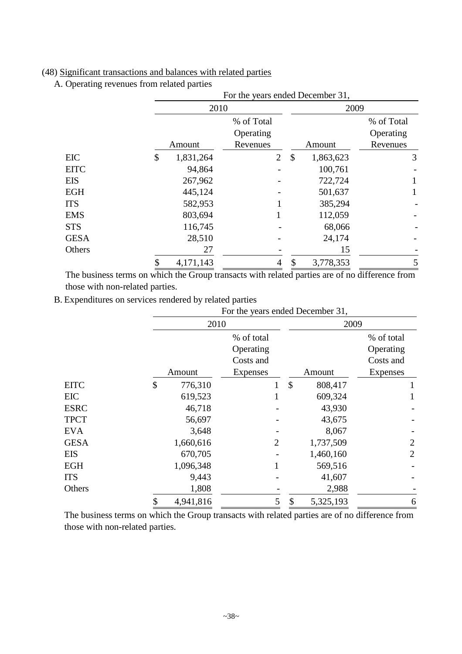### (48) Significant transactions and balances with related parties

A. Operating revenues from related parties

|             |                 | For the years ended December 31, |                                        |            |  |  |  |  |
|-------------|-----------------|----------------------------------|----------------------------------------|------------|--|--|--|--|
|             | 2010            |                                  | 2009                                   |            |  |  |  |  |
|             |                 | % of Total                       |                                        | % of Total |  |  |  |  |
|             |                 | Operating                        |                                        | Operating  |  |  |  |  |
|             | Amount          | Revenues                         | Amount                                 | Revenues   |  |  |  |  |
| <b>EIC</b>  | \$<br>1,831,264 | 2                                | $\boldsymbol{\mathsf{S}}$<br>1,863,623 | 3          |  |  |  |  |
| <b>EITC</b> | 94,864          |                                  | 100,761                                |            |  |  |  |  |
| <b>EIS</b>  | 267,962         |                                  | 722,724                                |            |  |  |  |  |
| <b>EGH</b>  | 445,124         |                                  | 501,637                                |            |  |  |  |  |
| <b>ITS</b>  | 582,953         |                                  | 385,294                                |            |  |  |  |  |
| <b>EMS</b>  | 803,694         |                                  | 112,059                                |            |  |  |  |  |
| <b>STS</b>  | 116,745         |                                  | 68,066                                 |            |  |  |  |  |
| <b>GESA</b> | 28,510          |                                  | 24,174                                 |            |  |  |  |  |
| Others      | 27              |                                  | 15                                     |            |  |  |  |  |
|             | \$<br>4,171,143 | 4                                | \$<br>3,778,353                        | 5          |  |  |  |  |

The business terms on which the Group transacts with related parties are of no difference from those with non-related parties.

B. Expenditures on services rendered by related parties

|             |                 | For the years ended December 31, |                |    |            |                |  |  |  |  |  |
|-------------|-----------------|----------------------------------|----------------|----|------------|----------------|--|--|--|--|--|
|             |                 | 2010                             |                |    | 2009       |                |  |  |  |  |  |
|             |                 | % of total                       |                |    | % of total |                |  |  |  |  |  |
|             |                 | Operating                        |                |    |            | Operating      |  |  |  |  |  |
|             |                 | Costs and                        |                |    |            | Costs and      |  |  |  |  |  |
|             | Amount          | Expenses                         |                |    | Amount     | Expenses       |  |  |  |  |  |
| <b>EITC</b> | \$<br>776,310   |                                  |                | \$ | 808,417    |                |  |  |  |  |  |
| <b>EIC</b>  | 619,523         |                                  |                |    | 609,324    |                |  |  |  |  |  |
| <b>ESRC</b> |                 | 46,718                           |                |    | 43,930     |                |  |  |  |  |  |
| <b>TPCT</b> |                 | 56,697                           |                |    | 43,675     |                |  |  |  |  |  |
| <b>EVA</b>  |                 | 3,648                            |                |    | 8,067      |                |  |  |  |  |  |
| <b>GESA</b> | 1,660,616       |                                  | $\overline{2}$ |    | 1,737,509  | $\overline{2}$ |  |  |  |  |  |
| <b>EIS</b>  | 670,705         |                                  |                |    | 1,460,160  | $\overline{2}$ |  |  |  |  |  |
| <b>EGH</b>  | 1,096,348       |                                  |                |    | 569,516    |                |  |  |  |  |  |
| <b>ITS</b>  |                 | 9,443                            |                |    | 41,607     |                |  |  |  |  |  |
| Others      |                 | 1,808                            |                |    | 2,988      |                |  |  |  |  |  |
|             | \$<br>4,941,816 |                                  | 5              | \$ | 5,325,193  | 6              |  |  |  |  |  |

The business terms on which the Group transacts with related parties are of no difference from those with non-related parties.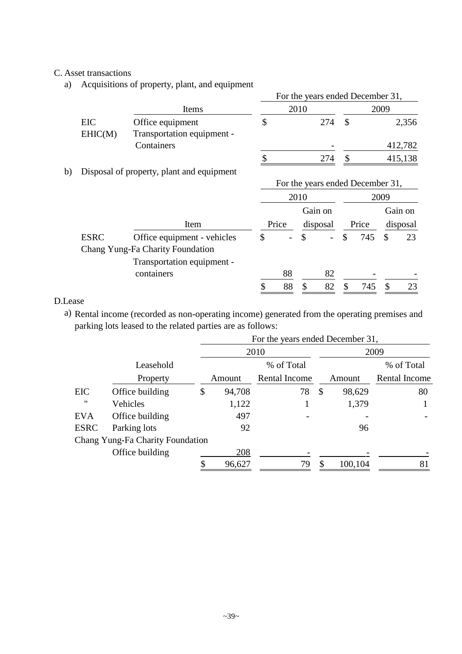## C. Asset transactions

a) Acquisitions of property, plant, and equipment

|                |                                                | For the years ended December 31, |      |      |         |  |  |  |  |
|----------------|------------------------------------------------|----------------------------------|------|------|---------|--|--|--|--|
|                | Items                                          |                                  | 2010 | 2009 |         |  |  |  |  |
| EIC<br>EHIC(M) | Office equipment<br>Transportation equipment - |                                  | 274  |      | 2,356   |  |  |  |  |
|                | Containers                                     |                                  |      |      | 412,782 |  |  |  |  |
|                |                                                |                                  | 274  |      | 415,138 |  |  |  |  |

b) Disposal of property, plant and equipment

|             |                                                                 | For the years ended December 31, |                              |          |          |       |         |          |    |
|-------------|-----------------------------------------------------------------|----------------------------------|------------------------------|----------|----------|-------|---------|----------|----|
|             |                                                                 |                                  | 2010                         |          |          |       |         | 2009     |    |
|             |                                                                 |                                  | Gain on<br>Price<br>disposal |          |          |       | Gain on |          |    |
|             | Item                                                            |                                  |                              |          |          | Price |         | disposal |    |
| <b>ESRC</b> | Office equipment - vehicles<br>Chang Yung-Fa Charity Foundation |                                  | -                            | \$       |          | \$    | 745     | S        | 23 |
|             | Transportation equipment -<br>containers                        |                                  | 88<br>88                     | <b>S</b> | 82<br>82 |       | 745     | -S       | 23 |

## D.Lease

a) Rental income (recorded as non-operating income) generated from the operating premises and parking lots leased to the related parties are as follows:

|                   |                                  |    | For the years ended December 31, |               |               |            |               |  |  |  |  |  |
|-------------------|----------------------------------|----|----------------------------------|---------------|---------------|------------|---------------|--|--|--|--|--|
|                   |                                  |    | 2010                             | 2009          |               |            |               |  |  |  |  |  |
|                   | Leasehold                        |    |                                  | % of Total    |               | % of Total |               |  |  |  |  |  |
|                   | Property                         |    | Amount                           | Rental Income |               | Amount     | Rental Income |  |  |  |  |  |
| EIC               | Office building                  | \$ | 94,708                           | 78            | $\mathcal{S}$ | 98,629     | 80            |  |  |  |  |  |
| $^{\prime\prime}$ | Vehicles                         |    | 1,122                            |               |               | 1,379      |               |  |  |  |  |  |
| <b>EVA</b>        | Office building                  |    | 497                              |               |               |            |               |  |  |  |  |  |
| <b>ESRC</b>       | Parking lots                     |    | 92                               |               |               | 96         |               |  |  |  |  |  |
|                   | Chang Yung-Fa Charity Foundation |    |                                  |               |               |            |               |  |  |  |  |  |
|                   | Office building                  |    | 208                              |               |               |            |               |  |  |  |  |  |
|                   |                                  |    | 96,627                           | 79            |               | 100,104    | 81            |  |  |  |  |  |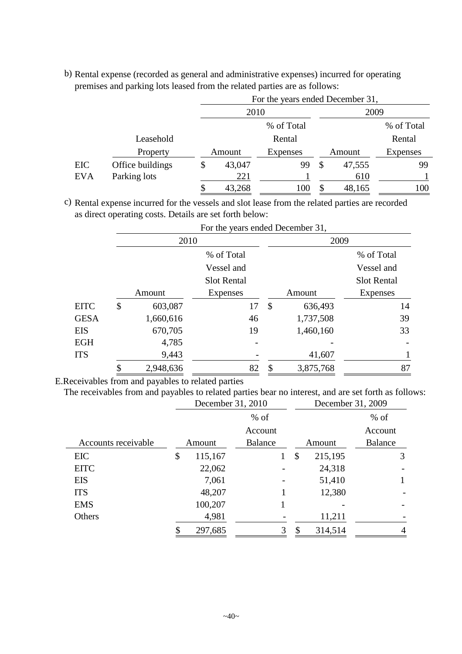b) Rental expense (recorded as general and administrative expenses) incurred for operating premises and parking lots leased from the related parties are as follows:

|            |                  | For the years ended December 31, |            |        |        |                 |  |  |  |
|------------|------------------|----------------------------------|------------|--------|--------|-----------------|--|--|--|
|            |                  | 2010                             |            |        | 2009   |                 |  |  |  |
|            |                  |                                  | % of Total |        |        | % of Total      |  |  |  |
|            | Leasehold        |                                  | Rental     |        |        | Rental          |  |  |  |
|            | Property         | Amount                           | Expenses   | Amount |        | <b>Expenses</b> |  |  |  |
| EIC        | Office buildings | \$<br>43,047                     | 99         | \$     | 47,555 | 99              |  |  |  |
| <b>EVA</b> | Parking lots     | 221                              |            |        | 610    |                 |  |  |  |
|            |                  | \$<br>43,268                     | 100        | S      | 48,165 | 100             |  |  |  |

c) Rental expense incurred for the vessels and slot lease from the related parties are recorded as direct operating costs. Details are set forth below:

|             |               | For the years ended December 31, |                 |                    |  |  |  |  |  |
|-------------|---------------|----------------------------------|-----------------|--------------------|--|--|--|--|--|
|             | 2010          |                                  | 2009            |                    |  |  |  |  |  |
|             |               | % of Total                       |                 | % of Total         |  |  |  |  |  |
|             |               | Vessel and                       |                 | Vessel and         |  |  |  |  |  |
|             |               | <b>Slot Rental</b>               |                 | <b>Slot Rental</b> |  |  |  |  |  |
|             | Amount        | <b>Expenses</b>                  | Amount          | <b>Expenses</b>    |  |  |  |  |  |
| <b>EITC</b> | \$<br>603,087 | 17                               | \$<br>636,493   | 14                 |  |  |  |  |  |
| <b>GESA</b> | 1,660,616     | 46                               | 1,737,508       | 39                 |  |  |  |  |  |
| EIS         | 670,705       | 19                               | 1,460,160       | 33                 |  |  |  |  |  |
| EGH         | 4,785         |                                  |                 |                    |  |  |  |  |  |
| <b>ITS</b>  | 9,443         |                                  | 41,607          |                    |  |  |  |  |  |
|             | 2,948,636     | 82                               | \$<br>3,875,768 | 87                 |  |  |  |  |  |

For the years ended December 31,

E.Receivables from and payables to related parties

The receivables from and payables to related parties bear no interest, and are set forth as follows: December 31, 2010 December 31, 2009

|                     |        | December $31, 2010$ |                |   | December 31, 2009 |         |                |   |
|---------------------|--------|---------------------|----------------|---|-------------------|---------|----------------|---|
|                     |        |                     | $%$ of         |   |                   |         | $%$ of         |   |
|                     |        | Account             |                |   |                   |         | Account        |   |
| Accounts receivable | Amount |                     | <b>Balance</b> |   |                   | Amount  | <b>Balance</b> |   |
| <b>EIC</b>          | \$     | 115,167             |                |   | \$                | 215,195 |                | 3 |
| <b>EITC</b>         |        | 22,062              |                |   |                   | 24,318  |                |   |
| <b>EIS</b>          |        | 7,061               |                |   |                   | 51,410  |                |   |
| <b>ITS</b>          |        | 48,207              |                |   |                   | 12,380  |                |   |
| <b>EMS</b>          |        | 100,207             |                |   |                   |         |                |   |
| Others              |        | 4,981               |                |   |                   | 11,211  |                |   |
|                     |        | 297,685             |                | 3 | \$                | 314,514 |                |   |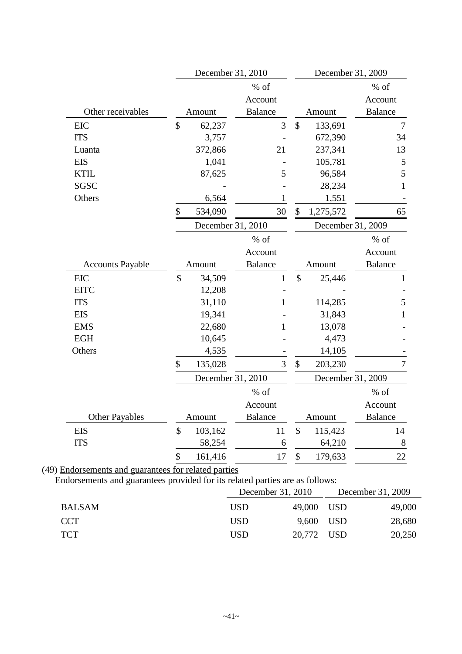|                         | December 31, 2010 |                |               | December 31, 2009 |                  |  |
|-------------------------|-------------------|----------------|---------------|-------------------|------------------|--|
|                         |                   | $\%$ of        |               |                   | $%$ of           |  |
|                         |                   | Account        |               |                   | Account          |  |
| Other receivables       | Amount            | <b>Balance</b> |               | Amount            | <b>Balance</b>   |  |
| <b>EIC</b>              | \$<br>62,237      | 3              | $\mathcal{S}$ | 133,691           | $\boldsymbol{7}$ |  |
| <b>ITS</b>              | 3,757             |                |               | 672,390           | 34               |  |
| Luanta                  | 372,866           | 21             |               | 237,341           | 13               |  |
| <b>EIS</b>              | 1,041             |                |               | 105,781           | 5                |  |
| <b>KTIL</b>             | 87,625            | 5              |               | 96,584            | 5                |  |
| SGSC                    |                   |                |               | 28,234            | 1                |  |
| Others                  | 6,564             | 1              |               | 1,551             |                  |  |
|                         | \$<br>534,090     | 30             | \$            | 1,275,572         | 65               |  |
|                         | December 31, 2010 |                |               | December 31, 2009 |                  |  |
|                         |                   | $%$ of         |               |                   | % of             |  |
|                         |                   | Account        |               |                   | Account          |  |
| <b>Accounts Payable</b> | Amount            | <b>Balance</b> |               | Amount            | <b>Balance</b>   |  |
| <b>EIC</b>              | \$<br>34,509      | $\mathbf{1}$   | \$            | 25,446            | $\mathbf{1}$     |  |
| <b>EITC</b>             | 12,208            |                |               |                   |                  |  |
| <b>ITS</b>              | 31,110            | 1              |               | 114,285           | 5                |  |
| <b>EIS</b>              | 19,341            |                |               | 31,843            |                  |  |
| <b>EMS</b>              | 22,680            | 1              |               | 13,078            |                  |  |
| <b>EGH</b>              | 10,645            |                |               | 4,473             |                  |  |
| Others                  | 4,535             |                |               | 14,105            |                  |  |
|                         | \$<br>135,028     | 3              | \$            | 203,230           |                  |  |
|                         | December 31, 2010 |                |               | December 31, 2009 |                  |  |
|                         |                   | $%$ of         |               |                   | % of             |  |
|                         |                   | Account        |               |                   | Account          |  |
| <b>Other Payables</b>   | Amount            | <b>Balance</b> |               | Amount            | <b>Balance</b>   |  |
| <b>EIS</b>              | \$<br>103,162     | 11             | \$            | 115,423           | 14               |  |
| <b>ITS</b>              | 58,254            | 6              |               | 64,210            | $8\,$            |  |
|                         | \$<br>161,416     | 17             | $\$$          | 179,633           | $22\,$           |  |

Endorsements and guarantees provided for its related parties are as follows:

|               |            | December 31, 2010 | December 31, 2009 |        |  |
|---------------|------------|-------------------|-------------------|--------|--|
| <b>BALSAM</b> | <b>USD</b> | 49,000 USD        |                   | 49,000 |  |
| <b>CCT</b>    | <b>USD</b> | 9,600 USD         |                   | 28,680 |  |
| <b>TCT</b>    | <b>USD</b> | 20,772 USD        |                   | 20,250 |  |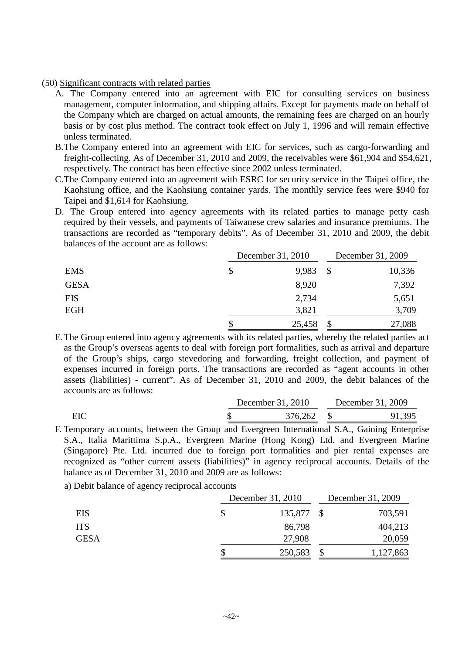#### (50) Significant contracts with related parties

- A. The Company entered into an agreement with EIC for consulting services on business management, computer information, and shipping affairs. Except for payments made on behalf of the Company which are charged on actual amounts, the remaining fees are charged on an hourly basis or by cost plus method. The contract took effect on July 1, 1996 and will remain effective unless terminated.
- B.The Company entered into an agreement with EIC for services, such as cargo-forwarding and freight-collecting. As of December 31, 2010 and 2009, the receivables were \$61,904 and \$54,621, respectively. The contract has been effective since 2002 unless terminated.
- C.The Company entered into an agreement with ESRC for security service in the Taipei office, the Kaohsiung office, and the Kaohsiung container yards. The monthly service fees were \$940 for Taipei and \$1,614 for Kaohsiung.
- D. The Group entered into agency agreements with its related parties to manage petty cash required by their vessels, and payments of Taiwanese crew salaries and insurance premiums. The transactions are recorded as "temporary debits". As of December 31, 2010 and 2009, the debit balances of the account are as follows:

|             |   | December 31, 2010 |     | December 31, 2009 |  |
|-------------|---|-------------------|-----|-------------------|--|
| <b>EMS</b>  | S | 9,983             | -\$ | 10,336            |  |
| <b>GESA</b> |   | 8,920             |     | 7,392             |  |
| <b>EIS</b>  |   | 2,734             |     | 5,651             |  |
| <b>EGH</b>  |   | 3,821             |     | 3,709             |  |
|             |   | 25,458            | \$  | 27,088            |  |

E.The Group entered into agency agreements with its related parties, whereby the related parties act as the Group's overseas agents to deal with foreign port formalities, such as arrival and departure of the Group's ships, cargo stevedoring and forwarding, freight collection, and payment of expenses incurred in foreign ports. The transactions are recorded as "agent accounts in other assets (liabilities) - current". As of December 31, 2010 and 2009, the debit balances of the accounts are as follows:

|     | December 31, 2010 | December 31, 2009 |
|-----|-------------------|-------------------|
| EIC | 376,262           | 91,395            |

- F. Temporary accounts, between the Group and Evergreen International S.A., Gaining Enterprise S.A., Italia Marittima S.p.A., Evergreen Marine (Hong Kong) Ltd. and Evergreen Marine (Singapore) Pte. Ltd. incurred due to foreign port formalities and pier rental expenses are recognized as "other current assets (liabilities)" in agency reciprocal accounts. Details of the balance as of December 31, 2010 and 2009 are as follows:
	- a) Debit balance of agency reciprocal accounts

|             | December 31, 2010 | December 31, 2009 |
|-------------|-------------------|-------------------|
| EIS         | 135,877           | 703,591           |
| <b>ITS</b>  | 86,798            | 404,213           |
| <b>GESA</b> | 27,908            | 20,059            |
|             | 250,583           | 1,127,863         |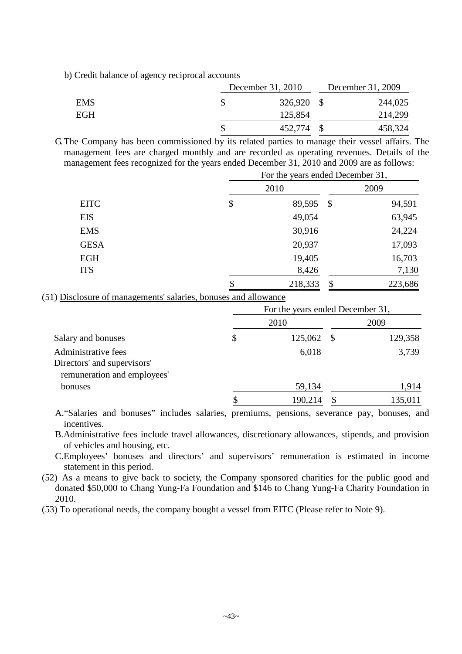b) Credit balance of agency reciprocal accounts

|            | December 31, 2010 |  | December 31, 2009 |  |
|------------|-------------------|--|-------------------|--|
| <b>EMS</b> | 326,920 \$        |  | 244,025           |  |
| EGH        | 125,854           |  | 214,299           |  |
|            | 452,774 \$        |  | 458,324           |  |

G.The Company has been commissioned by its related parties to manage their vessel affairs. The management fees are charged monthly and are recorded as operating revenues. Details of the management fees recognized for the years ended December 31, 2010 and 2009 are as follows: For the years ended December 31,

|             | For the years ended December 51, |                           |         |
|-------------|----------------------------------|---------------------------|---------|
|             | 2010                             |                           | 2009    |
| <b>EITC</b> | \$<br>89,595                     | $\mathcal{S}$             | 94,591  |
| <b>EIS</b>  | 49,054                           |                           | 63,945  |
| <b>EMS</b>  | 30,916                           |                           | 24,224  |
| <b>GESA</b> | 20,937                           |                           | 17,093  |
| <b>EGH</b>  | 19,405                           |                           | 16,703  |
| <b>ITS</b>  | 8,426                            |                           | 7,130   |
|             | \$<br>218,333                    | $\boldsymbol{\mathsf{S}}$ | 223,686 |

(51) Disclosure of managements' salaries, bonuses and allowance

|                                                                                   | For the years ended December 31, |         |     |         |  |
|-----------------------------------------------------------------------------------|----------------------------------|---------|-----|---------|--|
|                                                                                   |                                  | 2010    |     | 2009    |  |
| Salary and bonuses                                                                | $\boldsymbol{\mathsf{S}}$        | 125,062 | - S | 129,358 |  |
| Administrative fees<br>Directors' and supervisors'<br>remuneration and employees' |                                  | 6,018   |     | 3,739   |  |
| bonuses                                                                           |                                  | 59,134  |     | 1,914   |  |
|                                                                                   |                                  | 190,214 |     | 135,011 |  |

A."Salaries and bonuses" includes salaries, premiums, pensions, severance pay, bonuses, and incentives.

B.Administrative fees include travel allowances, discretionary allowances, stipends, and provision of vehicles and housing, etc.

C.Employees' bonuses and directors' and supervisors' remuneration is estimated in income statement in this period.

(52) As a means to give back to society, the Company sponsored charities for the public good and donated \$50,000 to Chang Yung-Fa Foundation and \$146 to Chang Yung-Fa Charity Foundation in 2010.

(53) To operational needs, the company bought a vessel from EITC (Please refer to Note 9).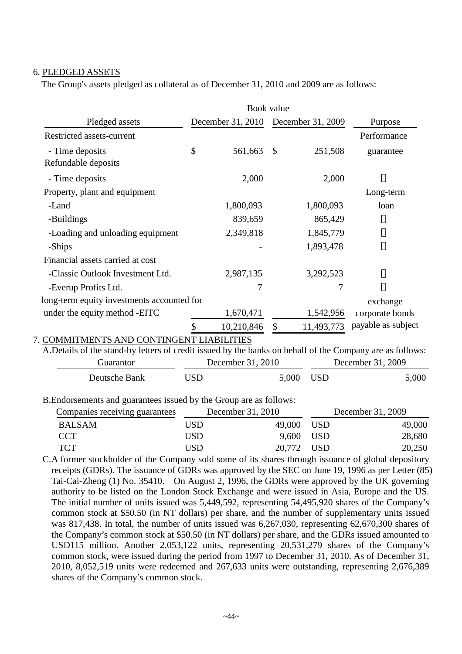### 6. PLEDGED ASSETS

The Group's assets pledged as collateral as of December 31, 2010 and 2009 are as follows:

|                                            | Book value        |                   |                    |
|--------------------------------------------|-------------------|-------------------|--------------------|
| Pledged assets                             | December 31, 2010 | December 31, 2009 | Purpose            |
| Restricted assets-current                  |                   |                   | Performance        |
| - Time deposits                            | \$<br>561,663     | \$<br>251,508     | guarantee          |
| Refundable deposits                        |                   |                   |                    |
| - Time deposits                            | 2,000             | 2,000             |                    |
| Property, plant and equipment              |                   |                   | Long-term          |
| -Land                                      | 1,800,093         | 1,800,093         | loan               |
| -Buildings                                 | 839,659           | 865,429           |                    |
| -Loading and unloading equipment           | 2,349,818         | 1,845,779         |                    |
| -Ships                                     |                   | 1,893,478         |                    |
| Financial assets carried at cost           |                   |                   |                    |
| -Classic Outlook Investment Ltd.           | 2,987,135         | 3,292,523         |                    |
| -Everup Profits Ltd.                       | 7                 | 7                 |                    |
| long-term equity investments accounted for |                   |                   | exchange           |
| under the equity method -EITC              | 1,670,471         | 1,542,956         | corporate bonds    |
|                                            | 10,210,846        | 11,493,773<br>\$  | payable as subject |
| 7. COMMITMENTS AND CONTINGENT LIABILITIES  |                   |                   |                    |

| A. Details of the stand-by letters of credit issued by the banks on behalf of the Company are as follows: |      |                   |                   |
|-----------------------------------------------------------------------------------------------------------|------|-------------------|-------------------|
| Guarantor                                                                                                 |      | December 31, 2010 | December 31, 2009 |
| Deutsche Bank                                                                                             | USD. | 5.000 USD         | 5,000             |

B.Endorsements and guarantees issued by the Group are as follows:

| Companies receiving guarantees |     | December 31, 2010 | December 31, 2009 |
|--------------------------------|-----|-------------------|-------------------|
| <b>BALSAM</b>                  | USD | 49,000 USD        | 49,000            |
| <b>CCT</b>                     | USD | 9,600 USD         | 28,680            |
| <b>TCT</b>                     | USD | 20,772 USD        | 20,250            |

C.A former stockholder of the Company sold some of its shares through issuance of global depository receipts (GDRs). The issuance of GDRs was approved by the SEC on June 19, 1996 as per Letter (85) Tai-Cai-Zheng (1) No. 35410. On August 2, 1996, the GDRs were approved by the UK governing authority to be listed on the London Stock Exchange and were issued in Asia, Europe and the US. The initial number of units issued was 5,449,592, representing 54,495,920 shares of the Company's common stock at \$50.50 (in NT dollars) per share, and the number of supplementary units issued was 817,438. In total, the number of units issued was 6,267,030, representing 62,670,300 shares of the Company's common stock at \$50.50 (in NT dollars) per share, and the GDRs issued amounted to USD115 million. Another 2,053,122 units, representing 20,531,279 shares of the Company's common stock, were issued during the period from 1997 to December 31, 2010. As of December 31, 2010, 8,052,519 units were redeemed and 267,633 units were outstanding, representing 2,676,389 shares of the Company's common stock.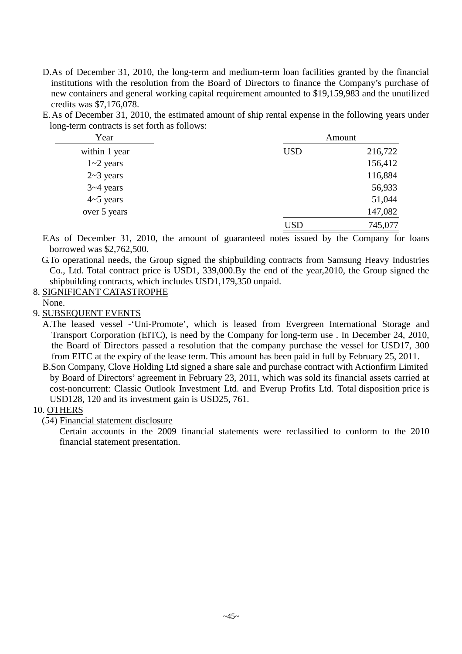- D.As of December 31, 2010, the long-term and medium-term loan facilities granted by the financial institutions with the resolution from the Board of Directors to finance the Company's purchase of new containers and general working capital requirement amounted to \$19,159,983 and the unutilized credits was \$7,176,078.
- E.As of December 31, 2010, the estimated amount of ship rental expense in the following years under long-term contracts is set forth as follows:

| Year             | Amount     |         |  |
|------------------|------------|---------|--|
| within 1 year    | <b>USD</b> | 216,722 |  |
| $1 - 2$ years    |            | 156,412 |  |
| $2-3$ years      |            | 116,884 |  |
| $3 - 4$ years    |            | 56,933  |  |
| $4 \sim 5$ years |            | 51,044  |  |
| over 5 years     |            | 147,082 |  |
|                  | USD        | 745,077 |  |

F.As of December 31, 2010, the amount of guaranteed notes issued by the Company for loans borrowed was \$2,762,500.

G.To operational needs, the Group signed the shipbuilding contracts from Samsung Heavy Industries Co., Ltd. Total contract price is USD1, 339,000.By the end of the year,2010, the Group signed the shipbuilding contracts, which includes USD1,179,350 unpaid.

## 8. SIGNIFICANT CATASTROPHE

None.

9. SUBSEQUENT EVENTS

A.The leased vessel -'Uni-Promote', which is leased from Evergreen International Storage and Transport Corporation (EITC), is need by the Company for long-term use . In December 24, 2010, the Board of Directors passed a resolution that the company purchase the vessel for USD17, 300 from EITC at the expiry of the lease term. This amount has been paid in full by February 25, 2011.

B.Son Company, Clove Holding Ltd signed a share sale and purchase contract with Actionfirm Limited by Board of Directors' agreement in February 23, 2011, which was sold its financial assets carried at cost-noncurrent: Classic Outlook Investment Ltd. and Everup Profits Ltd. Total disposition price is USD128, 120 and its investment gain is USD25, 761.

## 10. OTHERS

(54) Financial statement disclosure

Certain accounts in the 2009 financial statements were reclassified to conform to the 2010 financial statement presentation.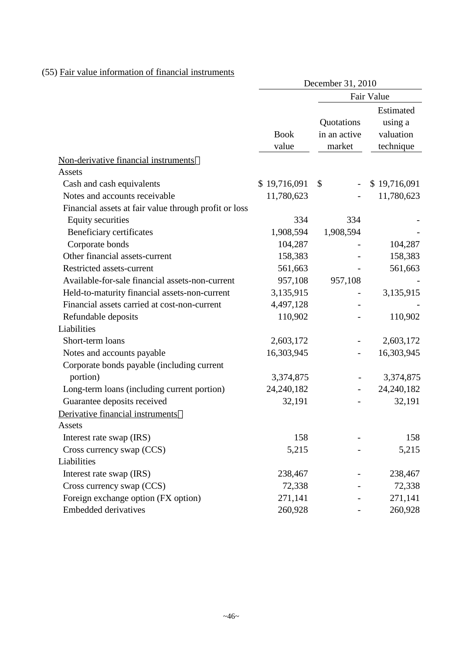## (55) Fair value information of financial instruments

|                                                       | December 31, 2010    |                                      |                                                |  |
|-------------------------------------------------------|----------------------|--------------------------------------|------------------------------------------------|--|
|                                                       |                      |                                      | Fair Value                                     |  |
|                                                       | <b>Book</b><br>value | Quotations<br>in an active<br>market | Estimated<br>using a<br>valuation<br>technique |  |
| Non-derivative financial instruments                  |                      |                                      |                                                |  |
| Assets                                                |                      |                                      |                                                |  |
| Cash and cash equivalents                             | \$19,716,091         | \$<br>$\overline{\phantom{0}}$       | \$19,716,091                                   |  |
| Notes and accounts receivable                         | 11,780,623           |                                      | 11,780,623                                     |  |
| Financial assets at fair value through profit or loss |                      |                                      |                                                |  |
| <b>Equity securities</b>                              | 334                  | 334                                  |                                                |  |
| Beneficiary certificates                              | 1,908,594            | 1,908,594                            |                                                |  |
| Corporate bonds                                       | 104,287              |                                      | 104,287                                        |  |
| Other financial assets-current                        | 158,383              |                                      | 158,383                                        |  |
| Restricted assets-current                             | 561,663              |                                      | 561,663                                        |  |
| Available-for-sale financial assets-non-current       | 957,108              | 957,108                              |                                                |  |
| Held-to-maturity financial assets-non-current         | 3,135,915            |                                      | 3,135,915                                      |  |
| Financial assets carried at cost-non-current          | 4,497,128            |                                      |                                                |  |
| Refundable deposits                                   | 110,902              |                                      | 110,902                                        |  |
| Liabilities                                           |                      |                                      |                                                |  |
| Short-term loans                                      | 2,603,172            |                                      | 2,603,172                                      |  |
| Notes and accounts payable                            | 16,303,945           |                                      | 16,303,945                                     |  |
| Corporate bonds payable (including current            |                      |                                      |                                                |  |
| portion)                                              | 3,374,875            |                                      | 3,374,875                                      |  |
| Long-term loans (including current portion)           | 24, 240, 182         |                                      | 24, 240, 182                                   |  |
| Guarantee deposits received                           | 32,191               |                                      | 32,191                                         |  |
| Derivative financial instruments                      |                      |                                      |                                                |  |
| Assets                                                |                      |                                      |                                                |  |
| Interest rate swap (IRS)                              | 158                  |                                      | 158                                            |  |
| Cross currency swap (CCS)                             | 5,215                |                                      | 5,215                                          |  |
| Liabilities                                           |                      |                                      |                                                |  |
| Interest rate swap (IRS)                              | 238,467              |                                      | 238,467                                        |  |
| Cross currency swap (CCS)                             | 72,338               |                                      | 72,338                                         |  |
| Foreign exchange option (FX option)                   | 271,141              |                                      | 271,141                                        |  |
| <b>Embedded derivatives</b>                           | 260,928              |                                      | 260,928                                        |  |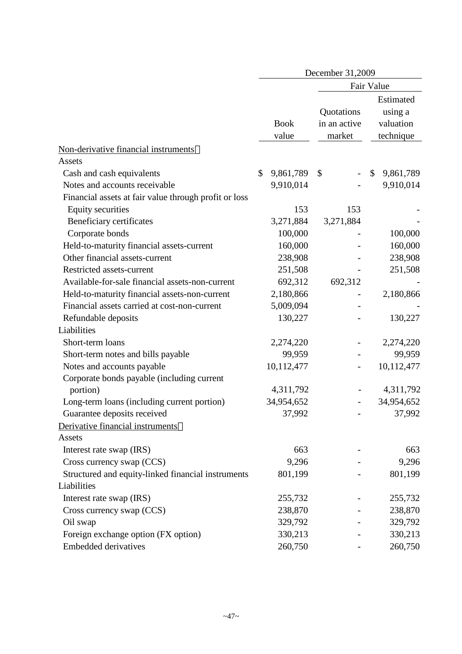|                                                       | December 31,2009     |                                      |                                                |  |  |
|-------------------------------------------------------|----------------------|--------------------------------------|------------------------------------------------|--|--|
|                                                       |                      |                                      | Fair Value                                     |  |  |
|                                                       | <b>Book</b><br>value | Quotations<br>in an active<br>market | Estimated<br>using a<br>valuation<br>technique |  |  |
| Non-derivative financial instruments                  |                      |                                      |                                                |  |  |
| Assets                                                |                      |                                      |                                                |  |  |
| Cash and cash equivalents                             | 9,861,789<br>\$      | \$                                   | 9,861,789<br>$\mathbb{S}$                      |  |  |
| Notes and accounts receivable                         | 9,910,014            |                                      | 9,910,014                                      |  |  |
| Financial assets at fair value through profit or loss |                      |                                      |                                                |  |  |
| <b>Equity securities</b>                              | 153                  | 153                                  |                                                |  |  |
| Beneficiary certificates                              | 3,271,884            | 3,271,884                            |                                                |  |  |
| Corporate bonds                                       | 100,000              |                                      | 100,000                                        |  |  |
| Held-to-maturity financial assets-current             | 160,000              |                                      | 160,000                                        |  |  |
| Other financial assets-current                        | 238,908              |                                      | 238,908                                        |  |  |
| Restricted assets-current                             | 251,508              |                                      | 251,508                                        |  |  |
| Available-for-sale financial assets-non-current       | 692,312              | 692,312                              |                                                |  |  |
| Held-to-maturity financial assets-non-current         | 2,180,866            |                                      | 2,180,866                                      |  |  |
| Financial assets carried at cost-non-current          | 5,009,094            |                                      |                                                |  |  |
| Refundable deposits                                   | 130,227              |                                      | 130,227                                        |  |  |
| Liabilities                                           |                      |                                      |                                                |  |  |
| Short-term loans                                      | 2,274,220            |                                      | 2,274,220                                      |  |  |
| Short-term notes and bills payable                    | 99,959               |                                      | 99,959                                         |  |  |
| Notes and accounts payable                            | 10,112,477           |                                      | 10,112,477                                     |  |  |
| Corporate bonds payable (including current            |                      |                                      |                                                |  |  |
| portion)                                              | 4,311,792            |                                      | 4,311,792                                      |  |  |
| Long-term loans (including current portion)           | 34,954,652           |                                      | 34,954,652                                     |  |  |
| Guarantee deposits received                           | 37,992               |                                      | 37,992                                         |  |  |
| Derivative financial instruments                      |                      |                                      |                                                |  |  |
| Assets                                                |                      |                                      |                                                |  |  |
| Interest rate swap (IRS)                              | 663                  |                                      | 663                                            |  |  |
| Cross currency swap (CCS)                             | 9,296                |                                      | 9,296                                          |  |  |
| Structured and equity-linked financial instruments    | 801,199              |                                      | 801,199                                        |  |  |
| Liabilities                                           |                      |                                      |                                                |  |  |
| Interest rate swap (IRS)                              | 255,732              |                                      | 255,732                                        |  |  |
| Cross currency swap (CCS)                             | 238,870              |                                      | 238,870                                        |  |  |
| Oil swap                                              | 329,792              |                                      | 329,792                                        |  |  |
| Foreign exchange option (FX option)                   | 330,213              |                                      | 330,213                                        |  |  |
| <b>Embedded derivatives</b>                           | 260,750              |                                      | 260,750                                        |  |  |
|                                                       |                      |                                      |                                                |  |  |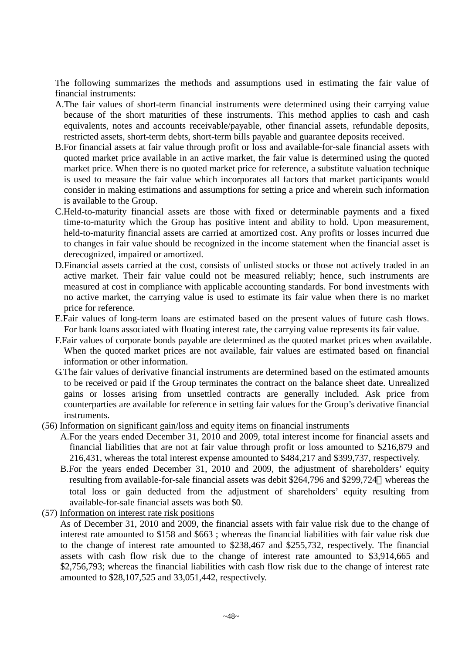The following summarizes the methods and assumptions used in estimating the fair value of financial instruments:

- A.The fair values of short-term financial instruments were determined using their carrying value because of the short maturities of these instruments. This method applies to cash and cash equivalents, notes and accounts receivable/payable, other financial assets, refundable deposits, restricted assets, short-term debts, short-term bills payable and guarantee deposits received.
- B.For financial assets at fair value through profit or loss and available-for-sale financial assets with quoted market price available in an active market, the fair value is determined using the quoted market price. When there is no quoted market price for reference, a substitute valuation technique is used to measure the fair value which incorporates all factors that market participants would consider in making estimations and assumptions for setting a price and wherein such information is available to the Group.
- C.Held-to-maturity financial assets are those with fixed or determinable payments and a fixed time-to-maturity which the Group has positive intent and ability to hold. Upon measurement, held-to-maturity financial assets are carried at amortized cost. Any profits or losses incurred due to changes in fair value should be recognized in the income statement when the financial asset is derecognized, impaired or amortized.
- D.Financial assets carried at the cost, consists of unlisted stocks or those not actively traded in an active market. Their fair value could not be measured reliably; hence, such instruments are measured at cost in compliance with applicable accounting standards. For bond investments with no active market, the carrying value is used to estimate its fair value when there is no market price for reference.
- E.Fair values of long-term loans are estimated based on the present values of future cash flows. For bank loans associated with floating interest rate, the carrying value represents its fair value.
- F.Fair values of corporate bonds payable are determined as the quoted market prices when available. When the quoted market prices are not available, fair values are estimated based on financial information or other information.
- G.The fair values of derivative financial instruments are determined based on the estimated amounts to be received or paid if the Group terminates the contract on the balance sheet date. Unrealized gains or losses arising from unsettled contracts are generally included. Ask price from counterparties are available for reference in setting fair values for the Group's derivative financial instruments.
- (56) Information on significant gain/loss and equity items on financial instruments
	- A.For the years ended December 31, 2010 and 2009, total interest income for financial assets and financial liabilities that are not at fair value through profit or loss amounted to \$216,879 and 216,431, whereas the total interest expense amounted to \$484,217 and \$399,737, respectively.
	- B.For the years ended December 31, 2010 and 2009, the adjustment of shareholders' equity resulting from available-for-sale financial assets was debit \$264,796 and \$299,724 whereas the total loss or gain deducted from the adjustment of shareholders' equity resulting from available-for-sale financial assets was both \$0.
- (57) Information on interest rate risk positions

As of December 31, 2010 and 2009, the financial assets with fair value risk due to the change of interest rate amounted to \$158 and \$663 ; whereas the financial liabilities with fair value risk due to the change of interest rate amounted to \$238,467 and \$255,732, respectively. The financial assets with cash flow risk due to the change of interest rate amounted to \$3,914,665 and \$2,756,793; whereas the financial liabilities with cash flow risk due to the change of interest rate amounted to \$28,107,525 and 33,051,442, respectively.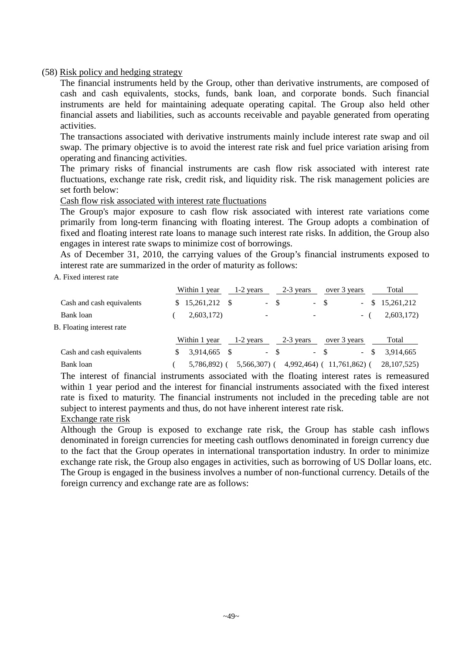#### (58) Risk policy and hedging strategy

The financial instruments held by the Group, other than derivative instruments, are composed of cash and cash equivalents, stocks, funds, bank loan, and corporate bonds. Such financial instruments are held for maintaining adequate operating capital. The Group also held other financial assets and liabilities, such as accounts receivable and payable generated from operating activities.

The transactions associated with derivative instruments mainly include interest rate swap and oil swap. The primary objective is to avoid the interest rate risk and fuel price variation arising from operating and financing activities.

The primary risks of financial instruments are cash flow risk associated with interest rate fluctuations, exchange rate risk, credit risk, and liquidity risk. The risk management policies are set forth below:

#### Cash flow risk associated with interest rate fluctuations

The Group's major exposure to cash flow risk associated with interest rate variations come primarily from long-term financing with floating interest. The Group adopts a combination of fixed and floating interest rate loans to manage such interest rate risks. In addition, the Group also engages in interest rate swaps to minimize cost of borrowings.

As of December 31, 2010, the carrying values of the Group's financial instruments exposed to interest rate are summarized in the order of maturity as follows:

A. Fixed interest rate

|                           | Within 1 year | 1-2 years     | 2-3 years             | over 3 years                      | Total            |
|---------------------------|---------------|---------------|-----------------------|-----------------------------------|------------------|
| Cash and cash equivalents | 15,261,212    | $\sim$        | -\$<br>$\sim$ $^{-1}$ | - \$<br>$\sim$                    | 15,261,212<br>S. |
| Bank loan                 | 2,603,172)    | ۰             |                       | $\sim$                            | 2,603,172)       |
| B. Floating interest rate |               |               |                       |                                   |                  |
|                           | Within 1 year | 1-2 years     | 2-3 years             | over 3 years                      | Total            |
| Cash and cash equivalents | 3,914,665     | $\sim$        | -8                    | - \$<br>-S<br>$\omega_{\rm{max}}$ | 3,914,665        |
| Bank loan                 | 5,786,892)    | $5,566,307$ ( | 4,992,464)            | $11,761,862$ (                    | 28, 107, 525)    |

The interest of financial instruments associated with the floating interest rates is remeasured within 1 year period and the interest for financial instruments associated with the fixed interest rate is fixed to maturity. The financial instruments not included in the preceding table are not subject to interest payments and thus, do not have inherent interest rate risk.

#### Exchange rate risk

Although the Group is exposed to exchange rate risk, the Group has stable cash inflows denominated in foreign currencies for meeting cash outflows denominated in foreign currency due to the fact that the Group operates in international transportation industry. In order to minimize exchange rate risk, the Group also engages in activities, such as borrowing of US Dollar loans, etc. The Group is engaged in the business involves a number of non-functional currency. Details of the foreign currency and exchange rate are as follows: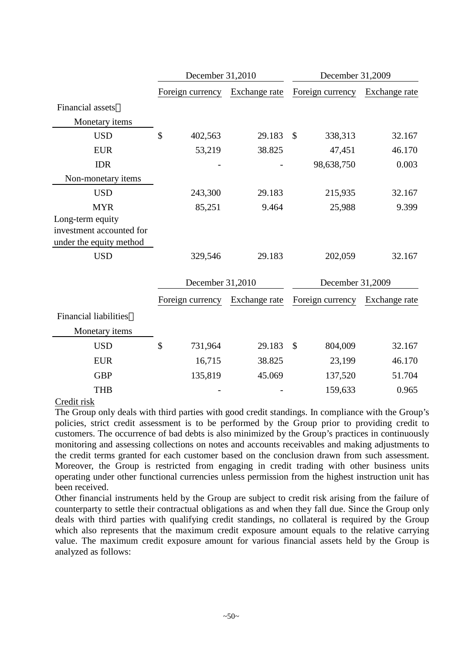|                              | December 31,2010 |               | December 31,2009         |               |  |
|------------------------------|------------------|---------------|--------------------------|---------------|--|
|                              | Foreign currency | Exchange rate | Foreign currency         | Exchange rate |  |
| <b>Financial</b> assets      |                  |               |                          |               |  |
| Monetary items               |                  |               |                          |               |  |
| <b>USD</b>                   | \$<br>402,563    | 29.183        | $\mathcal{S}$<br>338,313 | 32.167        |  |
| <b>EUR</b>                   | 53,219           | 38.825        | 47,451                   | 46.170        |  |
| <b>IDR</b>                   |                  |               | 98,638,750               | 0.003         |  |
| Non-monetary items           |                  |               |                          |               |  |
| <b>USD</b>                   | 243,300          | 29.183        | 215,935                  | 32.167        |  |
| <b>MYR</b>                   | 85,251           | 9.464         | 25,988                   | 9.399         |  |
| Long-term equity             |                  |               |                          |               |  |
| investment accounted for     |                  |               |                          |               |  |
| under the equity method      |                  |               |                          |               |  |
| <b>USD</b>                   | 329,546          | 29.183        | 202,059                  | 32.167        |  |
|                              | December 31,2010 |               | December 31,2009         |               |  |
|                              | Foreign currency | Exchange rate | Foreign currency         | Exchange rate |  |
| <b>Financial liabilities</b> |                  |               |                          |               |  |
| Monetary items               |                  |               |                          |               |  |
| <b>USD</b>                   | \$<br>731,964    | 29.183        | $\mathcal{S}$<br>804,009 | 32.167        |  |
| <b>EUR</b>                   | 16,715           | 38.825        | 23,199                   | 46.170        |  |
| <b>GBP</b>                   | 135,819          | 45.069        | 137,520                  | 51.704        |  |
| <b>THB</b>                   |                  |               | 159,633                  | 0.965         |  |
| $C$ rodit rielz              |                  |               |                          |               |  |

Credit risk

The Group only deals with third parties with good credit standings. In compliance with the Group's policies, strict credit assessment is to be performed by the Group prior to providing credit to customers. The occurrence of bad debts is also minimized by the Group's practices in continuously monitoring and assessing collections on notes and accounts receivables and making adjustments to the credit terms granted for each customer based on the conclusion drawn from such assessment. Moreover, the Group is restricted from engaging in credit trading with other business units operating under other functional currencies unless permission from the highest instruction unit has been received.

Other financial instruments held by the Group are subject to credit risk arising from the failure of counterparty to settle their contractual obligations as and when they fall due. Since the Group only deals with third parties with qualifying credit standings, no collateral is required by the Group which also represents that the maximum credit exposure amount equals to the relative carrying value. The maximum credit exposure amount for various financial assets held by the Group is analyzed as follows: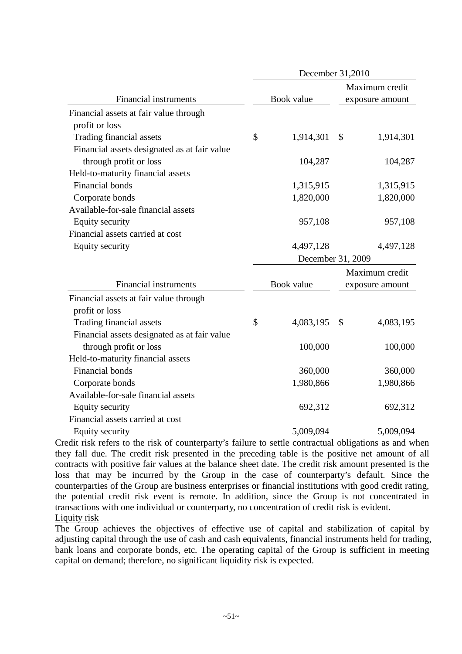|                                              |                 | December 31,2010                       |
|----------------------------------------------|-----------------|----------------------------------------|
|                                              |                 | Maximum credit                         |
| <b>Financial instruments</b>                 | Book value      | exposure amount                        |
| Financial assets at fair value through       |                 |                                        |
| profit or loss                               |                 |                                        |
| Trading financial assets                     | \$<br>1,914,301 | \$<br>1,914,301                        |
| Financial assets designated as at fair value |                 |                                        |
| through profit or loss                       | 104,287         | 104,287                                |
| Held-to-maturity financial assets            |                 |                                        |
| Financial bonds                              | 1,315,915       | 1,315,915                              |
| Corporate bonds                              | 1,820,000       | 1,820,000                              |
| Available-for-sale financial assets          |                 |                                        |
| Equity security                              | 957,108         | 957,108                                |
| Financial assets carried at cost             |                 |                                        |
| <b>Equity security</b>                       | 4,497,128       | 4,497,128                              |
|                                              |                 | December 31, 2009                      |
|                                              |                 | Maximum credit                         |
| <b>Financial instruments</b>                 | Book value      | exposure amount                        |
| Financial assets at fair value through       |                 |                                        |
| profit or loss                               |                 |                                        |
| Trading financial assets                     |                 |                                        |
|                                              | \$<br>4,083,195 | 4,083,195<br>$\boldsymbol{\mathsf{S}}$ |
| Financial assets designated as at fair value |                 |                                        |
| through profit or loss                       | 100,000         | 100,000                                |
| Held-to-maturity financial assets            |                 |                                        |
| <b>Financial bonds</b>                       | 360,000         | 360,000                                |
| Corporate bonds                              | 1,980,866       | 1,980,866                              |
| Available-for-sale financial assets          |                 |                                        |
| Equity security                              | 692,312         | 692,312                                |
| Financial assets carried at cost             |                 |                                        |

Credit risk refers to the risk of counterparty's failure to settle contractual obligations as and when they fall due. The credit risk presented in the preceding table is the positive net amount of all contracts with positive fair values at the balance sheet date. The credit risk amount presented is the loss that may be incurred by the Group in the case of counterparty's default. Since the counterparties of the Group are business enterprises or financial institutions with good credit rating, the potential credit risk event is remote. In addition, since the Group is not concentrated in transactions with one individual or counterparty, no concentration of credit risk is evident. Liquity risk

The Group achieves the objectives of effective use of capital and stabilization of capital by adjusting capital through the use of cash and cash equivalents, financial instruments held for trading, bank loans and corporate bonds, etc. The operating capital of the Group is sufficient in meeting capital on demand; therefore, no significant liquidity risk is expected.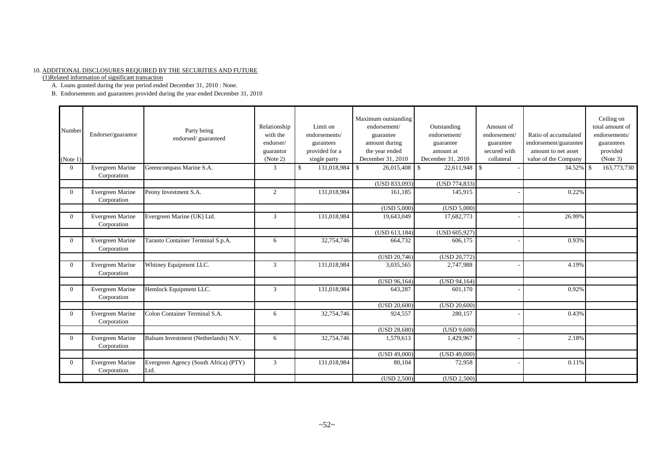#### 10. ADDITIONAL DISCLOSURES REQUIRED BY THE SECURITIES AND FUTURE

(1)Related information of significant transaction

A. Loans granted during the year period ended December 31, 2010 : None.

B. Endorsements and guarantees provided during the year ended December 31, 2010

| Number<br>(Note 1) | Endorser/guarantor              | Party being<br>endorsed/guaranteed            | Relationship<br>with the<br>endorser/<br>guarantor<br>(Note 2) | Limit on<br>endorsements/<br>gurantees<br>provided for a<br>single party | Maximum outstanding<br>endorsement/<br>guarantee<br>amount during<br>the year ended<br>December 31, 2010 | Outstanding<br>endorsement/<br>guarantee<br>amount at<br>December 31, 2010 | Amount of<br>endorsement/<br>guarantee<br>secured with<br>collateral | Ratio of accumulated<br>endorsement/guarantee<br>amount to net asset<br>value of the Company | Ceiling on<br>total amount of<br>endorsements/<br>guarantees<br>provided<br>(Note 3) |
|--------------------|---------------------------------|-----------------------------------------------|----------------------------------------------------------------|--------------------------------------------------------------------------|----------------------------------------------------------------------------------------------------------|----------------------------------------------------------------------------|----------------------------------------------------------------------|----------------------------------------------------------------------------------------------|--------------------------------------------------------------------------------------|
| $\Omega$           | Evergreen Marine<br>Corporation | Greencompass Marine S.A.                      | 3                                                              | <sup>\$</sup><br>131,018,984 \$                                          | 26,015,408                                                                                               | 22,611,948                                                                 | $\mathbb{S}$                                                         | $34.52\%$ \$                                                                                 | 163,773,730                                                                          |
|                    |                                 |                                               |                                                                |                                                                          | (USD 833,093)                                                                                            | (USD 774,833)                                                              |                                                                      |                                                                                              |                                                                                      |
| $\Omega$           | Evergreen Marine<br>Corporation | Peony Investment S.A.                         | 2                                                              | 131,018,984                                                              | 161,185                                                                                                  | 145,915                                                                    |                                                                      | 0.22%                                                                                        |                                                                                      |
|                    |                                 |                                               |                                                                |                                                                          | (USD 5,000)                                                                                              | (USD 5,000)                                                                |                                                                      |                                                                                              |                                                                                      |
| $\Omega$           | Evergreen Marine<br>Corporation | Evergreen Marine (UK) Ltd.                    | $\mathfrak{Z}$                                                 | 131,018,984                                                              | 19,643,049                                                                                               | 17,682,773                                                                 |                                                                      | 26.99%                                                                                       |                                                                                      |
|                    |                                 |                                               |                                                                |                                                                          | (USD 613, 184)                                                                                           | (USD 605,927)                                                              |                                                                      |                                                                                              |                                                                                      |
| $\Omega$           | Evergreen Marine<br>Corporation | Taranto Container Terminal S.p.A.             | 6                                                              | 32,754,746                                                               | 664,732                                                                                                  | 606,175                                                                    |                                                                      | 0.93%                                                                                        |                                                                                      |
|                    |                                 |                                               |                                                                |                                                                          | (USD 20,746)                                                                                             | (USD 20,772)                                                               |                                                                      |                                                                                              |                                                                                      |
| $\Omega$           | Evergreen Marine<br>Corporation | Whitney Equipment LLC.                        | 3                                                              | 131,018,984                                                              | 3,035,565                                                                                                | 2,747,988                                                                  |                                                                      | 4.19%                                                                                        |                                                                                      |
|                    |                                 |                                               |                                                                |                                                                          | (USD 96,164)                                                                                             | (USD 94,164)                                                               |                                                                      |                                                                                              |                                                                                      |
| $\Omega$           | Evergreen Marine<br>Corporation | Hemlock Equipment LLC.                        | 3                                                              | 131,018,984                                                              | 643,287                                                                                                  | 601,170                                                                    |                                                                      | 0.92%                                                                                        |                                                                                      |
|                    |                                 |                                               |                                                                |                                                                          | (USD 20,600)                                                                                             | (USD 20,600)                                                               |                                                                      |                                                                                              |                                                                                      |
| $\Omega$           | Evergreen Marine<br>Corporation | Colon Container Terminal S.A.                 | 6                                                              | 32,754,746                                                               | 924,557                                                                                                  | 280,157                                                                    |                                                                      | 0.43%                                                                                        |                                                                                      |
|                    |                                 |                                               |                                                                |                                                                          | (USD 28,680)                                                                                             | (USD 9,600)                                                                |                                                                      |                                                                                              |                                                                                      |
| $\Omega$           | Evergreen Marine<br>Corporation | Balsam Investment (Netherlands) N.V.          | 6                                                              | 32,754,746                                                               | 1,579,613                                                                                                | 1,429,967                                                                  |                                                                      | 2.18%                                                                                        |                                                                                      |
|                    |                                 |                                               |                                                                |                                                                          | (USD 49,000)                                                                                             | (USD 49,000)                                                               |                                                                      |                                                                                              |                                                                                      |
| $\Omega$           | Evergreen Marine<br>Corporation | Evergreen Agency (South Africa) (PTY)<br>Ltd. | 3                                                              | 131,018,984                                                              | 80,104                                                                                                   | 72,958                                                                     |                                                                      | 0.11%                                                                                        |                                                                                      |
|                    |                                 |                                               |                                                                |                                                                          | (USD 2,500)                                                                                              | (USD 2,500)                                                                |                                                                      |                                                                                              |                                                                                      |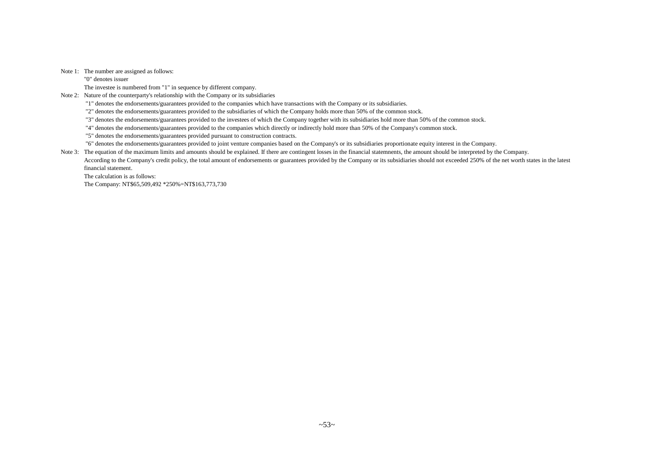Note 1: The number are assigned as follows:

"0" denotes issuer

The investee is numbered from "1" in sequence by different company.

Note 2: Nature of the counterparty's relationship with the Company or its subsidiaries

"1" denotes the endorsements/guarantees provided to the companies which have transactions with the Company or its subsidiaries.

"2" denotes the endorsements/guarantees provided to the subsidiaries of which the Company holds more than 50% of the common stock.

"3" denotes the endorsements/guarantees provided to the investees of which the Company together with its subsidiaries hold more than 50% of the common stock.

"4" denotes the endorsements/guarantees provided to the companies which directly or indirectly hold more than 50% of the Company's common stock.

"5" denotes the endorsements/guarantees provided pursuant to construction contracts.

"6" denotes the endorsements/guarantees provided to joint venture companies based on the Company's or its subsidiaries proportionate equity interest in the Company.

Note 3: The equation of the maximum limits and amounts should be explained. If there are contingent losses in the financial statemnents, the amount should be interpreted by the Company. According to the Company's credit policy, the total amount of endorsements or guarantees provided by the Company or its subsidiaries should not exceeded 250% of the net worth states in the latest financial statement.

The calculation is as follows:

The Company: NT\$65,509,492 \*250%=NT\$163,773,730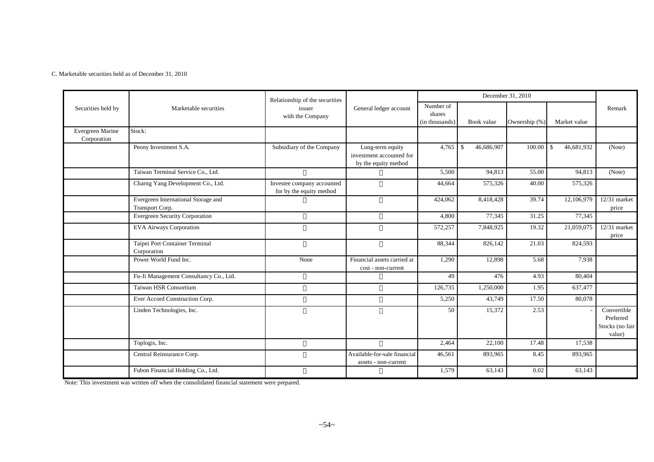C. Marketable securities held as of December 31, 2010

|                                 |                                                        | Relationship of the securities                         |                                                                      |                                       |                             | December 31, 2010 |                            |                                                       |
|---------------------------------|--------------------------------------------------------|--------------------------------------------------------|----------------------------------------------------------------------|---------------------------------------|-----------------------------|-------------------|----------------------------|-------------------------------------------------------|
| Securities held by              | Marketable securities                                  | issuer<br>with the Company                             | General ledger account                                               | Number of<br>shares<br>(in thousands) | Book value                  | Ownership (%)     | Market value               | Remark                                                |
| Evergreen Marine<br>Corporation | Stock:                                                 |                                                        |                                                                      |                                       |                             |                   |                            |                                                       |
|                                 | Peony Investment S.A.                                  | Subsidiary of the Company                              | Long-term equity<br>investment accounted for<br>by the equity method | 4,765                                 | 46,686,907<br>$\mathcal{S}$ | 100.00            | 46,681,932<br>$\mathbb{S}$ | (Note)                                                |
|                                 | Taiwan Terminal Service Co., Ltd.                      |                                                        |                                                                      | 5,500                                 | 94,813                      | 55.00             | 94,813                     | (Note)                                                |
|                                 | Charng Yang Development Co., Ltd.                      | Investee company accounted<br>for by the equity method |                                                                      | 44,664                                | 575,326                     | 40.00             | 575,326                    |                                                       |
|                                 | Evergreen International Storage and<br>Transport Corp. |                                                        |                                                                      | 424,062                               | 8,418,428                   | 39.74             | 12,106,979                 | 12/31 market<br>price                                 |
|                                 | <b>Evergreen Security Corporation</b>                  |                                                        |                                                                      | 4,800                                 | 77,345                      | 31.25             | 77,345                     |                                                       |
|                                 | <b>EVA Airways Corporation</b>                         |                                                        |                                                                      | 572,257                               | 7,848,925                   | 19.32             | 21,059,075                 | $12/31$ market<br>price                               |
|                                 | Taipei Port Container Terminal<br>Corporation          |                                                        |                                                                      | 88,344                                | 826,142                     | 21.03             | 824,593                    |                                                       |
|                                 | Power World Fund Inc.                                  | None                                                   | Financial assets carried at<br>cost - non-current                    | 1,290                                 | 12,898                      | 5.68              | 7,938                      |                                                       |
|                                 | Fu-Ji Management Consultancy Co., Ltd.                 |                                                        |                                                                      | 49                                    | 476                         | 4.93              | 80,404                     |                                                       |
|                                 | Taiwan HSR Consortium                                  |                                                        |                                                                      | 126,735                               | 1,250,000                   | 1.95              | 637,477                    |                                                       |
|                                 | Ever Accord Construction Corp.                         |                                                        |                                                                      | 5,250                                 | 43,749                      | 17.50             | 80,078                     |                                                       |
|                                 | Linden Technologies, Inc.                              |                                                        |                                                                      | 50                                    | 15,372                      | 2.53              |                            | Convertible<br>Preferred<br>Stocks (no fair<br>value) |
|                                 | Toplogis, Inc.                                         |                                                        |                                                                      | 2,464                                 | 22,100                      | 17.48             | 17,538                     |                                                       |
|                                 | Central Reinsurance Corp.                              |                                                        | Available-for-sale financial<br>assets - non-current                 | 46,561                                | 893,965                     | 8.45              | 893,965                    |                                                       |
|                                 | Fubon Financial Holding Co., Ltd.                      |                                                        |                                                                      | 1,579                                 | 63,143                      | 0.02              | 63,143                     |                                                       |

Note: This investment was written off when the consolidated financial statement were prepared.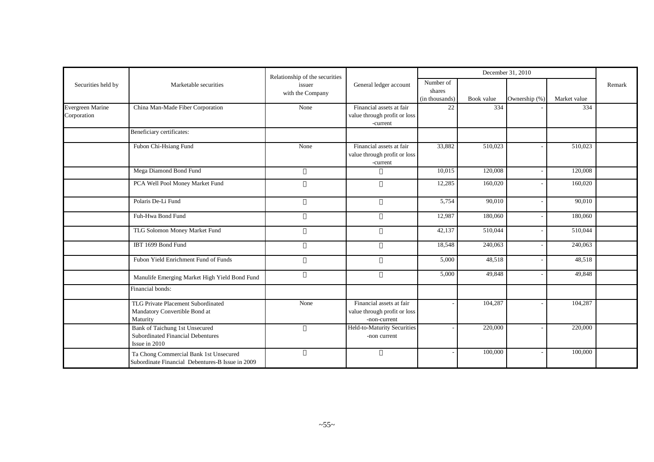|                    |                                                   | Relationship of the securities |                                             |                      |                   | December 31, 2010 |                     |        |
|--------------------|---------------------------------------------------|--------------------------------|---------------------------------------------|----------------------|-------------------|-------------------|---------------------|--------|
| Securities held by | Marketable securities                             | issuer                         | General ledger account                      | Number of            |                   |                   |                     | Remark |
|                    |                                                   | with the Company               |                                             | shares               |                   |                   |                     |        |
| Evergreen Marine   | China Man-Made Fiber Corporation                  | None                           | Financial assets at fair                    | (in thousands)<br>22 | Book value<br>334 | Ownership (%)     | Market value<br>334 |        |
| Corporation        |                                                   |                                | value through profit or loss                |                      |                   |                   |                     |        |
|                    |                                                   |                                | $-current$                                  |                      |                   |                   |                     |        |
|                    | Beneficiary certificates:                         |                                |                                             |                      |                   |                   |                     |        |
|                    | Fubon Chi-Hsiang Fund                             | None                           | Financial assets at fair                    | 33,882               | 510,023           |                   | 510,023             |        |
|                    |                                                   |                                | value through profit or loss<br>-current    |                      |                   |                   |                     |        |
|                    | Mega Diamond Bond Fund                            |                                |                                             | 10,015               | 120,008           |                   | 120,008             |        |
|                    | PCA Well Pool Money Market Fund                   |                                |                                             | 12,285               | 160,020           |                   | 160,020             |        |
|                    | Polaris De-Li Fund                                |                                |                                             | 5,754                | 90,010            |                   | 90,010              |        |
|                    | Fuh-Hwa Bond Fund                                 |                                |                                             | 12,987               | 180,060           |                   | 180,060             |        |
|                    | TLG Solomon Money Market Fund                     |                                |                                             | 42,137               | 510,044           |                   | 510,044             |        |
|                    | IBT 1699 Bond Fund                                |                                |                                             | 18,548               | 240,063           |                   | 240,063             |        |
|                    | Fubon Yield Enrichment Fund of Funds              |                                |                                             | 5,000                | 48,518            |                   | 48,518              |        |
|                    | Manulife Emerging Market High Yield Bond Fund     |                                |                                             | 5,000                | 49,848            |                   | 49,848              |        |
|                    | Financial bonds:                                  |                                |                                             |                      |                   |                   |                     |        |
|                    | TLG Private Placement Subordinated                | None                           | Financial assets at fair                    |                      | 104,287           |                   | 104,287             |        |
|                    | Mandatory Convertible Bond at                     |                                | value through profit or loss                |                      |                   |                   |                     |        |
|                    | Maturity<br><b>Bank of Taichung 1st Unsecured</b> |                                | -non-current<br>Held-to-Maturity Securities |                      | 220,000           |                   | 220,000             |        |
|                    | <b>Subordinated Financial Debentures</b>          |                                | -non current                                |                      |                   |                   |                     |        |
|                    | Issue in 2010                                     |                                |                                             |                      |                   |                   |                     |        |
|                    | Ta Chong Commercial Bank 1st Unsecured            |                                |                                             |                      | 100,000           |                   | 100,000             |        |
|                    | Subordinate Financial Debentures-B Issue in 2009  |                                |                                             |                      |                   |                   |                     |        |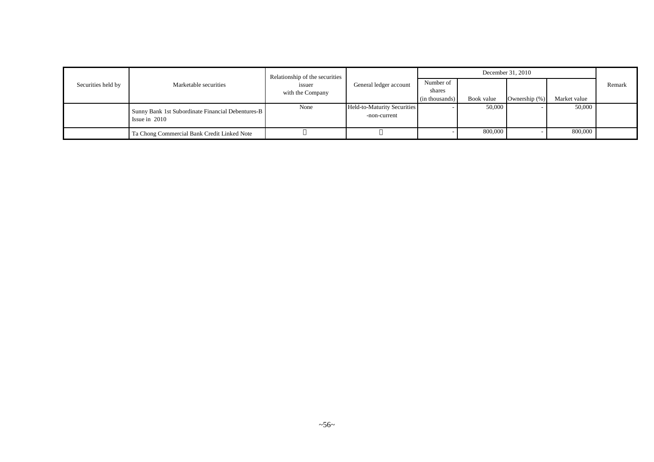|                    |                                                                      | Relationship of the securities |                                             |                     |            |               |              |        |
|--------------------|----------------------------------------------------------------------|--------------------------------|---------------------------------------------|---------------------|------------|---------------|--------------|--------|
| Securities held by | Marketable securities                                                | issuer<br>with the Company     | General ledger account                      | Number of<br>shares |            |               |              | Remark |
|                    |                                                                      |                                |                                             | (in thousands)      | Book value | Ownership (%) | Market value |        |
|                    | Sunny Bank 1st Subordinate Financial Debentures-B<br>Issue in $2010$ | None                           | Held-to-Maturity Securities<br>-non-current |                     | 50,000     |               | 50,000       |        |
|                    | Ta Chong Commercial Bank Credit Linked Note                          |                                |                                             |                     | 800,000    |               | 800,000      |        |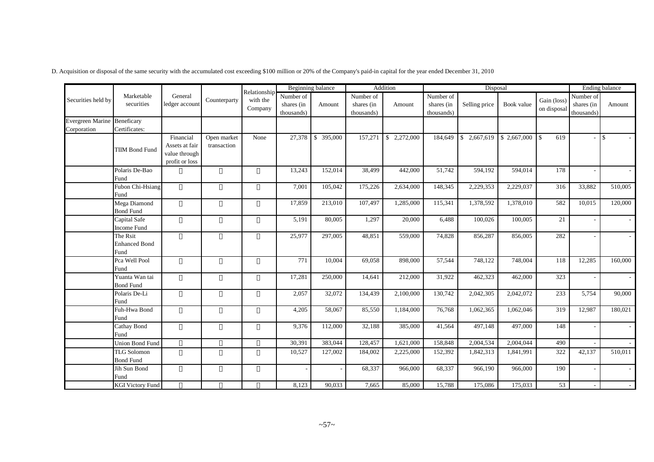|  |  | D. Acquisition or disposal of the same security with the accumulated cost exceeding \$100 million or 20% of the Company's paid-in capital for the year ended December 31, 2010 |  |  |  |  |  |
|--|--|--------------------------------------------------------------------------------------------------------------------------------------------------------------------------------|--|--|--|--|--|
|  |  |                                                                                                                                                                                |  |  |  |  |  |

|                             |                                          |                                                                |                            |                                      |                                       | Beginning balance |                                       | Addition        |                                       | Disposal      |             |                            | <b>Ending balance</b>                 |         |
|-----------------------------|------------------------------------------|----------------------------------------------------------------|----------------------------|--------------------------------------|---------------------------------------|-------------------|---------------------------------------|-----------------|---------------------------------------|---------------|-------------|----------------------------|---------------------------------------|---------|
| Securities held by          | Marketable<br>securities                 | General<br>ledger account                                      | Counterparty               | Relationship-<br>with the<br>Company | Number of<br>shares (in<br>thousands) | Amount            | Number of<br>shares (in<br>thousands) | Amount          | Number of<br>shares (in<br>thousands) | Selling price | Book value  | Gain (loss)<br>on disposal | Number of<br>shares (in<br>thousands) | Amount  |
| Evergreen Marine Beneficary |                                          |                                                                |                            |                                      |                                       |                   |                                       |                 |                                       |               |             |                            |                                       |         |
| Corporation                 | Certificates:                            |                                                                |                            |                                      |                                       |                   |                                       |                 |                                       |               |             |                            |                                       |         |
|                             | <b>TIIM Bond Fund</b>                    | Financial<br>Assets at fair<br>value through<br>profit or loss | Open market<br>transaction | None                                 | 27,378                                | \$ 395,000        | 157,271                               | 2,272,000<br>\$ | 184,649                               | \$2,667,619   | \$2,667,000 | 619<br>$\overline{1}$      | $-1$ \$                               |         |
|                             | Polaris De-Bao<br>Fund                   |                                                                |                            |                                      | 13,243                                | 152,014           | 38,499                                | 442,000         | 51,742                                | 594,192       | 594,014     | 178                        |                                       |         |
|                             | Fubon Chi-Hsiang<br>Fund                 |                                                                |                            |                                      | 7,001                                 | 105,042           | 175,226                               | 2,634,000       | 148,345                               | 2,229,353     | 2,229,037   | 316                        | 33,882                                | 510,005 |
|                             | Mega Diamond<br><b>Bond Fund</b>         |                                                                |                            |                                      | 17,859                                | 213,010           | 107,497                               | 1,285,000       | 115,341                               | 1,378,592     | 1,378,010   | 582                        | 10,015                                | 120,000 |
|                             | Capital Safe<br>Income Fund              |                                                                |                            |                                      | 5,191                                 | 80,005            | 1,297                                 | 20,000          | 6,488                                 | 100,026       | 100,005     | 21                         |                                       |         |
|                             | The Rsit<br><b>Enhanced Bond</b><br>Fund |                                                                |                            |                                      | 25,977                                | 297,005           | 48,851                                | 559,000         | 74,828                                | 856,287       | 856,005     | 282                        |                                       |         |
|                             | Pca Well Pool<br>Fund                    |                                                                |                            |                                      | 771                                   | 10,004            | 69,058                                | 898,000         | 57,544                                | 748,122       | 748,004     | 118                        | 12,285                                | 160,000 |
|                             | Yuanta Wan tai<br><b>Bond Fund</b>       |                                                                |                            |                                      | 17,281                                | 250,000           | 14,641                                | 212,000         | 31,922                                | 462,323       | 462,000     | 323                        |                                       |         |
|                             | Polaris De-Li<br>Fund                    |                                                                |                            |                                      | 2,057                                 | 32,072            | 134,439                               | 2,100,000       | 130,742                               | 2,042,305     | 2,042,072   | 233                        | 5,754                                 | 90,000  |
|                             | Fuh-Hwa Bond<br>Fund                     |                                                                |                            |                                      | 4,205                                 | 58,067            | 85,550                                | 1,184,000       | 76,768                                | 1,062,365     | 1,062,046   | 319                        | 12,987                                | 180,021 |
|                             | Cathay Bond<br>Fund                      |                                                                |                            |                                      | 9,376                                 | 112,000           | 32,188                                | 385,000         | 41,564                                | 497,148       | 497,000     | 148                        |                                       |         |
|                             | <b>Union Bond Fund</b>                   |                                                                |                            |                                      | 30,391                                | 383,044           | 128,457                               | 1,621,000       | 158,848                               | 2,004,534     | 2,004,044   | 490                        |                                       |         |
|                             | <b>TLG</b> Solomon<br><b>Bond Fund</b>   |                                                                |                            |                                      | 10,527                                | 127,002           | 184,002                               | 2,225,000       | 152,392                               | 1,842,313     | 1,841,991   | 322                        | 42,137                                | 510,011 |
|                             | Jih Sun Bond<br>Fund                     |                                                                |                            |                                      |                                       |                   | 68,337                                | 966,000         | 68,337                                | 966,190       | 966,000     | 190                        |                                       |         |
|                             | <b>KGI Victory Fund</b>                  |                                                                |                            |                                      | 8,123                                 | 90,033            | 7,665                                 | 85,000          | 15,788                                | 175,086       | 175,033     | 53                         | $\overline{\phantom{a}}$              |         |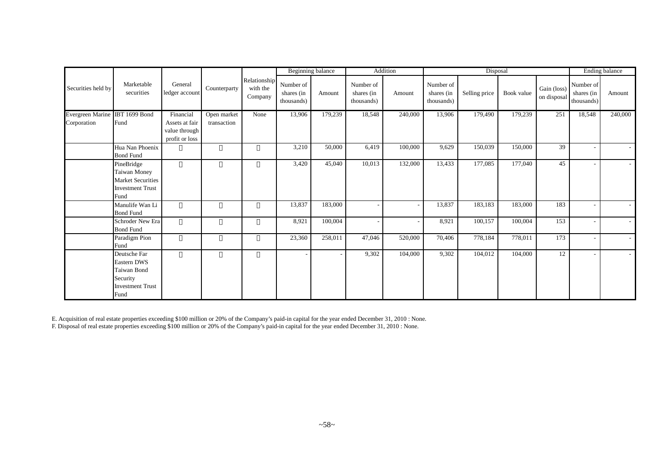|                                               |                                                                                                         |                                                                |                            |                                     |                                       | Beginning balance |                                       | Addition |                                       | Disposal      |            |                            |                                       | Ending balance |
|-----------------------------------------------|---------------------------------------------------------------------------------------------------------|----------------------------------------------------------------|----------------------------|-------------------------------------|---------------------------------------|-------------------|---------------------------------------|----------|---------------------------------------|---------------|------------|----------------------------|---------------------------------------|----------------|
| Securities held by                            | Marketable<br>securities                                                                                | General<br>ledger account                                      | Counterparty               | Relationship<br>with the<br>Company | Number of<br>shares (in<br>thousands) | Amount            | Number of<br>shares (in<br>thousands) | Amount   | Number of<br>shares (in<br>thousands) | Selling price | Book value | Gain (loss)<br>on disposal | Number of<br>shares (in<br>thousands) | Amount         |
| Evergreen Marine IBT 1699 Bond<br>Corporation | Fund                                                                                                    | Financial<br>Assets at fair<br>value through<br>profit or loss | Open market<br>transaction | None                                | 13,906                                | 179,239           | 18,548                                | 240,000  | 13,906                                | 179,490       | 179,239    | 251                        | 18,548                                | 240,000        |
|                                               | Hua Nan Phoenix<br><b>Bond Fund</b>                                                                     |                                                                |                            |                                     | 3,210                                 | 50,000            | 6,419                                 | 100,000  | 9,629                                 | 150,039       | 150,000    | 39                         |                                       |                |
|                                               | PineBridge<br>Taiwan Money<br><b>Market Securities</b><br><b>Investment Trust</b><br>Fund               |                                                                |                            |                                     | 3,420                                 | 45,040            | 10,013                                | 132,000  | 13,433                                | 177,085       | 177,040    | 45                         |                                       |                |
|                                               | Manulife Wan Li<br><b>Bond Fund</b>                                                                     |                                                                |                            |                                     | 13,837                                | 183,000           |                                       |          | 13,837                                | 183,183       | 183,000    | 183                        | -                                     |                |
|                                               | Schroder New Era<br><b>Bond Fund</b>                                                                    |                                                                |                            |                                     | 8,921                                 | 100,004           |                                       |          | 8,921                                 | 100,157       | 100,004    | 153                        | $\overline{\phantom{a}}$              |                |
|                                               | Paradigm Pion<br>Fund                                                                                   |                                                                |                            |                                     | 23,360                                | 258,011           | 47,046                                | 520,000  | 70,406                                | 778,184       | 778,011    | 173                        |                                       |                |
|                                               | Deutsche Far<br><b>Eastern DWS</b><br><b>Taiwan Bond</b><br>Security<br><b>Investment Trust</b><br>Fund |                                                                |                            |                                     |                                       |                   | 9,302                                 | 104,000  | 9,302                                 | 104,012       | 104,000    | 12                         |                                       |                |

E. Acquisition of real estate properties exceeding \$100 million or 20% of the Company's paid-in capital for the year ended December 31, 2010 : None.

F. Disposal of real estate properties exceeding \$100 million or 20% of the Company's paid-in capital for the year ended December 31, 2010 : None.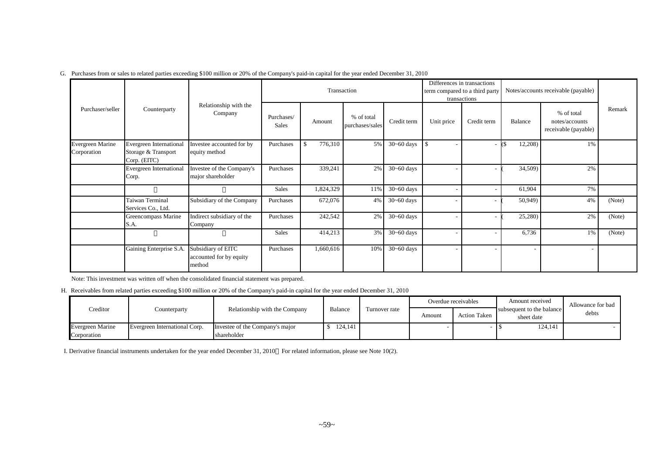|                                 |                                                                |                                                         |                     |               | Transaction                   |                |               | Differences in transactions<br>term compared to a third party<br>transactions |         | Notes/accounts receivable (payable)                  |        |
|---------------------------------|----------------------------------------------------------------|---------------------------------------------------------|---------------------|---------------|-------------------------------|----------------|---------------|-------------------------------------------------------------------------------|---------|------------------------------------------------------|--------|
| Purchaser/seller                | Counterparty                                                   | Relationship with the<br>Company                        | Purchases/<br>Sales | Amount        | % of total<br>purchases/sales | Credit term    | Unit price    | Credit term                                                                   | Balance | % of total<br>notes/accounts<br>receivable (payable) | Remark |
| Evergreen Marine<br>Corporation | Evergreen International<br>Storage & Transport<br>Corp. (EITC) | Investee accounted for by<br>equity method              | Purchases           | 776,310<br>\$ | 5%                            | $30 - 60$ days | <sup>\$</sup> |                                                                               | 12,208) | $1\%$                                                |        |
|                                 | <b>Evergreen International</b><br>Corp.                        | Investee of the Company's<br>major shareholder          | Purchases           | 339,241       | 2%                            | $30 - 60$ days |               |                                                                               | 34,509) | 2%                                                   |        |
|                                 |                                                                |                                                         | Sales               | 1,824,329     | 11%                           | $30 - 60$ days |               |                                                                               | 61,904  | 7%                                                   |        |
|                                 | Taiwan Terminal<br>Services Co., Ltd.                          | Subsidiary of the Company                               | Purchases           | 672,076       | 4%                            | $30 - 60$ days |               |                                                                               | 50,949) | 4%                                                   | (Note) |
|                                 | Greencompass Marine<br>S.A.                                    | Indirect subsidiary of the<br>Company                   | Purchases           | 242,542       | 2%                            | $30 - 60$ days |               |                                                                               | 25,280) | 2%                                                   | (Note) |
|                                 |                                                                |                                                         | Sales               | 414,213       | 3%                            | $30 - 60$ days |               |                                                                               | 6,736   | 1%                                                   | (Note) |
|                                 | Gaining Enterprise S.A.                                        | Subsidiary of EITC<br>accounted for by equity<br>method | Purchases           | 1,660,616     | 10%                           | $30 - 60$ days |               |                                                                               |         |                                                      |        |

#### G. Purchases from or sales to related parties exceeding \$100 million or 20% of the Company's paid-in capital for the year ended December 31, 2010

Note: This investment was written off when the consolidated financial statement was prepared.

H. Receivables from related parties exceeding \$100 million or 20% of the Company's paid-in capital for the year ended December 31, 2010

|                  |                               |                                 |         |               |        | Overdue receivables | Amount received                         | Allowance for bad |
|------------------|-------------------------------|---------------------------------|---------|---------------|--------|---------------------|-----------------------------------------|-------------------|
| Creditor         | Counterparty                  | Relationship with the Company   | Balance | Turnover rate | Amount | <b>Action Taken</b> | subsequent to the balance<br>sheet date | debts             |
| Evergreen Marine | Evergreen International Corp. | Investee of the Company's major | 124,141 |               |        |                     | 124,141                                 |                   |
| Corporation      |                               | shareholder                     |         |               |        |                     |                                         |                   |

I..Derivative financial instruments undertaken for the year ended December 31, 2010 For related information, please see Note 10(2).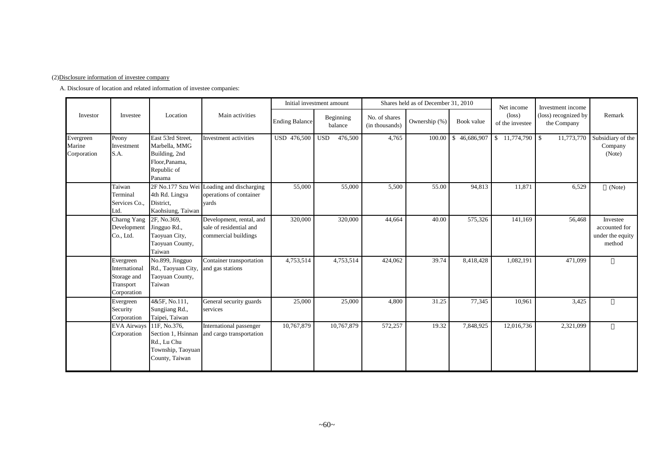#### (2)Disclosure information of investee company

A. Disclosure of location and related information of investee companies:

|                                    |                                                                       |                                                                                                |                                                                               |                       | Initial investment amount |                                 | Shares held as of December 31, 2010 |              | Net income                         | Investment income                   |                                                         |
|------------------------------------|-----------------------------------------------------------------------|------------------------------------------------------------------------------------------------|-------------------------------------------------------------------------------|-----------------------|---------------------------|---------------------------------|-------------------------------------|--------------|------------------------------------|-------------------------------------|---------------------------------------------------------|
| Investor                           | Investee                                                              | Location                                                                                       | Main activities                                                               | <b>Ending Balance</b> | Beginning<br>balance      | No. of shares<br>(in thousands) | Ownership (%)                       | Book value   | $(\text{loss})$<br>of the investee | (loss) recognized by<br>the Company | Remark                                                  |
| Evergreen<br>Marine<br>Corporation | Peony<br>Investment<br>S.A.                                           | East 53rd Street,<br>Marbella, MMG<br>Building, 2nd<br>Floor, Panama,<br>Republic of<br>Panama | Investment activities                                                         | USD 476,500           | 476,500<br><b>USD</b>     | 4,765                           | 100.00                              | \$46,686,907 |                                    | 11,773,770                          | Subsidiary of the<br>Company<br>(Note)                  |
|                                    | Taiwan<br>Terminal<br>Services Co.,<br>Ltd.                           | 4th Rd. Lingya<br>District.<br>Kaohsiung, Taiwan                                               | 2F No.177 Szu Wei Loading and discharging<br>operations of container<br>vards | 55,000                | 55,000                    | 5,500                           | 55.00                               | 94,813       | 11,871                             | 6,529                               | (Note)                                                  |
|                                    | Charng Yang<br>Development<br>Co., Ltd.                               | 2F, No.369,<br>Jingguo Rd.,<br>Taoyuan City,<br>Taoyuan County,<br>Taiwan                      | Development, rental, and<br>sale of residential and<br>commercial buildings   | 320,000               | 320,000                   | 44,664                          | 40.00                               | 575,326      | 141,169                            | 56,468                              | Investee<br>accounted for<br>under the equity<br>method |
|                                    | Evergreen<br>International<br>Storage and<br>Transport<br>Corporation | No.899, Jingguo<br>Rd., Taoyuan City,<br>Taoyuan County,<br>Taiwan                             | Container transportation<br>and gas stations                                  | 4,753,514             | 4,753,514                 | 424,062                         | 39.74                               | 8,418,428    | 1,082,191                          | 471,099                             |                                                         |
|                                    | Evergreen<br>Security<br>Corporation                                  | 4&5F, No.111,<br>Sungjiang Rd.,<br>Taipei, Taiwan                                              | General security guards<br>services                                           | 25,000                | 25,000                    | 4,800                           | 31.25                               | 77,345       | 10,961                             | 3,425                               |                                                         |
|                                    | EVA Airways 11F, No.376,<br>Corporation                               | Section 1, Hsinnan<br>Rd., Lu Chu<br>Township, Taoyuan<br>County, Taiwan                       | International passenger<br>and cargo transportation                           | 10,767,879            | 10,767,879                | 572,257                         | 19.32                               | 7,848,925    | 12,016,736                         | 2,321,099                           |                                                         |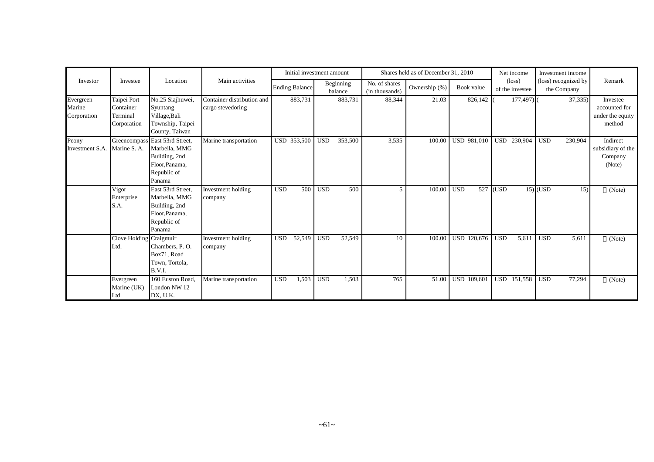|                                      |                                                     |                                                                                                             |                                                 | Initial investment amount |              |                      |                                 | Shares held as of December 31, 2010 |                   | Net income                         | Investment income                   |                                                         |
|--------------------------------------|-----------------------------------------------------|-------------------------------------------------------------------------------------------------------------|-------------------------------------------------|---------------------------|--------------|----------------------|---------------------------------|-------------------------------------|-------------------|------------------------------------|-------------------------------------|---------------------------------------------------------|
| Investor                             | Investee                                            | Location                                                                                                    | Main activities                                 | <b>Ending Balance</b>     |              | Beginning<br>balance | No. of shares<br>(in thousands) | Ownership (%)                       | Book value        | $(\text{loss})$<br>of the investee | (loss) recognized by<br>the Company | Remark                                                  |
| Evergreen<br>Marine<br>Corporation   | Taipei Port<br>Container<br>Terminal<br>Corporation | No.25 Siajhuwei,<br>Syuntang<br>Village, Bali<br>Township, Taipei<br>County, Taiwan                         | Container distribution and<br>cargo stevedoring | 883,731                   |              | 883,731              | 88,344                          | 21.03                               | 826,142           | $177,497$ )                        | 37,335)                             | Investee<br>accounted for<br>under the equity<br>method |
| Peony<br>Investment S.A. Marine S.A. |                                                     | Greencompass East 53rd Street,<br>Marbella, MMG<br>Building, 2nd<br>Floor, Panama,<br>Republic of<br>Panama | Marine transportation                           | USD 353,500               | <b>USD</b>   | 353,500              | 3,535                           | 100.00                              | USD 981,010       | USD 230,904                        | 230,904<br><b>USD</b>               | Indirect<br>subsidiary of the<br>Company<br>(Note)      |
|                                      | Vigor<br>Enterprise<br>S.A.                         | East 53rd Street,<br>Marbella, MMG<br>Building, 2nd<br>Floor, Panama,<br>Republic of<br>Panama              | Investment holding<br>company                   | 500<br><b>USD</b>         | <b>USD</b>   | 500                  | 5                               | 100.00                              | 527<br><b>USD</b> | (USD)                              | $15)$ (USD<br>15)                   | (Note)                                                  |
|                                      | Clove Holding Craigmuir<br>Ltd.                     | Chambers, P.O.<br>Box71, Road<br>Town, Tortola,<br><b>B.V.I.</b>                                            | Investment holding<br>company                   | <b>USD</b><br>52,549      | <b>USD</b>   | 52,549               | 10                              | 100.00                              | USD 120,676       | <b>USD</b><br>5,611                | <b>USD</b><br>5,611                 | (Note)                                                  |
|                                      | Evergreen<br>Marine (UK)<br>Ltd.                    | 160 Euston Road,<br>London NW 12<br>DX, U.K.                                                                | Marine transportation                           | <b>USD</b><br>1,503       | $_{\rm USD}$ | 1,503                | 765                             | 51.00                               | USD 109,601       | <b>USD</b><br>151,558              | <b>USD</b><br>77,294                | (Note)                                                  |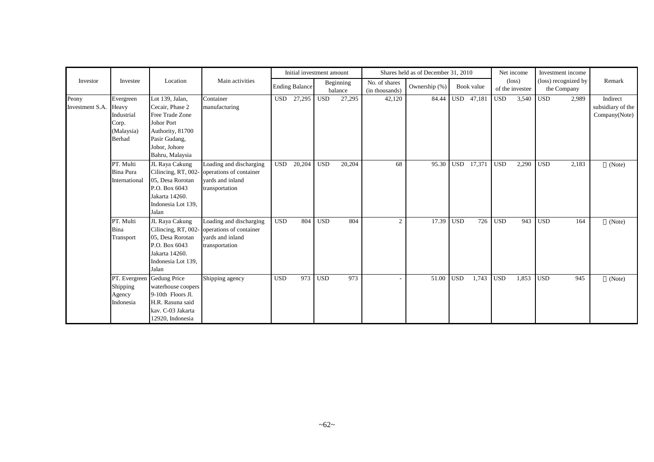|                          |                                                                   |                                                                                                                                              |                                                                                          |            | Initial investment amount |            |                      |                                 | Shares held as of December 31, 2010 |            |            |            | Net income                         |                         | Investment income                   |                                                |
|--------------------------|-------------------------------------------------------------------|----------------------------------------------------------------------------------------------------------------------------------------------|------------------------------------------------------------------------------------------|------------|---------------------------|------------|----------------------|---------------------------------|-------------------------------------|------------|------------|------------|------------------------------------|-------------------------|-------------------------------------|------------------------------------------------|
| Investor                 | Investee                                                          | Location                                                                                                                                     | Main activities                                                                          |            | <b>Ending Balance</b>     |            | Beginning<br>balance | No. of shares<br>(in thousands) | Ownership (%)                       |            | Book value |            | $(\text{loss})$<br>of the investee |                         | (loss) recognized by<br>the Company | Remark                                         |
| Peony<br>Investment S.A. | Evergreen<br>Heavy<br>Industrial<br>Corp.<br>(Malaysia)<br>Berhad | Lot 139, Jalan,<br>Cecair, Phase 2<br>Free Trade Zone<br>Johor Port<br>Authority, 81700<br>Pasir Gudang,<br>Johor, Johore<br>Bahru, Malaysia | Container<br>manufacturing                                                               | USD        | 27,295                    | <b>USD</b> | 27,295               | 42,120                          | 84.44                               |            | USD 47,181 | <b>USD</b> | 3,540                              | <b>USD</b>              | 2,989                               | Indirect<br>subsidiary of the<br>Company(Note) |
|                          | PT. Multi<br>Bina Pura<br>International                           | JL Raya Cakung<br>Cilincing, RT, 002-<br>05, Desa Rorotan<br>P.O. Box 6043<br>Jakarta 14260.<br>Indonesia Lot 139,<br>Jalan                  | Loading and discharging<br>operations of container<br>vards and inland<br>transportation | <b>USD</b> | 20,204                    | <b>USD</b> | 20,204               | 68                              | 95.30                               | <b>USD</b> | 17,371     | <b>USD</b> | 2,290                              | <b>USD</b>              | 2,183                               | (Note)                                         |
|                          | PT. Multi<br>Bina<br>Transport                                    | JL Raya Cakung<br>Cilincing, RT, 002<br>05, Desa Rorotan<br>P.O. Box 6043<br>Jakarta 14260.<br>Indonesia Lot 139,<br>Jalan                   | Loading and discharging<br>operations of container<br>vards and inland<br>transportation | <b>USD</b> | 804                       | <b>USD</b> | 804                  | 2                               | 17.39                               | <b>USD</b> | 726        | <b>USD</b> | 943                                | $\overline{\text{USD}}$ | 164                                 | (Note)                                         |
|                          | Shipping<br>Agency<br>Indonesia                                   | PT. Evergreen Gedung Price<br>waterhouse coopers<br>9-10th Floors Jl.<br>H.R. Rasuna said<br>kav. C-03 Jakarta<br>12920, Indonesia           | Shipping agency                                                                          | <b>USD</b> | 973                       | <b>USD</b> | 973                  |                                 | 51.00                               | <b>USD</b> | 1,743      | <b>USD</b> | 1,853                              | <b>USD</b>              | 945                                 | (Note)                                         |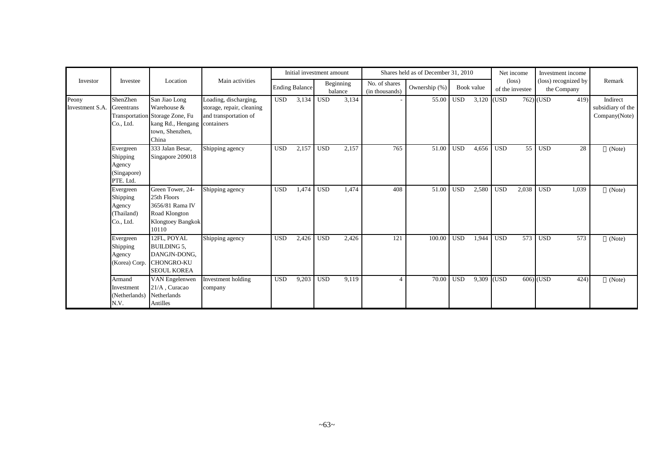|                                     |                                                             |                                                                                                                  |                                                                                           |            | Initial investment amount |            |                      |                                 | Shares held as of December 31, 2010 |                  |            |            | Net income                         | Investment income                   |                                                |
|-------------------------------------|-------------------------------------------------------------|------------------------------------------------------------------------------------------------------------------|-------------------------------------------------------------------------------------------|------------|---------------------------|------------|----------------------|---------------------------------|-------------------------------------|------------------|------------|------------|------------------------------------|-------------------------------------|------------------------------------------------|
| Investor                            | Investee                                                    | Location                                                                                                         | Main activities                                                                           |            | <b>Ending Balance</b>     |            | Beginning<br>balance | No. of shares<br>(in thousands) | Ownership (%)                       |                  | Book value |            | $(\text{loss})$<br>of the investee | (loss) recognized by<br>the Company | Remark                                         |
| Peony<br>Investment S.A. Greentrans | ShenZhen<br>Co., Ltd.                                       | San Jiao Long<br>Warehouse &<br>Transportation Storage Zone, Fu<br>kang Rd., Hengang<br>town, Shenzhen,<br>China | Loading, discharging,<br>storage, repair, cleaning<br>and transportation of<br>containers | <b>USD</b> | 3,134                     | <b>USD</b> | 3,134                |                                 | 55.00                               | <b>USD</b>       | 3,120 (USD |            |                                    | 762) (USD<br>419)                   | Indirect<br>subsidiary of the<br>Company(Note) |
|                                     | Evergreen<br>Shipping<br>Agency<br>(Singapore)<br>PTE. Ltd. | 333 Jalan Besar,<br>Singapore 209018                                                                             | Shipping agency                                                                           | <b>USD</b> | 2,157                     | <b>USD</b> | 2,157                | 765                             | 51.00                               | <b>USD</b>       | 4,656      | <b>USD</b> | 55                                 | <b>USD</b><br>28                    | (Note)                                         |
|                                     | Evergreen<br>Shipping<br>Agency<br>(Thailand)<br>Co., Ltd.  | Green Tower, 24-<br>25th Floors<br>3656/81 Rama IV<br>Road Klongton<br>Klongtoey Bangkok<br>10110                | Shipping agency                                                                           | <b>USD</b> | 1,474                     | <b>USD</b> | 1,474                | 408                             | 51.00                               | USD <sup>1</sup> | 2,580      | <b>USD</b> | 2,038                              | <b>USD</b><br>1,039                 | (Note)                                         |
|                                     | Evergreen<br>Shipping<br>Agency<br>(Korea) Corp.            | 12FL, POYAL<br><b>BUILDING 5,</b><br>DANGJN-DONG,<br><b>CHONGRO-KU</b><br><b>SEOUL KOREA</b>                     | Shipping agency                                                                           | <b>USD</b> | 2,426                     | <b>USD</b> | 2,426                | 121                             | 100.00                              | <b>USD</b>       | 1,944      | <b>USD</b> | 573                                | <b>USD</b><br>573                   | (Note)                                         |
|                                     | Armand<br>Investment<br>(Netherlands)<br>N.V.               | VAN Engelenwen<br>21/A, Curacao<br>Netherlands<br>Antilles                                                       | Investment holding<br>company                                                             | <b>USD</b> | 9,203                     | <b>USD</b> | 9,119                | $\Delta$                        | 70.00                               | <b>USD</b>       | 9,309      | (USD       |                                    | 606) (USD<br>424                    | (Note)                                         |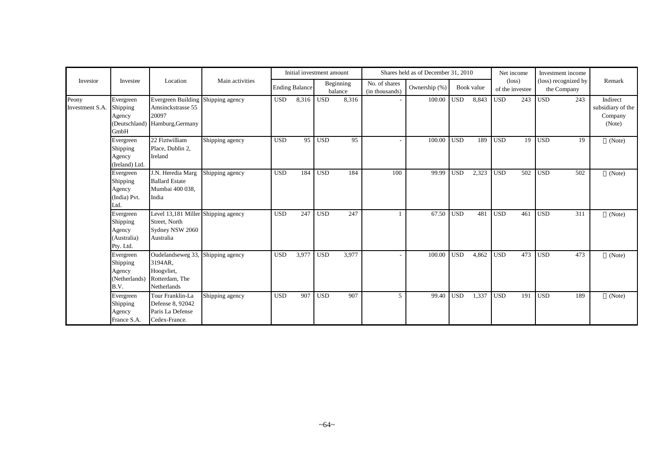|                          |                                                             |                                                                                      |                 |            | Initial investment amount |            |                      |                                 | Shares held as of December 31, 2010 |            |            |                  | Net income                         |            | Investment income                   |                                                    |
|--------------------------|-------------------------------------------------------------|--------------------------------------------------------------------------------------|-----------------|------------|---------------------------|------------|----------------------|---------------------------------|-------------------------------------|------------|------------|------------------|------------------------------------|------------|-------------------------------------|----------------------------------------------------|
| Investor                 | Investee                                                    | Location                                                                             | Main activities |            | <b>Ending Balance</b>     |            | Beginning<br>balance | No. of shares<br>(in thousands) | Ownership (%)                       |            | Book value |                  | $(\text{loss})$<br>of the investee |            | (loss) recognized by<br>the Company | Remark                                             |
| Peony<br>Investment S.A. | Evergreen<br>Shipping<br>Agency<br>(Deutschland)<br>GmbH    | <b>Evergreen Building</b><br>Amsinckstrasse 55<br>20097<br>Hamburg, Germany          | Shipping agency | <b>USD</b> | 8,316                     | <b>USD</b> | 8,316                |                                 | 100.00                              | <b>USD</b> | 8,843      | <b>USD</b>       | 243                                | <b>USD</b> | 243                                 | Indirect<br>subsidiary of the<br>Company<br>(Note) |
|                          | Evergreen<br>Shipping<br>Agency<br>(Ireland) Ltd.           | 22 Fiztwilliam<br>Place, Dublin 2,<br>Ireland                                        | Shipping agency | <b>USD</b> | 95                        | <b>USD</b> | 95                   |                                 | 100.00                              | <b>USD</b> | 189        | $\overline{USD}$ | 19                                 | <b>USD</b> | 19                                  | (Note)                                             |
|                          | Evergreen<br>Shipping<br>Agency<br>(India) Pvt.<br>Ltd.     | J.N. Heredia Marg<br><b>Ballard Estate</b><br>Mumbai 400 038,<br>India               | Shipping agency | <b>USD</b> | 184                       | <b>USD</b> | 184                  | 100                             | 99.99                               | <b>USD</b> | 2,323      | <b>USD</b>       | 502                                | <b>USD</b> | 502                                 | (Note)                                             |
|                          | Evergreen<br>Shipping<br>Agency<br>(Australia)<br>Pty. Ltd. | Level 13,181 Miller Shipping agency<br>Street, North<br>Sydney NSW 2060<br>Australia |                 | <b>USD</b> | 247                       | <b>USD</b> | 247                  |                                 | 67.50                               | <b>USD</b> | 481        | <b>USD</b>       | 461                                | <b>USD</b> | 311                                 | (Note)                                             |
|                          | Evergreen<br>Shipping<br>Agency<br>(Netherlands)<br>B.V.    | Oudelandseweg 33,<br>3194AR,<br>Hoogvliet,<br>Rotterdam, The<br>Netherlands          | Shipping agency | <b>USD</b> | 3,977                     | <b>USD</b> | 3,977                |                                 | 100.00                              | <b>USD</b> | 4,862      | <b>USD</b>       | 473                                | <b>USD</b> | 473                                 | (Note)                                             |
|                          | Evergreen<br>Shipping<br>Agency<br>France S.A.              | Tour Franklin-La<br>Defense 8, 92042<br>Paris La Defense<br>Cedex-France.            | Shipping agency | <b>USD</b> | 907                       | <b>USD</b> | 907                  | 5                               | 99.40                               | <b>USD</b> | 1,337      | <b>USD</b>       | 191                                | <b>USD</b> | 189                                 | (Note)                                             |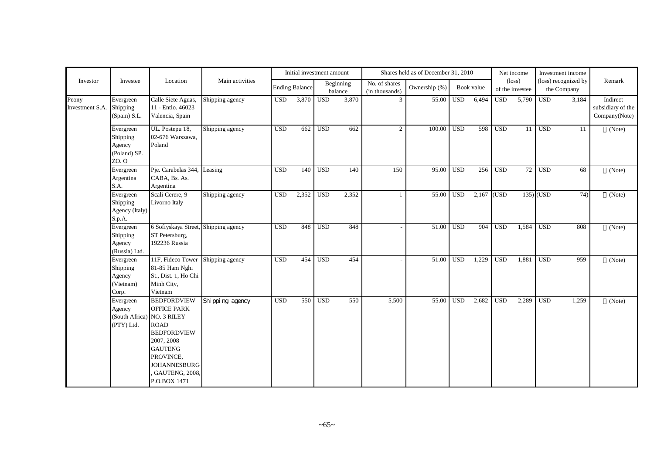|                          |                                                                 |                                                                                                                                                                                     |                   |            | Initial investment amount |            |                      |                                 | Shares held as of December 31, 2010 |            |            |            | Net income                         |                  | Investment income                   |                                                |
|--------------------------|-----------------------------------------------------------------|-------------------------------------------------------------------------------------------------------------------------------------------------------------------------------------|-------------------|------------|---------------------------|------------|----------------------|---------------------------------|-------------------------------------|------------|------------|------------|------------------------------------|------------------|-------------------------------------|------------------------------------------------|
| Investor                 | Investee                                                        | Location                                                                                                                                                                            | Main activities   |            | <b>Ending Balance</b>     |            | Beginning<br>balance | No. of shares<br>(in thousands) | Ownership (%)                       |            | Book value |            | $(\text{loss})$<br>of the investee |                  | (loss) recognized by<br>the Company | Remark                                         |
| Peony<br>Investment S.A. | Evergreen<br>Shipping<br>(Spain) S.L.                           | Calle Siete Aguas,<br>11 - Entlo. 46023<br>Valencia, Spain                                                                                                                          | Shipping agency   | <b>USD</b> | 3,870                     | <b>USD</b> | 3,870                | 3                               | 55.00                               | <b>USD</b> | 6,494      | <b>USD</b> | 5,790                              | $\overline{USD}$ | 3,184                               | Indirect<br>subsidiary of the<br>Company(Note) |
|                          | Evergreen<br>Shipping<br>Agency<br>(Poland) SP.<br>ZO. O        | UL. Postepu 18,<br>02-676 Warszawa,<br>Poland                                                                                                                                       | Shipping agency   | <b>USD</b> | 662                       | <b>USD</b> | 662                  | 2                               | 100.00                              | <b>USD</b> | 598        | <b>USD</b> | 11 <sup>1</sup>                    | <b>USD</b>       | 11                                  | (Note)                                         |
|                          | Evergreen<br>Argentina<br>S.A.                                  | Pie. Carabelas 344,<br>CABA, Bs. As.<br>Argentina                                                                                                                                   | Leasing           | <b>USD</b> | 140                       | <b>USD</b> | 140                  | 150                             | 95.00                               | <b>USD</b> | 256        | <b>USD</b> | 72                                 | <b>USD</b>       | 68                                  | (Note)                                         |
|                          | Evergreen<br>Shipping<br>Agency (Italy)<br>S.p.A.               | Scali Cerere, 9<br>Livorno Italy                                                                                                                                                    | Shipping agency   | <b>USD</b> | 2,352                     | <b>USD</b> | 2,352                |                                 | 55.00                               | USD        | 2,167      | (USD)      |                                    | $135)$ (USD      | 74)                                 | (Note)                                         |
|                          | Evergreen<br>Shipping<br>Agency<br>(Russia) Ltd.                | 6 Sofiyskaya Street, Shipping agency<br>ST Petersburg,<br>192236 Russia                                                                                                             |                   | <b>USD</b> | 848                       | <b>USD</b> | 848                  |                                 | 51.00                               | USD        | 904        | <b>USD</b> | 1,584                              | <b>USD</b>       | 808                                 | (Note)                                         |
|                          | Evergreen<br>Shipping<br>Agency<br>(Vietnam)<br>Corp.           | 11F, Fideco Tower<br>81-85 Ham Nghi<br>St., Dist. 1, Ho Chi<br>Minh City,<br>Vietnam                                                                                                | Shipping agency   | <b>USD</b> | 454                       | <b>USD</b> | 454                  |                                 | 51.00                               | <b>USD</b> | 1,229      | <b>USD</b> | 1,881                              | <b>USD</b>       | 959                                 | (Note)                                         |
|                          | Evergreen<br>Agency<br>(South Africa) NO. 3 RILEY<br>(PTY) Ltd. | <b>BEDFORDVIEW</b><br><b>OFFICE PARK</b><br><b>ROAD</b><br><b>BEDFORDVIEW</b><br>2007, 2008<br><b>GAUTENG</b><br>PROVINCE,<br><b>JOHANNESBURG</b><br>GAUTENG, 2008,<br>P.O.BOX 1471 | Shi ppi ng agency | <b>USD</b> | 550                       | <b>USD</b> | 550                  | 5,500                           | 55.00                               | <b>USD</b> | 2,682      | <b>USD</b> | 2,289                              | <b>USD</b>       | 1,259                               | (Note)                                         |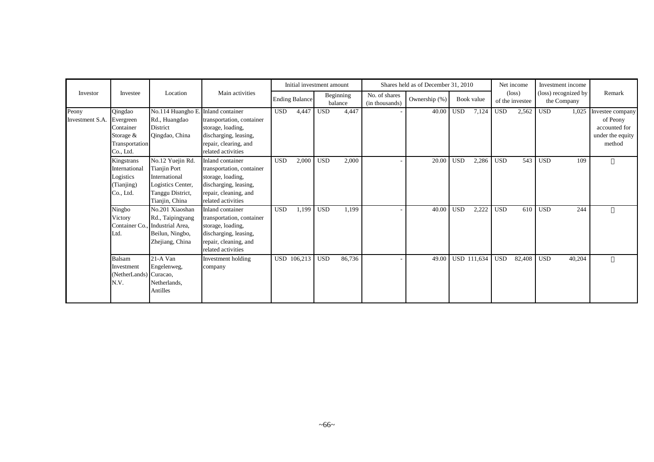|                                    |                                                                     |                                                                                                                     |                                                                                                                                            |            |                       | Initial investment amount |                      |                                 | Shares held as of December 31, 2010 |            |             |            | Net income                         | Investment income                   |        |                                                                             |
|------------------------------------|---------------------------------------------------------------------|---------------------------------------------------------------------------------------------------------------------|--------------------------------------------------------------------------------------------------------------------------------------------|------------|-----------------------|---------------------------|----------------------|---------------------------------|-------------------------------------|------------|-------------|------------|------------------------------------|-------------------------------------|--------|-----------------------------------------------------------------------------|
| Investor                           | Investee                                                            | Location                                                                                                            | Main activities                                                                                                                            |            | <b>Ending Balance</b> |                           | Beginning<br>balance | No. of shares<br>(in thousands) | Ownership (%)                       |            | Book value  |            | $(\text{loss})$<br>of the investee | (loss) recognized by<br>the Company |        | Remark                                                                      |
| Peony<br>Investment S.A. Evergreen | Qingdao<br>Container<br>Storage $&$<br>Transportation<br>Co., Ltd.  | No.114 Huangho E. Inland container<br>Rd., Huangdao<br><b>District</b><br>Qingdao, China                            | transportation, container<br>storage, loading,<br>discharging, leasing,<br>repair, clearing, and<br>related activities                     | <b>USD</b> | 4,447                 | <b>USD</b>                | 4,447                |                                 | 40.00                               | <b>USD</b> | 7,124       | <b>USD</b> | 2,562                              | <b>USD</b>                          | 1.025  | Investee company<br>of Peony<br>accounted for<br>under the equity<br>method |
|                                    | Kingstrans<br>International<br>Logistics<br>(Tianjing)<br>Co., Ltd. | No.12 Yuejin Rd.<br><b>Tianjin Port</b><br>International<br>Logistics Center,<br>Tanggu District,<br>Tianjin, China | Inland container<br>transportation, container<br>storage, loading,<br>discharging, leasing,<br>repair, cleaning, and<br>related activities | <b>USD</b> | 2,000                 | <b>USD</b>                | 2,000                |                                 | 20.00                               | <b>USD</b> | 2,286       | <b>USD</b> | 543                                | <b>USD</b>                          | 109    |                                                                             |
|                                    | Ningbo<br>Victory<br>Container Co.<br>Ltd.                          | No.201 Xiaoshan<br>Rd., Taipingyang<br>Industrial Area,<br>Beilun, Ningbo,<br>Zhejiang, China                       | Inland container<br>transportation, container<br>storage, loading,<br>discharging, leasing,<br>repair, cleaning, and<br>related activities | <b>USD</b> | 1,199                 | <b>USD</b>                | 1,199                |                                 | 40.00                               | <b>USD</b> | 2,222       | <b>USD</b> | 610                                | <b>USD</b>                          | 244    |                                                                             |
|                                    | Balsam<br>Investment<br>(NetherLands) Curacao,<br>N.V.              | 21-A Van<br>Engelenweg,<br>Netherlands,<br>Antilles                                                                 | Investment holding<br>company                                                                                                              |            | USD 106,213           | <b>USD</b>                | 86,736               | $\overline{\phantom{a}}$        | 49.00                               |            | USD 111,634 | <b>USD</b> | 82,408                             | <b>USD</b>                          | 40,204 |                                                                             |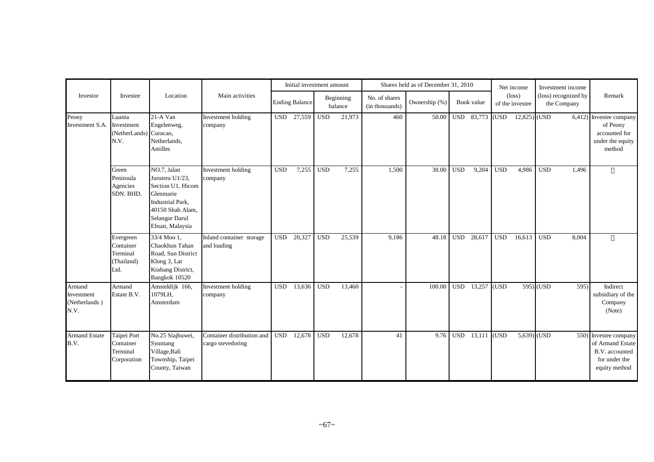|                                               |                                                          |                                                                                                                                                             |                                                 |            | Initial investment amount |            |                      |                                 | Shares held as of December 31, 2010 |            |            |            | Net income                         | Investment income                   |                                                                                               |
|-----------------------------------------------|----------------------------------------------------------|-------------------------------------------------------------------------------------------------------------------------------------------------------------|-------------------------------------------------|------------|---------------------------|------------|----------------------|---------------------------------|-------------------------------------|------------|------------|------------|------------------------------------|-------------------------------------|-----------------------------------------------------------------------------------------------|
| Investor                                      | Investee                                                 | Location                                                                                                                                                    | Main activities                                 |            | <b>Ending Balance</b>     |            | Beginning<br>balance | No. of shares<br>(in thousands) | Ownership (%)                       |            | Book value |            | $(\text{loss})$<br>of the investee | (loss) recognized by<br>the Company | Remark                                                                                        |
| Peony<br>Investment S.A.                      | Luanta<br>Investment<br>(NetherLands) Curacao,<br>N.V.   | $21-A$ Van<br>Engelenweg,<br>Netherlands,<br>Antilles                                                                                                       | Investment holding<br>company                   | <b>USD</b> | 27,559                    | <b>USD</b> | 21,973               | 460                             | 50.00                               |            | USD 83,773 | (USD       | $12,825)$ (USD                     |                                     | $6,412$ ) Investee company<br>of Peony<br>accounted for<br>under the equity<br>method         |
|                                               | Green<br>Peninsula<br>Agencies<br>SDN. BHD.              | NO.7, Jalan<br>Jurutera U1/23,<br>Section U1, Hicom<br>Glenmarie<br><b>Industrial Park.</b><br>40150 Shah Alam,<br><b>Selangor Darul</b><br>Ehsan, Malaysia | Investment holding<br>company                   | <b>USD</b> | 7,255                     | <b>USD</b> | 7,255                | 1,500                           | 30.00                               | <b>USD</b> | 9,204      | <b>USD</b> | 4,986                              | 1,496<br><b>USD</b>                 |                                                                                               |
|                                               | Evergreen<br>Container<br>Terminal<br>(Thailand)<br>Ltd. | 33/4 Moo 1,<br>Chaokhun Tahan<br>Road, Sun District<br>Klong 3, Lat<br>Krabang District,<br>Bangkok 10520                                                   | Inland container storage<br>and loading         | <b>USD</b> | 20,327                    | <b>USD</b> | 25,539               | 9,186                           | 48.18                               | <b>USD</b> | 28,617     | <b>USD</b> | 16,613                             | <b>USD</b><br>8,004                 |                                                                                               |
| Armand<br>Investment<br>(Netherlands)<br>N.V. | Armand<br>Estate B.V.                                    | Amsteldijk 166,<br>1079LH,<br>Amsterdam                                                                                                                     | Investment holding<br>company                   | <b>USD</b> | 13,636                    | <b>USD</b> | 13,460               |                                 | 100.00                              | <b>USD</b> | 13,257     | (USD)      |                                    | 595) (USD<br>595                    | Indirect<br>subsidiary of the<br>Company<br>(Note)                                            |
| <b>Armand Estate</b><br>B.V.                  | Taipei Port<br>Container<br>Terminal<br>Corporation      | No.25 Siajhuwei,<br>Syuntang<br>Village, Bali<br>Township, Taipei<br>County, Taiwan                                                                         | Container distribution and<br>cargo stevedoring | <b>USD</b> | 12,678                    | <b>USD</b> | 12,678               | 41                              | 9.76                                | <b>USD</b> | 13,111     | (USD)      | 5,639) (USD                        |                                     | 550) Investee company<br>of Armand Estate<br>B.V. accounted<br>for under the<br>equity method |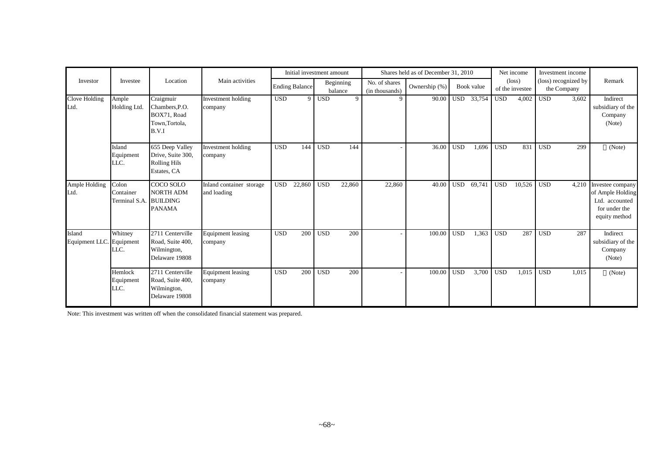|                                    |                                     |                                                                            |                                         |            | Initial investment amount |            |                      |                                 | Shares held as of December 31, 2010 |            |            |            | Net income                         | Investment income                   |                                                                                                |
|------------------------------------|-------------------------------------|----------------------------------------------------------------------------|-----------------------------------------|------------|---------------------------|------------|----------------------|---------------------------------|-------------------------------------|------------|------------|------------|------------------------------------|-------------------------------------|------------------------------------------------------------------------------------------------|
| Investor                           | Investee                            | Location                                                                   | Main activities                         |            | <b>Ending Balance</b>     |            | Beginning<br>balance | No. of shares<br>(in thousands) | Ownership (%)                       |            | Book value |            | $(\text{loss})$<br>of the investee | (loss) recognized by<br>the Company | Remark                                                                                         |
| Clove Holding<br>Ltd.              | Ample<br>Holding Ltd.               | Craigmuir<br>Chambers, P.O.<br>BOX71, Road<br>Town, Tortola,<br>B.V.I      | Investment holding<br>company           | <b>USD</b> | $\overline{Q}$            | <b>USD</b> | $\mathbf Q$          | 9                               | 90.00                               | <b>USD</b> | 33,754     | <b>USD</b> | 4,002                              | <b>USD</b><br>3,602                 | Indirect<br>subsidiary of the<br>Company<br>(Note)                                             |
|                                    | Island<br>Equipment<br>LLC.         | 655 Deep Valley<br>Drive, Suite 300,<br><b>Rolling Hils</b><br>Estates, CA | Investment holding<br>company           | <b>USD</b> | 144                       | <b>USD</b> | 144                  |                                 | 36.00                               | <b>USD</b> | 1,696      | <b>USD</b> | 831                                | <b>USD</b><br>299                   | (Note)                                                                                         |
| Ample Holding<br>Ltd.              | Colon<br>Container<br>Terminal S.A. | COCO SOLO<br><b>NORTH ADM</b><br><b>BUILDING</b><br><b>PANAMA</b>          | Inland container storage<br>and loading | <b>USD</b> | 22,860                    | <b>USD</b> | 22,860               | 22,860                          | 40.00                               | <b>USD</b> | 69,741     | <b>USD</b> | 10,526                             | <b>USD</b>                          | 4,210 Investee company<br>of Ample Holding<br>Ltd. accounted<br>for under the<br>equity method |
| Island<br>Equipment LLC. Equipment | Whitney<br>LLC.                     | 2711 Centerville<br>Road, Suite 400,<br>Wilmington,<br>Delaware 19808      | <b>Equipment</b> leasing<br>company     | <b>USD</b> | 200                       | <b>USD</b> | 200                  |                                 | 100.00                              | <b>USD</b> | 1,363      | <b>USD</b> | 287                                | 287<br><b>USD</b>                   | Indirect<br>subsidiary of the<br>Company<br>(Note)                                             |
|                                    | Hemlock<br>Equipment<br>LLC.        | 2711 Centerville<br>Road, Suite 400,<br>Wilmington,<br>Delaware 19808      | <b>Equipment</b> leasing<br>company     | <b>USD</b> | 200                       | <b>USD</b> | 200                  |                                 | 100.00                              | <b>USD</b> | 3,700      | <b>USD</b> | 1,015                              | <b>USD</b><br>1,015                 | (Note)                                                                                         |

Note: This investment was written off when the consolidated financial statement was prepared.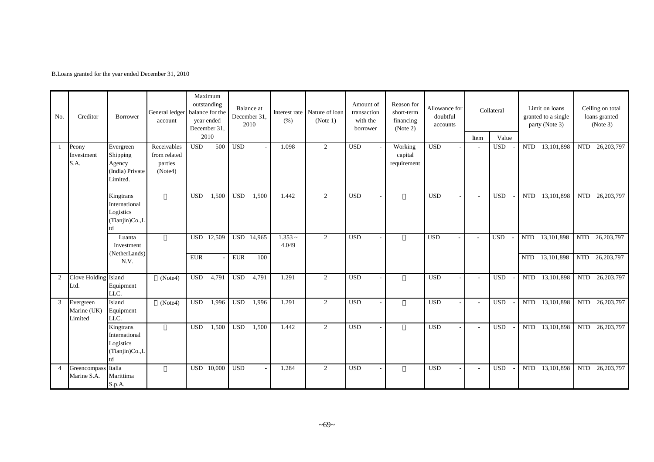B.Loans granted for the year ended December 31, 2010

| No.            | Creditor                            | <b>Borrower</b>                                                 | General ledger<br>account                         |            | Maximum<br>outstanding<br>balance for the<br>vear ended<br>December 31, |            | Balance at<br>December 31,<br>2010 | (% )               | Interest rate Nature of loan<br>(Note 1) | Amount of<br>transaction<br>with the<br>borrower | Reason for<br>short-term<br>financing<br>(Note 2) | Allowance for<br>doubtful<br>accounts |        | Collateral   |            | Limit on loans<br>granted to a single<br>party (Note 3) |            | Ceiling on total<br>loans granted<br>(Note 3) |
|----------------|-------------------------------------|-----------------------------------------------------------------|---------------------------------------------------|------------|-------------------------------------------------------------------------|------------|------------------------------------|--------------------|------------------------------------------|--------------------------------------------------|---------------------------------------------------|---------------------------------------|--------|--------------|------------|---------------------------------------------------------|------------|-----------------------------------------------|
|                |                                     |                                                                 |                                                   |            | 2010                                                                    |            |                                    |                    |                                          |                                                  |                                                   |                                       | Item   | Value        |            |                                                         |            |                                               |
| -1             | Peony<br>Investment<br>S.A.         | Evergreen<br>Shipping<br>Agency<br>(India) Private<br>Limited.  | Receivables<br>from related<br>parties<br>(Note4) | <b>USD</b> | 500                                                                     | <b>USD</b> |                                    | 1.098              | 2                                        | <b>USD</b>                                       | Working<br>capital<br>requirement                 | <b>USD</b>                            | $\sim$ | <b>USD</b>   | <b>NTD</b> | 13,101,898                                              | <b>NTD</b> | 26, 203, 797                                  |
|                |                                     | Kingtrans<br>International<br>Logistics<br>(Tianjin)Co.,L       |                                                   | <b>USD</b> | 1,500                                                                   | <b>USD</b> | 1,500                              | 1.442              | $\overline{2}$                           | <b>USD</b>                                       |                                                   | <b>USD</b>                            | $\sim$ | <b>USD</b>   | <b>NTD</b> | 13,101,898                                              | <b>NTD</b> | 26, 203, 797                                  |
|                |                                     | Luanta<br>Investment                                            |                                                   |            | USD 12,509                                                              |            | USD 14,965                         | $1.353 -$<br>4.049 | 2                                        | <b>USD</b>                                       |                                                   | <b>USD</b>                            | $\sim$ | <b>USD</b>   | <b>NTD</b> | 13,101,898                                              |            | NTD 26,203,797                                |
|                |                                     | (NetherLands)<br>N.V.                                           |                                                   | <b>EUR</b> |                                                                         | <b>EUR</b> | 100                                |                    |                                          |                                                  |                                                   |                                       |        |              | <b>NTD</b> | 13,101,898                                              |            | NTD 26,203,797                                |
| 2              | Clove Holding Island<br>Ltd.        | Equipment<br>LLC.                                               | (Note4)                                           | <b>USD</b> | 4,791                                                                   | <b>USD</b> | 4,791                              | 1.291              | 2                                        | <b>USD</b>                                       |                                                   | <b>USD</b>                            | $\sim$ | <b>USD</b>   |            | NTD 13,101,898                                          |            | NTD 26,203,797                                |
| 3              | Evergreen<br>Marine (UK)<br>Limited | Island<br>Equipment<br>LLC.                                     | (Note4)                                           | <b>USD</b> | 1,996                                                                   | <b>USD</b> | 1,996                              | 1.291              | 2                                        | <b>USD</b>                                       |                                                   | <b>USD</b>                            | $\sim$ | <b>USD</b>   | <b>NTD</b> | 13,101,898                                              | <b>NTD</b> | 26,203,797                                    |
|                |                                     | Kingtrans<br>International<br>Logistics<br>(Tianjin)Co.,L<br>td |                                                   | <b>USD</b> | 1,500                                                                   | <b>USD</b> | 1,500                              | 1.442              | 2                                        | <b>USD</b>                                       |                                                   | <b>USD</b>                            | $\sim$ | $_{\rm USD}$ |            | NTD 13,101,898                                          | <b>NTD</b> | 26,203,797                                    |
| $\overline{4}$ | Greencompass Italia<br>Marine S.A.  | Marittima<br>S.p.A.                                             |                                                   | <b>USD</b> | 10,000                                                                  | <b>USD</b> |                                    | 1.284              | $\overline{c}$                           | <b>USD</b>                                       |                                                   | <b>USD</b>                            | $\sim$ | <b>USD</b>   | <b>NTD</b> | 13,101,898                                              | <b>NTD</b> | 26, 203, 797                                  |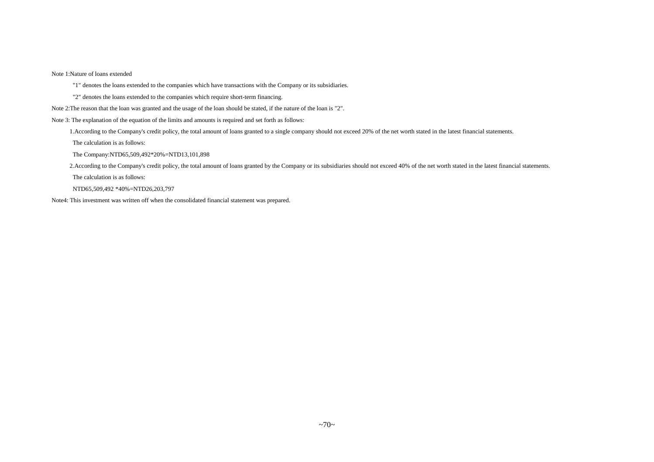Note 1:Nature of loans extended

"1" denotes the loans extended to the companies which have transactions with the Company or its subsidiaries.

"2" denotes the loans extended to the companies which require short-term financing.

Note 2:The reason that the loan was granted and the usage of the loan should be stated, if the nature of the loan is "2".

Note 3: The explanation of the equation of the limits and amounts is required and set forth as follows:

1.According to the Company's credit policy, the total amount of loans granted to a single company should not exceed 20% of the net worth stated in the latest financial statements.

The calculation is as follows:

The Company:NTD65,509,492\*20%=NTD13,101,898

2.According to the Company's credit policy, the total amount of loans granted by the Company or its subsidiaries should not exceed 40% of the net worth stated in the latest financial statements.

The calculation is as follows:

NTD65,509,492 \*40%=NTD26,203,797

Note4: This investment was written off when the consolidated financial statement was prepared.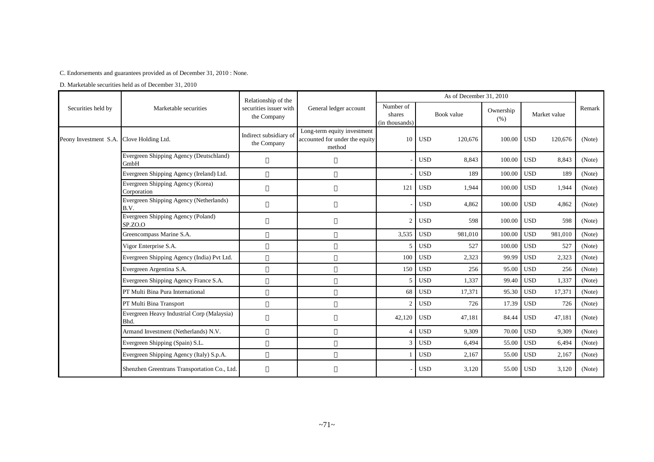C. Endorsements and guarantees provided as of December 31, 2010 : None.

D. Marketable securities held as of December 31, 2010

|                                          |                                                                                                                              | Relationship of the                   |                                                                         |                                       |            | As of December 31, 2010 |                   |            |              |        |
|------------------------------------------|------------------------------------------------------------------------------------------------------------------------------|---------------------------------------|-------------------------------------------------------------------------|---------------------------------------|------------|-------------------------|-------------------|------------|--------------|--------|
| Securities held by                       | Marketable securities                                                                                                        | securities issuer with<br>the Company | General ledger account                                                  | Number of<br>shares<br>(in thousands) |            | Book value              | Ownership<br>(% ) |            | Market value | Remark |
| Peony Investment S.A. Clove Holding Ltd. |                                                                                                                              | Indirect subsidiary of<br>the Company | Long-term equity investment<br>accounted for under the equity<br>method | 10                                    | <b>USD</b> | 120,676                 | 100.00            | <b>USD</b> | 120,676      | (Note) |
|                                          | Evergreen Shipping Agency (Deutschland)<br>GmbH                                                                              |                                       |                                                                         |                                       | <b>USD</b> | 8,843                   | 100.00            | <b>USD</b> | 8,843        | (Note) |
|                                          | Evergreen Shipping Agency (Ireland) Ltd.                                                                                     |                                       |                                                                         |                                       | <b>USD</b> | 189                     | 100.00            | <b>USD</b> | 189          | (Note) |
|                                          | Evergreen Shipping Agency (Korea)<br>Corporation                                                                             |                                       |                                                                         | 121                                   | <b>USD</b> | 1,944                   | 100.00            | <b>USD</b> | 1,944        | (Note) |
|                                          | Evergreen Shipping Agency (Netherlands)<br>B.V.<br>Evergreen Shipping Agency (Poland)<br>SP.ZO.O<br>Greencompass Marine S.A. |                                       |                                                                         |                                       | <b>USD</b> | 4,862                   | 100.00            | <b>USD</b> | 4,862        | (Note) |
|                                          |                                                                                                                              |                                       |                                                                         | 2 <sup>1</sup>                        | <b>USD</b> | 598                     | 100.00            | <b>USD</b> | 598          | (Note) |
|                                          |                                                                                                                              |                                       |                                                                         | 3,535                                 | <b>USD</b> | 981,010                 | 100.00            | <b>USD</b> | 981,010      | (Note) |
|                                          | Vigor Enterprise S.A.                                                                                                        |                                       |                                                                         |                                       | <b>USD</b> | 527                     | 100.00            | <b>USD</b> | 527          | (Note) |
|                                          | Evergreen Shipping Agency (India) Pvt Ltd.                                                                                   |                                       |                                                                         | 100                                   | <b>USD</b> | 2,323                   | 99.99             | <b>USD</b> | 2,323        | (Note) |
|                                          | Evergreen Argentina S.A.                                                                                                     |                                       |                                                                         | 150                                   | <b>USD</b> | 256                     | 95.00             | <b>USD</b> | 256          | (Note) |
|                                          | Evergreen Shipping Agency France S.A.                                                                                        |                                       |                                                                         | 5                                     | <b>USD</b> | 1,337                   | 99.40             | <b>USD</b> | 1,337        | (Note) |
|                                          | PT Multi Bina Pura International                                                                                             |                                       |                                                                         | 68                                    | <b>USD</b> | 17,371                  | 95.30             | <b>USD</b> | 17,371       | (Note) |
|                                          | PT Multi Bina Transport                                                                                                      |                                       |                                                                         | 2                                     | <b>USD</b> | 726                     | 17.39             | <b>USD</b> | 726          | (Note) |
|                                          | Evergreen Heavy Industrial Corp (Malaysia)<br>Bhd.                                                                           |                                       |                                                                         | 42,120                                | <b>USD</b> | 47,181                  | 84.44             | <b>USD</b> | 47,181       | (Note) |
|                                          | Armand Investment (Netherlands) N.V.                                                                                         |                                       |                                                                         | 4                                     | <b>USD</b> | 9,309                   | 70.00             | <b>USD</b> | 9,309        | (Note) |
|                                          | Evergreen Shipping (Spain) S.L.                                                                                              |                                       |                                                                         | 3                                     | <b>USD</b> | 6,494                   | 55.00             | <b>USD</b> | 6,494        | (Note) |
|                                          | Evergreen Shipping Agency (Italy) S.p.A.                                                                                     |                                       |                                                                         |                                       | <b>USD</b> | 2,167                   | 55.00             | <b>USD</b> | 2,167        | (Note) |
|                                          | Shenzhen Greentrans Transportation Co., Ltd.                                                                                 |                                       |                                                                         |                                       | <b>USD</b> | 3,120                   | 55.00             | <b>USD</b> | 3,120        | (Note) |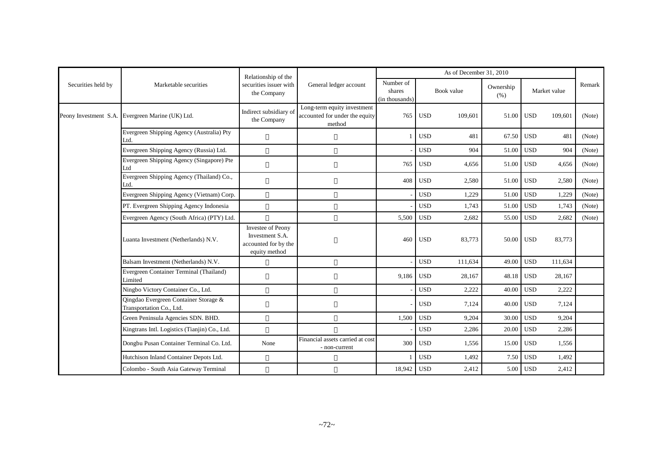|                    |                                                                   | Relationship of the                                                                  |                                                                         | As of December 31, 2010               |            |            |                   |            |              |        |
|--------------------|-------------------------------------------------------------------|--------------------------------------------------------------------------------------|-------------------------------------------------------------------------|---------------------------------------|------------|------------|-------------------|------------|--------------|--------|
| Securities held by | Marketable securities                                             | securities issuer with<br>the Company                                                | General ledger account                                                  | Number of<br>shares<br>(in thousands) |            | Book value | Ownership<br>(% ) |            | Market value | Remark |
|                    | Peony Investment S.A. Evergreen Marine (UK) Ltd.                  | Indirect subsidiary of<br>the Company                                                | Long-term equity investment<br>accounted for under the equity<br>method | 765                                   | <b>USD</b> | 109,601    | 51.00             | <b>USD</b> | 109,601      | (Note) |
|                    | Evergreen Shipping Agency (Australia) Pty<br>Ltd.                 |                                                                                      |                                                                         |                                       | <b>USD</b> | 481        | 67.50 USD         |            | 481          | (Note) |
|                    | Evergreen Shipping Agency (Russia) Ltd.                           |                                                                                      |                                                                         |                                       | <b>USD</b> | 904        | 51.00             | <b>USD</b> | 904          | (Note) |
|                    | Evergreen Shipping Agency (Singapore) Pte<br>Ltd                  |                                                                                      |                                                                         | 765                                   | <b>USD</b> | 4,656      | 51.00             | <b>USD</b> | 4,656        | (Note) |
|                    | Evergreen Shipping Agency (Thailand) Co.,<br>Ltd.                 |                                                                                      |                                                                         | 408                                   | <b>USD</b> | 2,580      | 51.00             | <b>USD</b> | 2,580        | (Note) |
|                    | Evergreen Shipping Agency (Vietnam) Corp.                         |                                                                                      |                                                                         |                                       | <b>USD</b> | 1,229      | 51.00             | <b>USD</b> | 1,229        | (Note) |
|                    | PT. Evergreen Shipping Agency Indonesia                           |                                                                                      |                                                                         |                                       | <b>USD</b> | 1,743      | 51.00             | <b>USD</b> | 1,743        | (Note) |
|                    | Evergreen Agency (South Africa) (PTY) Ltd.                        |                                                                                      |                                                                         | 5,500                                 | <b>USD</b> | 2,682      | 55.00             | <b>USD</b> | 2,682        | (Note) |
|                    | Luanta Investment (Netherlands) N.V.                              | <b>Investee of Peony</b><br>Investment S.A.<br>accounted for by the<br>equity method |                                                                         | 460                                   | <b>USD</b> | 83,773     | 50.00 USD         |            | 83,773       |        |
|                    | Balsam Investment (Netherlands) N.V.                              |                                                                                      |                                                                         |                                       | <b>USD</b> | 111,634    | 49.00             | <b>USD</b> | 111,634      |        |
|                    | Evergreen Container Terminal (Thailand)<br>Limited                |                                                                                      |                                                                         | 9,186                                 | <b>USD</b> | 28,167     | 48.18             | <b>USD</b> | 28,167       |        |
|                    | Ningbo Victory Container Co., Ltd.                                |                                                                                      |                                                                         |                                       | <b>USD</b> | 2,222      | 40.00             | <b>USD</b> | 2,222        |        |
|                    | Qingdao Evergreen Container Storage &<br>Transportation Co., Ltd. |                                                                                      |                                                                         |                                       | <b>USD</b> | 7,124      | 40.00             | <b>USD</b> | 7,124        |        |
|                    | Green Peninsula Agencies SDN. BHD.                                |                                                                                      |                                                                         | 1,500                                 | <b>USD</b> | 9.204      | 30.00             | <b>USD</b> | 9.204        |        |
|                    | Kingtrans Intl. Logistics (Tianjin) Co., Ltd.                     |                                                                                      |                                                                         |                                       | <b>USD</b> | 2,286      | 20.00             | <b>USD</b> | 2,286        |        |
|                    | Dongbu Pusan Container Terminal Co. Ltd.                          | None                                                                                 | Financial assets carried at cost<br>- non-current                       | 300                                   | <b>USD</b> | 1,556      | 15.00             | <b>USD</b> | 1,556        |        |
|                    | Hutchison Inland Container Depots Ltd.                            |                                                                                      |                                                                         |                                       | <b>USD</b> | 1,492      | 7.50              | <b>USD</b> | 1,492        |        |
|                    | Colombo - South Asia Gateway Terminal                             |                                                                                      |                                                                         | 18,942                                | <b>USD</b> | 2,412      |                   | 5.00 USD   | 2,412        |        |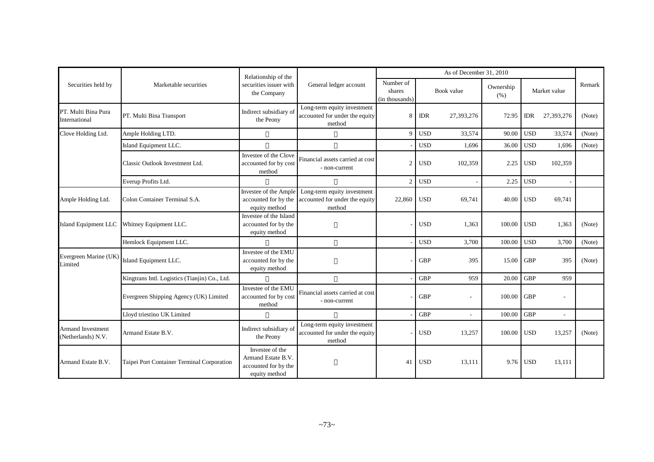|                                                |                                               | Relationship of the                                                            |                                                                         | As of December 31, 2010               |            |                          |                   |            |                |        |
|------------------------------------------------|-----------------------------------------------|--------------------------------------------------------------------------------|-------------------------------------------------------------------------|---------------------------------------|------------|--------------------------|-------------------|------------|----------------|--------|
| Securities held by                             | Marketable securities                         | securities issuer with<br>the Company                                          | General ledger account                                                  | Number of<br>shares<br>(in thousands) |            | Book value               | Ownership<br>(% ) |            | Market value   | Remark |
| PT. Multi Bina Pura<br>International           | PT. Multi Bina Transport                      | Indirect subsidiary of<br>the Peony                                            | Long-term equity investment<br>accounted for under the equity<br>method | 8                                     | <b>IDR</b> | 27,393,276               | 72.95             | <b>IDR</b> | 27,393,276     | (Note) |
| Clove Holding Ltd.                             | Ample Holding LTD.                            |                                                                                |                                                                         | 9                                     | <b>USD</b> | 33,574                   | 90.00             | <b>USD</b> | 33,574         | (Note) |
|                                                | Island Equipment LLC.                         |                                                                                |                                                                         |                                       | <b>USD</b> | 1,696                    | 36.00             | <b>USD</b> | 1,696          | (Note) |
|                                                | Classic Outlook Investment Ltd.               | Investee of the Clove<br>accounted for by cost<br>method                       | Financial assets carried at cost<br>- non-current                       | 2                                     | <b>USD</b> | 102,359                  | 2.25              | <b>USD</b> | 102,359        |        |
|                                                | Everup Profits Ltd.                           |                                                                                |                                                                         | $\overline{c}$                        | <b>USD</b> |                          | 2.25              | <b>USD</b> |                |        |
| Ample Holding Ltd.                             | Colon Container Terminal S.A.                 | Investee of the Ample<br>accounted for by the<br>equity method                 | Long-term equity investment<br>accounted for under the equity<br>method | 22,860                                | <b>USD</b> | 69,741                   | 40.00             | <b>USD</b> | 69,741         |        |
| Island Equipment LLC                           | Whitney Equipment LLC.                        | Investee of the Island<br>accounted for by the<br>equity method                |                                                                         |                                       | <b>USD</b> | 1,363                    | 100.00            | <b>USD</b> | 1,363          | (Note) |
|                                                | Hemlock Equipment LLC.                        |                                                                                |                                                                         |                                       | <b>USD</b> | 3,700                    | 100.00            | <b>USD</b> | 3,700          | (Note) |
| Evergreen Marine (UK)<br>Limited               | Island Equipment LLC.                         | Investee of the EMU<br>accounted for by the<br>equity method                   |                                                                         |                                       | <b>GBP</b> | 395                      | 15.00             | <b>GBP</b> | 395            | (Note) |
|                                                | Kingtrans Intl. Logistics (Tianjin) Co., Ltd. |                                                                                |                                                                         |                                       | <b>GBP</b> | 959                      | 20.00             | <b>GBP</b> | 959            |        |
|                                                | Evergreen Shipping Agency (UK) Limited        | Investee of the EMU<br>accounted for by cost<br>method                         | Financial assets carried at cost<br>- non-current                       |                                       | <b>GBP</b> | $\overline{\phantom{a}}$ | 100.00            | <b>GBP</b> |                |        |
|                                                | Lloyd triestino UK Limited                    |                                                                                |                                                                         |                                       | <b>GBP</b> | ÷,                       | 100.00            | <b>GBP</b> | $\blacksquare$ |        |
| <b>Armand Investment</b><br>(Netherlands) N.V. | Armand Estate B.V.                            | Indirect subsidiary of<br>the Peony                                            | Long-term equity investment<br>accounted for under the equity<br>method |                                       | <b>USD</b> | 13,257                   | 100.00            | <b>USD</b> | 13,257         | (Note) |
| Armand Estate B.V.                             | Taipei Port Container Terminal Corporation    | Investee of the<br>Armand Estate B.V.<br>accounted for by the<br>equity method |                                                                         | 41                                    | <b>USD</b> | 13,111                   | 9.76              | <b>USD</b> | 13,111         |        |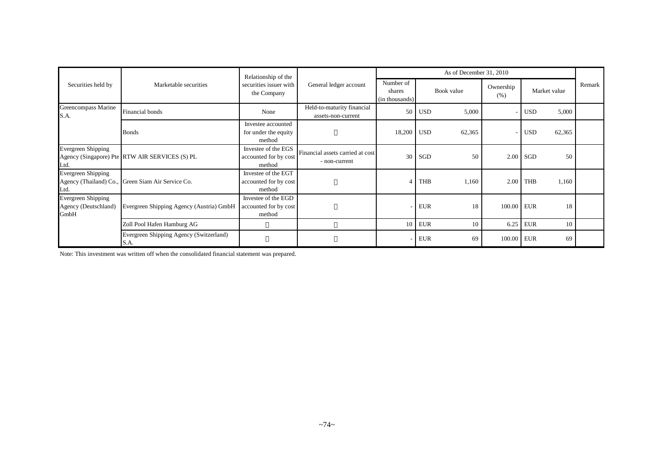|                                                    |                                                   | Relationship of the                                    |                                                   |                                       |            | As of December 31, 2010 |                   |            |              |        |
|----------------------------------------------------|---------------------------------------------------|--------------------------------------------------------|---------------------------------------------------|---------------------------------------|------------|-------------------------|-------------------|------------|--------------|--------|
| Securities held by                                 | Marketable securities                             | securities issuer with<br>the Company                  | General ledger account                            | Number of<br>shares<br>(in thousands) |            | Book value              | Ownership<br>(% ) |            | Market value | Remark |
| Greencompass Marine<br>S.A.                        | Financial bonds                                   | None                                                   | Held-to-maturity financial<br>assets-non-current  | 50 <sup>1</sup>                       | <b>USD</b> | 5,000                   |                   | <b>USD</b> | 5,000        |        |
|                                                    | <b>Bonds</b>                                      | Investee accounted<br>for under the equity<br>method   |                                                   | 18,200 USD                            |            | 62,365                  |                   | <b>USD</b> | 62,365       |        |
| Evergreen Shipping<br>Ltd.                         | Agency (Singapore) Pte RTW AIR SERVICES (S) PL    | Investee of the EGS<br>accounted for by cost<br>method | Financial assets carried at cost<br>- non-current | 30 <sup>1</sup>                       | SGD        | 50                      | 2.00              | <b>SGD</b> | 50           |        |
| <b>Evergreen Shipping</b><br>Ltd.                  | Agency (Thailand) Co., Green Siam Air Service Co. | Investee of the EGT<br>accounted for by cost<br>method |                                                   |                                       | <b>THB</b> | 1,160                   |                   | $2.00$ THB | 1,160        |        |
| Evergreen Shipping<br>Agency (Deutschland)<br>GmbH | Evergreen Shipping Agency (Austria) GmbH          | Investee of the EGD<br>accounted for by cost<br>method |                                                   |                                       | <b>EUR</b> | 18                      | 100.00 EUR        |            | 18           |        |
|                                                    | Zoll Pool Hafen Hamburg AG                        |                                                        |                                                   | 10 <sup>1</sup>                       | <b>EUR</b> | 10                      | 6.25              | <b>EUR</b> | 10           |        |
|                                                    | Evergreen Shipping Agency (Switzerland)<br>S.A.   |                                                        |                                                   |                                       | <b>EUR</b> | 69                      | 100.00 EUR        |            | 69           |        |

Note: This investment was written off when the consolidated financial statement was prepared.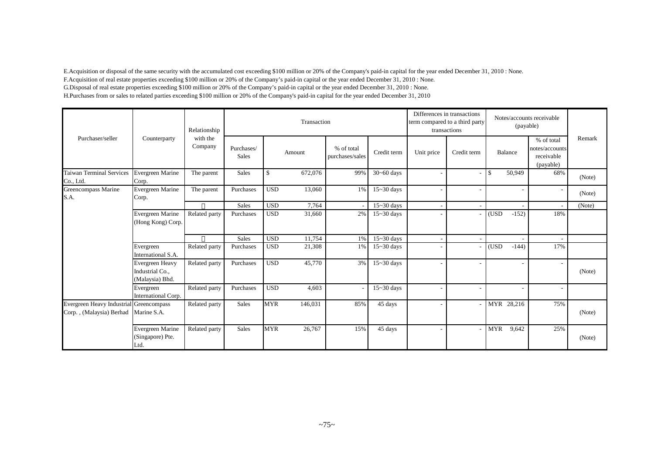E.Acquisition or disposal of the same security with the accumulated cost exceeding \$100 million or 20% of the Company's paid-in capital for the year ended December 31, 2010 : None. F.Acquisition of real estate properties exceeding \$100 million or 20% of the Company's paid-in capital or the year ended December 31, 2010 : None. G.Disposal of real estate properties exceeding \$100 million or 20% of the Company's paid-in capital or the year ended December 31, 2010 : None. H.Purchases from or sales to related parties exceeding \$100 million or 20% of the Company's paid-in capital for the year ended December 31, 2010

|                                                                     |                                                              | Relationship        |                            |            | Transaction |                               |                          |            | Differences in transactions<br>term compared to a third party<br>transactions |               | (payable) | Notes/accounts receivable                               |        |
|---------------------------------------------------------------------|--------------------------------------------------------------|---------------------|----------------------------|------------|-------------|-------------------------------|--------------------------|------------|-------------------------------------------------------------------------------|---------------|-----------|---------------------------------------------------------|--------|
| Purchaser/seller                                                    | Counterparty                                                 | with the<br>Company | Purchases/<br><b>Sales</b> |            | Amount      | % of total<br>purchases/sales | Credit term              | Unit price | Credit term                                                                   | Balance       |           | % of total<br>notes/accounts<br>receivable<br>(payable) | Remark |
| <b>Taiwan Terminal Services</b><br>Co., Ltd.                        | Evergreen Marine<br>Corp.                                    | The parent          | <b>Sales</b>               | \$         | 672,076     | 99%                           | $\overline{30}$ ~60 days |            | ۰                                                                             | $\mathbf{\$}$ | 50,949    | 68%                                                     | (Note) |
| Greencompass Marine<br>S.A.                                         | Evergreen Marine<br>Corp.                                    | The parent          | Purchases                  | <b>USD</b> | 13,060      | 1%                            | $15 - 30$ days           |            |                                                                               |               |           | $\overline{\phantom{a}}$                                | (Note) |
|                                                                     |                                                              |                     | Sales                      | <b>USD</b> | 7,764       |                               | $15 - 30$ days           |            |                                                                               |               |           |                                                         | (Note) |
|                                                                     | <b>Evergreen Marine</b><br>(Hong Kong) Corp.                 | Related party       | Purchases                  | <b>USD</b> | 31,660      | 2%                            | $15 - 30$ days           |            |                                                                               | (USD          | $-152)$   | 18%                                                     |        |
|                                                                     |                                                              |                     | Sales                      | <b>USD</b> | 11,754      | 1%                            | $15 - 30$ days           |            |                                                                               |               |           | $\overline{\phantom{a}}$                                |        |
|                                                                     | Evergreen<br>International S.A.                              | Related party       | Purchases                  | <b>USD</b> | 21,308      | 1%                            | $15 - 30$ days           |            |                                                                               | (USD          | $-144$    | 17%                                                     |        |
|                                                                     | <b>Evergreen Heavy</b><br>Industrial Co.,<br>(Malaysia) Bhd. | Related party       | Purchases                  | <b>USD</b> | 45,770      | 3%                            | $15 - 30$ days           |            |                                                                               |               |           |                                                         | (Note) |
|                                                                     | Evergreen<br>International Corp.                             | Related party       | Purchases                  | <b>USD</b> | 4,603       |                               | $15 - 30$ days           |            |                                                                               |               |           | $\overline{\phantom{a}}$                                |        |
| Evergreen Heavy Industrial Greencompass<br>Corp., (Malaysia) Berhad | Marine S.A.                                                  | Related party       | <b>Sales</b>               | <b>MYR</b> | 146,031     | 85%                           | 45 days                  |            |                                                                               | MYR 28,216    |           | 75%                                                     | (Note) |
|                                                                     | <b>Evergreen Marine</b><br>(Singapore) Pte.<br>Ltd.          | Related party       | <b>Sales</b>               | <b>MYR</b> | 26,767      | 15%                           | 45 days                  |            | ۰                                                                             | <b>MYR</b>    | 9,642     | 25%                                                     | (Note) |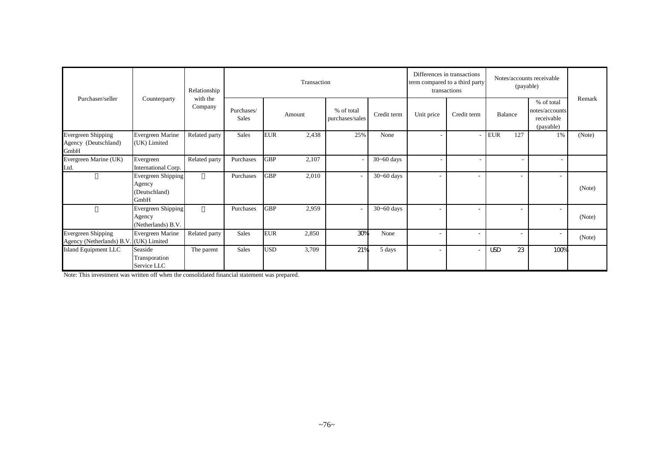|                                                                     |                                                       | Relationship        |                            |            | Transaction |                               |                          | term compared to a third party | Differences in transactions<br>transactions | Notes/accounts receivable<br>(payable) |     |                                                         |        |
|---------------------------------------------------------------------|-------------------------------------------------------|---------------------|----------------------------|------------|-------------|-------------------------------|--------------------------|--------------------------------|---------------------------------------------|----------------------------------------|-----|---------------------------------------------------------|--------|
| Purchaser/seller                                                    | Counterparty                                          | with the<br>Company | Purchases/<br><b>Sales</b> |            | Amount      | % of total<br>purchases/sales | Credit term              | Unit price                     | Credit term                                 | Balance                                |     | % of total<br>notes/accounts<br>receivable<br>(payable) | Remark |
| <b>Evergreen Shipping</b><br>Agency (Deutschland)<br>GmbH           | <b>Evergreen Marine</b><br>(UK) Limited               | Related party       | Sales                      | <b>EUR</b> | 2,438       | 25%                           | None                     |                                |                                             | <b>EUR</b>                             | 127 | 1%                                                      | (Note) |
| Evergreen Marine (UK)<br>Ltd.                                       | Evergreen<br>International Corp.                      | Related party       | Purchases                  | <b>GBP</b> | 2,107       |                               | $30 - 60$ days           |                                |                                             |                                        |     | н.                                                      |        |
|                                                                     | Evergreen Shipping<br>Agency<br>(Deutschland)<br>GmbH |                     | Purchases                  | <b>GBP</b> | 2,010       |                               | $30 - 60$ days           | $\overline{\phantom{a}}$       | $\overline{\phantom{a}}$                    |                                        |     | $\overline{\phantom{a}}$                                | (Note) |
|                                                                     | Evergreen Shipping<br>Agency<br>(Netherlands) B.V.    |                     | Purchases                  | <b>GBP</b> | 2,959       |                               | $\overline{30}$ ~60 days |                                |                                             |                                        |     | $\overline{\phantom{a}}$                                | (Note) |
| <b>Evergreen Shipping</b><br>Agency (Netherlands) B.V. (UK) Limited | <b>Evergreen Marine</b>                               | Related party       | <b>Sales</b>               | <b>EUR</b> | 2,850       | 30%                           | None                     |                                |                                             |                                        |     | $\overline{\phantom{a}}$                                | (Note) |
| Island Equipment LLC                                                | Seaside<br>Transporation<br>Service LLC               | The parent          | <b>Sales</b>               | <b>USD</b> | 3,709       | 21%                           | 5 days                   |                                |                                             | <b>USD</b>                             | 23  | 100%                                                    |        |

Note: This investment was written off when the consolidated financial statement was prepared.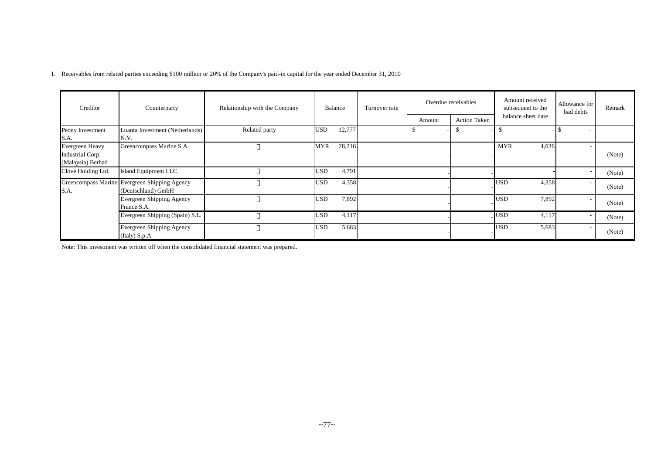I. Receivables from related parties exceeding \$100 million or 20% of the Company's paid-in capital for the year ended December 31, 2010

| Creditor                                                        | Counterparty                                                        | Relationship with the Company | Overdue receivables<br>Balance<br>Turnover rate |  |        | Amount received<br>subsequent to the | Allowance for<br>bad debts | Remark |        |
|-----------------------------------------------------------------|---------------------------------------------------------------------|-------------------------------|-------------------------------------------------|--|--------|--------------------------------------|----------------------------|--------|--------|
|                                                                 |                                                                     |                               |                                                 |  | Amount | <b>Action Taken</b>                  | balance sheet date         |        |        |
| Peony Investment<br>S.A.                                        | Luanta Investment (Netherlands)<br>N.V.                             | Related party                 | 12,777<br><b>USD</b>                            |  |        |                                      | \$                         |        |        |
| <b>Evergreen Heavy</b><br>Industrial Corp.<br>(Malaysia) Berhad | Greencompass Marine S.A.                                            |                               | 28,216<br><b>MYR</b>                            |  |        |                                      | <b>MYR</b><br>4,636        |        | (Note) |
| Clove Holding Ltd.                                              | Island Equipment LLC.                                               |                               | 4,791<br><b>USD</b>                             |  |        |                                      |                            |        | (Note) |
| S.A.                                                            | Greencompass Marine Evergreen Shipping Agency<br>(Deutschland) GmbH |                               | 4,358<br><b>USD</b>                             |  |        |                                      | <b>USD</b><br>4,358        |        | (Note) |
|                                                                 | Evergreen Shipping Agency<br>France S.A.                            |                               | 7,892<br><b>USD</b>                             |  |        |                                      | 7,892<br><b>USD</b>        |        | (Note) |
|                                                                 | Evergreen Shipping (Spain) S.L.                                     |                               | <b>USD</b><br>4,117                             |  |        |                                      | <b>USD</b><br>4,117        |        | (Note) |
|                                                                 | Evergreen Shipping Agency<br>(Italy) S.p.A.                         |                               | 5,683<br><b>USD</b>                             |  |        |                                      | 5,683<br><b>USD</b>        |        | (Note) |

Note: This investment was written off when the consolidated financial statement was prepared.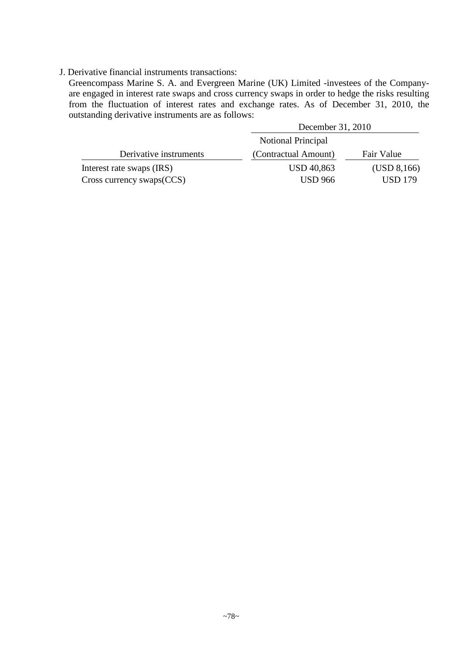#### J. Derivative financial instruments transactions:

Greencompass Marine S. A. and Evergreen Marine (UK) Limited -investees of the Companyare engaged in interest rate swaps and cross currency swaps in order to hedge the risks resulting from the fluctuation of interest rates and exchange rates. As of December 31, 2010, the outstanding derivative instruments are as follows:

|                                | December 31, 2010    |                |
|--------------------------------|----------------------|----------------|
|                                | Notional Principal   |                |
| Derivative instruments         | (Contractual Amount) | Fair Value     |
| Interest rate swaps (IRS)      | <b>USD 40,863</b>    | (USD 8,166)    |
| $Cross$ currency swaps $(CCS)$ | <b>USD</b> 966       | <b>USD 179</b> |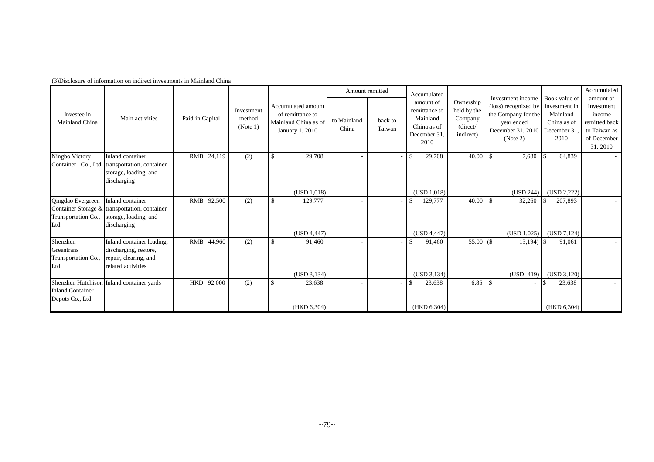|                                                      |                                                                                                           |                 |                                  |                                                                                   | Amount remitted      |                   | Accumulated                                                                  |                                                              |                                                                                                                 |                                                                                  | Accumulated                                                                                   |
|------------------------------------------------------|-----------------------------------------------------------------------------------------------------------|-----------------|----------------------------------|-----------------------------------------------------------------------------------|----------------------|-------------------|------------------------------------------------------------------------------|--------------------------------------------------------------|-----------------------------------------------------------------------------------------------------------------|----------------------------------------------------------------------------------|-----------------------------------------------------------------------------------------------|
| Investee in<br>Mainland China                        | Main activities                                                                                           | Paid-in Capital | Investment<br>method<br>(Note 1) | Accumulated amount<br>of remittance to<br>Mainland China as of<br>January 1, 2010 | to Mainland<br>China | back to<br>Taiwan | amount of<br>remittance to<br>Mainland<br>China as of<br>December 31<br>2010 | Ownership<br>held by the<br>Company<br>(direct/<br>indirect) | Investment income<br>(loss) recognized by<br>the Company for the<br>vear ended<br>December 31, 2010<br>(Note 2) | Book value of<br>investment in<br>Mainland<br>China as of<br>December 31<br>2010 | amount of<br>investment<br>income<br>remitted back<br>to Taiwan as<br>of December<br>31, 2010 |
| Ningbo Victory                                       | Inland container<br>Container Co., Ltd. transportation, container<br>storage, loading, and<br>discharging | RMB 24,119      | (2)                              | 29,708<br>-S                                                                      |                      |                   | 29,708<br>$\mathcal{S}$                                                      | 40.00                                                        | 7,680                                                                                                           | 64,839                                                                           |                                                                                               |
|                                                      |                                                                                                           |                 |                                  | (USD 1,018)                                                                       |                      |                   | (USD 1,018)                                                                  |                                                              | (USD 244)                                                                                                       | (USD 2,222)                                                                      |                                                                                               |
| Qingdao Evergreen<br>Transportation Co.,<br>Ltd.     | Inland container<br>Container Storage & transportation, container<br>storage, loading, and<br>discharging | RMB 92,500      | (2)                              | $\mathbb{S}$<br>129,777                                                           |                      |                   | 129,777<br>\$                                                                | 40.00                                                        | 32,260                                                                                                          | 207,893                                                                          |                                                                                               |
|                                                      |                                                                                                           |                 |                                  | (USD 4,447)                                                                       |                      |                   | (USD 4,447)                                                                  |                                                              | (USD 1,025)                                                                                                     | (USD 7,124)                                                                      |                                                                                               |
| Shenzhen<br>Greentrans<br>Transportation Co.<br>Ltd. | Inland container loading,<br>discharging, restore,<br>repair, clearing, and<br>related activities         | RMB<br>44,960   | (2)                              | 91,460<br>\$                                                                      |                      |                   | 91,460<br>\$                                                                 | 55.00                                                        | 13,194)                                                                                                         | 91,061                                                                           |                                                                                               |
|                                                      |                                                                                                           |                 |                                  | (USD 3, 134)                                                                      |                      |                   | (USD 3, 134)                                                                 |                                                              | $(USD -419)$                                                                                                    | (USD 3,120)                                                                      |                                                                                               |
| <b>Inland Container</b><br>Depots Co., Ltd.          | Shenzhen Hutchison Inland container yards                                                                 | HKD 92,000      | (2)                              | 23,638<br>S                                                                       |                      |                   | 23,638                                                                       | 6.85                                                         |                                                                                                                 | 23,638                                                                           |                                                                                               |
|                                                      |                                                                                                           |                 |                                  | (HKD 6, 304)                                                                      |                      |                   | (HKD 6,304)                                                                  |                                                              |                                                                                                                 | (HKD 6, 304)                                                                     |                                                                                               |

(3)Disclosure of information on indirect investments in Mainland China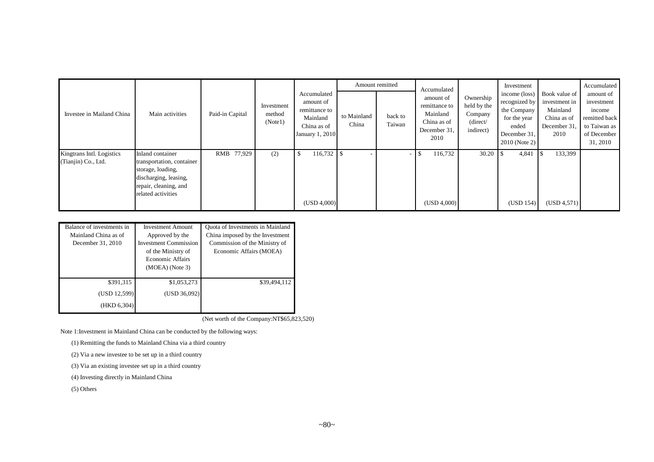|                                                  |                                                                                                                                            |                 |                                 |                                                                                         |                      | Amount remitted   | Accumulated                                                                   |                                                              | Investment                                                                                              |                                                                                  | Accumulated                                                                                   |
|--------------------------------------------------|--------------------------------------------------------------------------------------------------------------------------------------------|-----------------|---------------------------------|-----------------------------------------------------------------------------------------|----------------------|-------------------|-------------------------------------------------------------------------------|--------------------------------------------------------------|---------------------------------------------------------------------------------------------------------|----------------------------------------------------------------------------------|-----------------------------------------------------------------------------------------------|
| Investee in Mailand China                        | Main activities                                                                                                                            | Paid-in Capital | Investment<br>method<br>(Note1) | Accumulated<br>amount of<br>remittance to<br>Mainland<br>China as of<br>January 1, 2010 | to Mainland<br>China | back to<br>Taiwan | amount of<br>remittance to<br>Mainland<br>China as of<br>December 31.<br>2010 | Ownership<br>held by the<br>Company<br>(direct/<br>indirect) | income (loss)<br>recognized by<br>the Company<br>for the year<br>ended<br>December 31,<br>2010 (Note 2) | Book value of<br>investment in<br>Mainland<br>China as of<br>December 31<br>2010 | amount of<br>investment<br>income<br>remitted back<br>to Taiwan as<br>of December<br>31, 2010 |
| Kingtrans Intl. Logistics<br>(Tianjin) Co., Ltd. | Inland container<br>transportation, container<br>storage, loading,<br>discharging, leasing,<br>repair, cleaning, and<br>related activities | RMB 77,929      | (2)                             | 116,732<br>(USD 4,000)                                                                  | <b>IS</b>            | ٠                 | 116,732<br>(USD 4,000)                                                        | 30.20                                                        | 4,841<br>(USD 154)                                                                                      | 133,399<br>(USD 4,571)                                                           |                                                                                               |

| Balance of investments in<br>Mainland China as of<br>December 31, 2010 | <b>Investment Amount</b><br>Approved by the<br><b>Investment Commission</b><br>of the Ministry of<br><b>Economic Affairs</b><br>$(MOEA)$ (Note 3) | Quota of Investments in Mainland<br>China imposed by the Investment<br>Commission of the Ministry of<br>Economic Affairs (MOEA) |
|------------------------------------------------------------------------|---------------------------------------------------------------------------------------------------------------------------------------------------|---------------------------------------------------------------------------------------------------------------------------------|
| \$391,315                                                              | \$1,053,273                                                                                                                                       | \$39,494,112                                                                                                                    |
| (USD 12,599)                                                           | (USD 36,092)                                                                                                                                      |                                                                                                                                 |
| (HKD 6,304)                                                            |                                                                                                                                                   |                                                                                                                                 |

(Net worth of the Company:NT\$65,823,520)

Note 1:Investment in Mainland China can be conducted by the following ways:

(1) Remitting the funds to Mainland China via a third country

(2) Via a new investee to be set up in a third country

(3) Via an existing investee set up in a third country

(4) Investing directly in Mainland China

(5) Others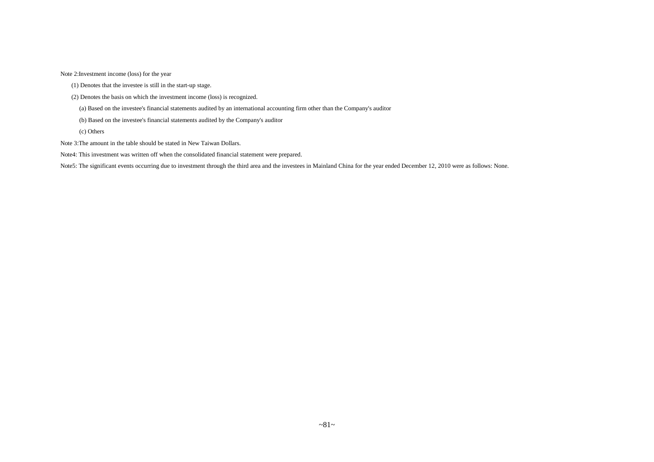Note 2:Investment income (loss) for the year

- (1) Denotes that the investee is still in the start-up stage.
- (2) Denotes the basis on which the investment income (loss) is recognized.
	- (a) Based on the investee's financial statements audited by an international accounting firm other than the Company's auditor
	- (b) Based on the investee's financial statements audited by the Company's auditor
	- (c) Others
- Note 3:The amount in the table should be stated in New Taiwan Dollars.
- Note4: This investment was written off when the consolidated financial statement were prepared.

Note5: The significant events occurring due to investment through the third area and the investees in Mainland China for the year ended December 12, 2010 were as follows: None.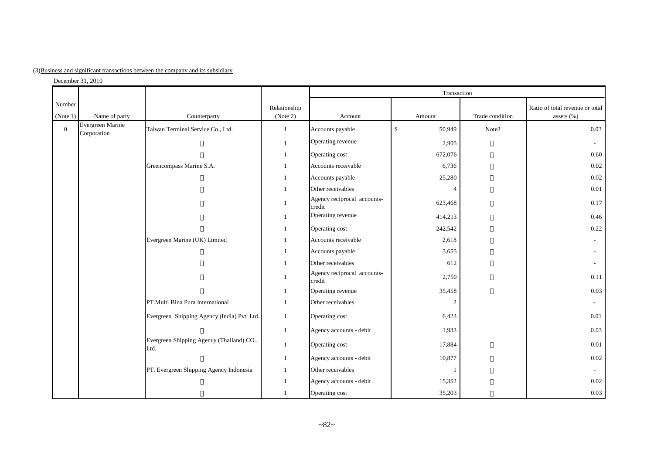|  |  | (3) Business and significant transactions between the company and its subsidiary |  |  |  |  |  |  |  |  |
|--|--|----------------------------------------------------------------------------------|--|--|--|--|--|--|--|--|
|--|--|----------------------------------------------------------------------------------|--|--|--|--|--|--|--|--|

 $December 31, 2010$ 

|                    |                                 |                                                   |                          |                                       | Transaction                  |                 |                                               |
|--------------------|---------------------------------|---------------------------------------------------|--------------------------|---------------------------------------|------------------------------|-----------------|-----------------------------------------------|
| Number<br>(Note 1) | Name of party                   | Counterparty                                      | Relationship<br>(Note 2) | Account                               | Amount                       | Trade condition | Ratio of total revenue or total<br>assets (%) |
| $\mathbf{0}$       | Evergreen Marine<br>Corporation | Taiwan Terminal Service Co., Ltd.                 | $\mathbf{1}$             | Accounts payable                      | $\mathbf{\hat{S}}$<br>50,949 | Note3           | 0.03                                          |
|                    |                                 |                                                   | -1                       | Operating revenue                     | 2,905                        |                 |                                               |
|                    |                                 |                                                   |                          | Operating cost                        | 672,076                      |                 | 0.60                                          |
|                    |                                 | Greencompass Marine S.A.                          |                          | Accounts receivable                   | 6,736                        |                 | 0.02                                          |
|                    |                                 |                                                   |                          | Accounts payable                      | 25,280                       |                 | 0.02                                          |
|                    |                                 |                                                   | $\overline{1}$           | Other receivables                     | $\boldsymbol{\Delta}$        |                 | 0.01                                          |
|                    |                                 |                                                   | $\overline{1}$           | Agency reciprocal accounts-<br>credit | 623,468                      |                 | 0.17                                          |
|                    |                                 |                                                   | $\overline{1}$           | Operating revenue                     | 414,213                      |                 | 0.46                                          |
|                    |                                 |                                                   | $\overline{1}$           | Operating cost                        | 242,542                      |                 | 0.22                                          |
|                    |                                 | Evergreen Marine (UK) Limited                     |                          | Accounts receivable                   | 2,618                        |                 |                                               |
|                    |                                 |                                                   | -1                       | Accounts payable                      | 3,655                        |                 | $\sim$                                        |
|                    |                                 |                                                   | -1                       | Other receivables                     | 612                          |                 |                                               |
|                    |                                 |                                                   | $\overline{1}$           | Agency reciprocal accounts-<br>credit | 2,750                        |                 | 0.11                                          |
|                    |                                 |                                                   | -1                       | Operating revenue                     | 35,458                       |                 | 0.03                                          |
|                    |                                 | PT.Multi Bina Pura International                  | $\overline{1}$           | Other receivables                     | $\overline{2}$               |                 | $\sim$                                        |
|                    |                                 | Evergreen Shipping Agency (India) Pvt. Ltd.       | $\overline{1}$           | Operating cost                        | 6,423                        |                 | 0.01                                          |
|                    |                                 |                                                   | $\overline{1}$           | Agency accounts - debit               | 1,933                        |                 | 0.03                                          |
|                    |                                 | Evergreen Shipping Agency (Thailand) CO.,<br>Ltd. | 1                        | Operating cost                        | 17,884                       |                 | 0.01                                          |
|                    |                                 |                                                   | $\overline{1}$           | Agency accounts - debit               | 10,877                       |                 | $0.02\,$                                      |
|                    |                                 | PT. Evergreen Shipping Agency Indonesia           |                          | Other receivables                     |                              |                 |                                               |
|                    |                                 |                                                   | $\overline{1}$           | Agency accounts - debit               | 15,352                       |                 | $0.02\,$                                      |
|                    |                                 |                                                   |                          | Operating cost                        | 35,203                       |                 | 0.03                                          |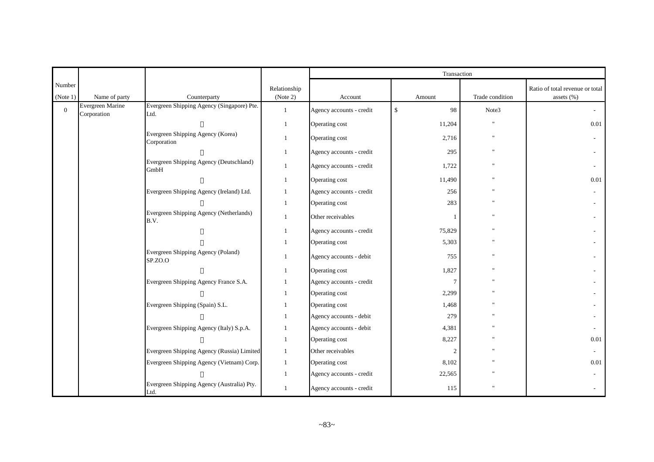|                    |                  |                                                    |                          |                          | Transaction        |                    |                                                   |
|--------------------|------------------|----------------------------------------------------|--------------------------|--------------------------|--------------------|--------------------|---------------------------------------------------|
| Number<br>(Note 1) | Name of party    | Counterparty                                       | Relationship<br>(Note 2) | Account                  | Amount             | Trade condition    | Ratio of total revenue or total<br>assets $(\% )$ |
| $\mathbf{0}$       | Evergreen Marine | Evergreen Shipping Agency (Singapore) Pte.         | $\mathbf{1}$             | Agency accounts - credit | $\mathbb{S}$<br>98 | Note3              |                                                   |
|                    | Corporation      | Ltd.                                               | $\mathbf{1}$             | Operating cost           | 11,204             | $^{\prime}$        | 0.01                                              |
|                    |                  | Evergreen Shipping Agency (Korea)<br>Corporation   | -1                       | Operating cost           | 2,716              | $^{\dagger}$       |                                                   |
|                    |                  |                                                    | $\mathbf{1}$             | Agency accounts - credit | 295                | $\pmb{\mathsf{H}}$ |                                                   |
|                    |                  | Evergreen Shipping Agency (Deutschland)<br>GmbH    | 1                        | Agency accounts - credit | 1,722              |                    |                                                   |
|                    |                  |                                                    | $\mathbf{1}$             | Operating cost           | 11,490             | $^{\prime}$        | 0.01                                              |
|                    |                  | Evergreen Shipping Agency (Ireland) Ltd.           | $\mathbf{1}$             | Agency accounts - credit | 256                | $^{\prime}$        |                                                   |
|                    |                  |                                                    | $\mathbf{1}$             | Operating cost           | 283                | $^{\prime}$        |                                                   |
|                    |                  | Evergreen Shipping Agency (Netherlands)<br>B.V.    | $\mathbf{1}$             | Other receivables        |                    | $^{\prime}$        |                                                   |
|                    |                  |                                                    | -1                       | Agency accounts - credit | 75,829             | $^{\prime}$        |                                                   |
|                    |                  |                                                    | $\mathbf{1}$             | Operating cost           | 5,303              | $^{\prime}$        |                                                   |
|                    |                  | Evergreen Shipping Agency (Poland)<br>SP.ZO.O      | $\mathbf{1}$             | Agency accounts - debit  | 755                | $^{\dagger}$       |                                                   |
|                    |                  |                                                    | 1                        | Operating cost           | 1,827              | $^{\prime}$        |                                                   |
|                    |                  | Evergreen Shipping Agency France S.A.              | $\mathbf{1}$             | Agency accounts - credit | $\overline{7}$     | $^{\prime}$        |                                                   |
|                    |                  |                                                    | $\mathbf{1}$             | Operating cost           | 2,299              |                    |                                                   |
|                    |                  | Evergreen Shipping (Spain) S.L.                    | -1                       | Operating cost           | 1,468              |                    |                                                   |
|                    |                  |                                                    | $\mathbf{1}$             | Agency accounts - debit  | 279                | $^{\prime}$        |                                                   |
|                    |                  | Evergreen Shipping Agency (Italy) S.p.A.           | -1                       | Agency accounts - debit  | 4,381              | $^{\prime}$        |                                                   |
|                    |                  |                                                    | 1                        | Operating cost           | 8,227              |                    | 0.01                                              |
|                    |                  | Evergreen Shipping Agency (Russia) Limited         | $\mathbf{1}$             | Other receivables        | $\overline{2}$     | $^{\prime}$        |                                                   |
|                    |                  | Evergreen Shipping Agency (Vietnam) Corp.          | $\mathbf{1}$             | Operating cost           | 8,102              | $^{\prime}$        | 0.01                                              |
|                    |                  |                                                    | 1                        | Agency accounts - credit | 22,565             | $^{\prime}$        |                                                   |
|                    |                  | Evergreen Shipping Agency (Australia) Pty.<br>Ltd. | 1                        | Agency accounts - credit | 115                | $^{\prime}$        |                                                   |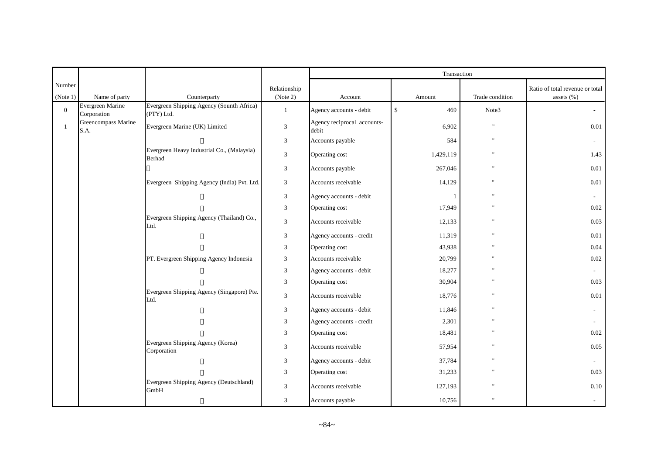|                |                                 |                                                         |                |                                      | Transaction          |                 |                                 |
|----------------|---------------------------------|---------------------------------------------------------|----------------|--------------------------------------|----------------------|-----------------|---------------------------------|
| Number         |                                 |                                                         | Relationship   |                                      |                      |                 | Ratio of total revenue or total |
| (Note 1)       | Name of party                   | Counterparty                                            | (Note 2)       | Account                              | Amount               | Trade condition | assets (%)                      |
| $\overline{0}$ | Evergreen Marine<br>Corporation | Evergreen Shipping Agency (Sounth Africa)<br>(PTY) Ltd. | $\mathbf{1}$   | Agency accounts - debit              | $\mathsf{\$}$<br>469 | Note3           | $\sim$                          |
| $\overline{1}$ | Greencompass Marine<br>S.A.     | Evergreen Marine (UK) Limited                           | $\overline{3}$ | Agency reciprocal accounts-<br>debit | 6,902                | $^{\prime}$     | 0.01                            |
|                |                                 |                                                         | 3              | Accounts payable                     | 584                  | Ħ               | $\sim$                          |
|                |                                 | Evergreen Heavy Industrial Co., (Malaysia)<br>Berhad    | $\mathfrak{Z}$ | Operating cost                       | 1,429,119            |                 | 1.43                            |
|                |                                 |                                                         | $\mathfrak{Z}$ | Accounts payable                     | 267,046              |                 | 0.01                            |
|                |                                 | Evergreen Shipping Agency (India) Pvt. Ltd.             | 3              | Accounts receivable                  | 14,129               |                 | 0.01                            |
|                |                                 |                                                         | 3              | Agency accounts - debit              |                      |                 | $\sim$                          |
|                |                                 |                                                         | 3              | Operating cost                       | 17,949               |                 | $0.02\,$                        |
|                |                                 | Evergreen Shipping Agency (Thailand) Co.,<br>Ltd.       | 3              | Accounts receivable                  | 12,133               |                 | 0.03                            |
|                |                                 |                                                         | 3              | Agency accounts - credit             | 11,319               |                 | 0.01                            |
|                |                                 |                                                         | 3              | Operating cost                       | 43,938               |                 | 0.04                            |
|                |                                 | PT. Evergreen Shipping Agency Indonesia                 | 3              | Accounts receivable                  | 20,799               |                 | 0.02                            |
|                |                                 |                                                         | 3              | Agency accounts - debit              | 18,277               |                 | $\sim$                          |
|                |                                 |                                                         | 3              | Operating cost                       | 30,904               |                 | 0.03                            |
|                |                                 | Evergreen Shipping Agency (Singapore) Pte.<br>Ltd.      | 3              | Accounts receivable                  | 18,776               |                 | 0.01                            |
|                |                                 |                                                         | 3              | Agency accounts - debit              | 11,846               |                 | $\sim$                          |
|                |                                 |                                                         | 3              | Agency accounts - credit             | 2,301                |                 | $\sim$                          |
|                |                                 |                                                         | 3              | Operating cost                       | 18,481               |                 | 0.02                            |
|                |                                 | Evergreen Shipping Agency (Korea)<br>Corporation        | 3              | Accounts receivable                  | 57,954               |                 | 0.05                            |
|                |                                 |                                                         | 3              | Agency accounts - debit              | 37,784               |                 | $\sim$                          |
|                |                                 |                                                         | 3              | Operating cost                       | 31,233               |                 | 0.03                            |
|                |                                 | Evergreen Shipping Agency (Deutschland)<br>GmbH         | $\mathfrak{Z}$ | Accounts receivable                  | 127,193              |                 | $0.10\,$                        |
|                |                                 |                                                         | 3              | Accounts payable                     | 10,756               |                 |                                 |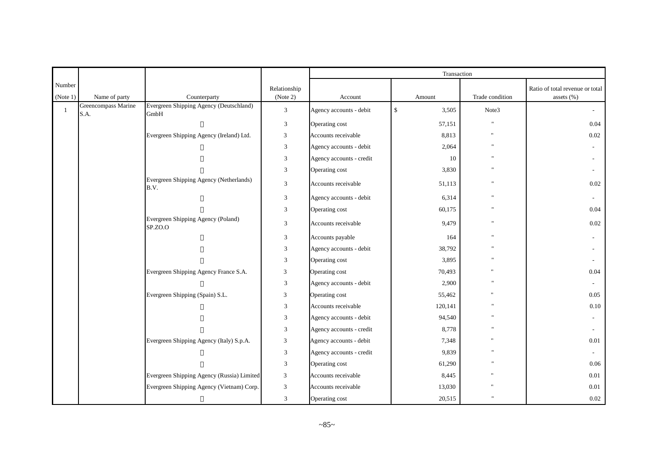|          |                             |                                                 |                             |                          | Transaction           |                           |                                 |
|----------|-----------------------------|-------------------------------------------------|-----------------------------|--------------------------|-----------------------|---------------------------|---------------------------------|
| Number   |                             |                                                 | Relationship                |                          |                       |                           | Ratio of total revenue or total |
| (Note 1) | Name of party               | Counterparty                                    | (Note 2)                    | Account                  | Amount                | Trade condition           | assets $(\% )$                  |
|          | Greencompass Marine<br>S.A. | Evergreen Shipping Agency (Deutschland)<br>GmbH | $\ensuremath{\mathfrak{Z}}$ | Agency accounts - debit  | $\mathbb{S}$<br>3,505 | Note3                     | $\sim$                          |
|          |                             |                                                 | $\mathfrak{Z}$              | Operating cost           | 57,151                | $^{\prime\prime}$         | 0.04                            |
|          |                             | Evergreen Shipping Agency (Ireland) Ltd.        | $\mathfrak{Z}$              | Accounts receivable      | 8,813                 |                           | $0.02\,$                        |
|          |                             |                                                 | 3                           | Agency accounts - debit  | 2,064                 | $\mathbf{u}$              |                                 |
|          |                             |                                                 | 3                           | Agency accounts - credit | 10                    |                           |                                 |
|          |                             |                                                 | 3                           | Operating cost           | 3,830                 | $\mathbf{H}$              | $\sim$                          |
|          |                             | Evergreen Shipping Agency (Netherlands)<br>B.V. | $\mathfrak{Z}$              | Accounts receivable      | 51,113                | $\mathbf{u}$              | 0.02                            |
|          |                             |                                                 | 3                           | Agency accounts - debit  | 6,314                 | $\boldsymbol{\mathsf{H}}$ |                                 |
|          |                             |                                                 | 3                           | Operating cost           | 60,175                | $\pmb{\mathsf{H}}$        | 0.04                            |
|          |                             | Evergreen Shipping Agency (Poland)<br>SP.ZO.O   | $\mathfrak{Z}$              | Accounts receivable      | 9,479                 | $^{\prime\prime}$         | $0.02\,$                        |
|          |                             |                                                 | $\mathfrak{Z}$              | Accounts payable         | 164                   | $^{\prime\prime}$         |                                 |
|          |                             |                                                 | $\mathfrak{Z}$              | Agency accounts - debit  | 38,792                |                           |                                 |
|          |                             |                                                 | 3                           | Operating cost           | 3,895                 |                           |                                 |
|          |                             | Evergreen Shipping Agency France S.A.           | 3                           | Operating cost           | 70,493                |                           | 0.04                            |
|          |                             |                                                 | 3                           | Agency accounts - debit  | 2,900                 |                           |                                 |
|          |                             | Evergreen Shipping (Spain) S.L.                 | 3                           | Operating cost           | 55,462                |                           | 0.05                            |
|          |                             |                                                 | $\mathfrak{Z}$              | Accounts receivable      | 120,141               | $\mathbf{u}$              | 0.10                            |
|          |                             |                                                 | 3                           | Agency accounts - debit  | 94,540                |                           |                                 |
|          |                             |                                                 | 3                           | Agency accounts - credit | 8,778                 | $\mathbf{u}$              |                                 |
|          |                             | Evergreen Shipping Agency (Italy) S.p.A.        | 3                           | Agency accounts - debit  | 7,348                 |                           | 0.01                            |
|          |                             |                                                 | 3                           | Agency accounts - credit | 9,839                 | $\mathbf{u}$              |                                 |
|          |                             |                                                 | 3                           | Operating cost           | 61,290                |                           | 0.06                            |
|          |                             | Evergreen Shipping Agency (Russia) Limited      | 3                           | Accounts receivable      | 8,445                 |                           | 0.01                            |
|          |                             | Evergreen Shipping Agency (Vietnam) Corp.       | 3                           | Accounts receivable      | 13,030                |                           | 0.01                            |
|          |                             |                                                 | 3                           | Operating cost           | 20,515                |                           | $0.02\,$                        |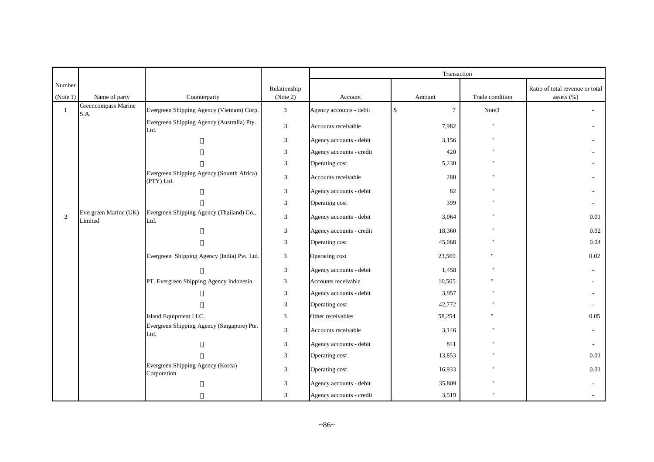|                |                                  |                                                         |                |                          | Transaction           |                           |                                 |
|----------------|----------------------------------|---------------------------------------------------------|----------------|--------------------------|-----------------------|---------------------------|---------------------------------|
| Number         |                                  |                                                         | Relationship   |                          |                       |                           | Ratio of total revenue or total |
| (Note 1)       | Name of party                    | Counterparty                                            | (Note 2)       | Account                  | Amount                | Trade condition           | assets $(\% )$                  |
| $\overline{1}$ | Greencompass Marine<br>S.A.      | Evergreen Shipping Agency (Vietnam) Corp.               | $\mathfrak{Z}$ | Agency accounts - debit  | \$<br>$7\overline{ }$ | Note3                     | $\sim$                          |
|                |                                  | Evergreen Shipping Agency (Australia) Pty.<br>Ltd.      | $\mathfrak{Z}$ | Accounts receivable      | 7,982                 | $\mathbf{u}$              |                                 |
|                |                                  |                                                         | $\sqrt{3}$     | Agency accounts - debit  | 3,156                 |                           |                                 |
|                |                                  |                                                         | 3              | Agency accounts - credit | 420                   |                           |                                 |
|                |                                  |                                                         | 3              | Operating cost           | 5,230                 |                           |                                 |
|                |                                  | Evergreen Shipping Agency (Sounth Africa)<br>(PTY) Ltd. | $\mathfrak{Z}$ | Accounts receivable      | 280                   |                           |                                 |
|                |                                  |                                                         | $\mathfrak{Z}$ | Agency accounts - debit  | 82                    |                           |                                 |
|                |                                  |                                                         | $\mathfrak{Z}$ | Operating cost           | 399                   |                           |                                 |
| 2              | Evergreen Marine (UK)<br>Limited | Evergreen Shipping Agency (Thailand) Co.,<br>Ltd.       | $\mathfrak{Z}$ | Agency accounts - debit  | 3,064                 |                           | 0.01                            |
|                |                                  |                                                         | $\sqrt{3}$     | Agency accounts - credit | 18,360                |                           | 0.02                            |
|                |                                  |                                                         | 3              | Operating cost           | 45,068                |                           | 0.04                            |
|                |                                  | Evergreen Shipping Agency (India) Pvt. Ltd.             | $\mathfrak{Z}$ | Operating cost           | 23,569                | $^{\prime}$               | $0.02\,$                        |
|                |                                  |                                                         | $\mathfrak{Z}$ | Agency accounts - debit  | 1,458                 |                           |                                 |
|                |                                  | PT. Evergreen Shipping Agency Indonesia                 | 3              | Accounts receivable      | 10,505                |                           |                                 |
|                |                                  |                                                         | $\mathfrak{Z}$ | Agency accounts - debit  | 3,957                 |                           |                                 |
|                |                                  |                                                         | 3              | Operating cost           | 42,772                |                           |                                 |
|                |                                  | Island Equipment LLC.                                   | 3              | Other receivables        | 58,254                |                           | 0.05                            |
|                |                                  | Evergreen Shipping Agency (Singapore) Pte.<br>Ltd.      | $\mathfrak{Z}$ | Accounts receivable      | 3,146                 |                           |                                 |
|                |                                  |                                                         | $\mathfrak{Z}$ | Agency accounts - debit  | 841                   |                           |                                 |
|                |                                  |                                                         | $\mathfrak{Z}$ | Operating cost           | 13,853                |                           | 0.01                            |
|                |                                  | Evergreen Shipping Agency (Korea)<br>Corporation        | $\mathfrak{Z}$ | Operating cost           | 16,933                |                           | 0.01                            |
|                |                                  |                                                         | $\mathfrak{Z}$ | Agency accounts - debit  | 35,809                |                           |                                 |
|                |                                  |                                                         | 3              | Agency accounts - credit | 3,519                 | $\boldsymbol{\mathsf{H}}$ |                                 |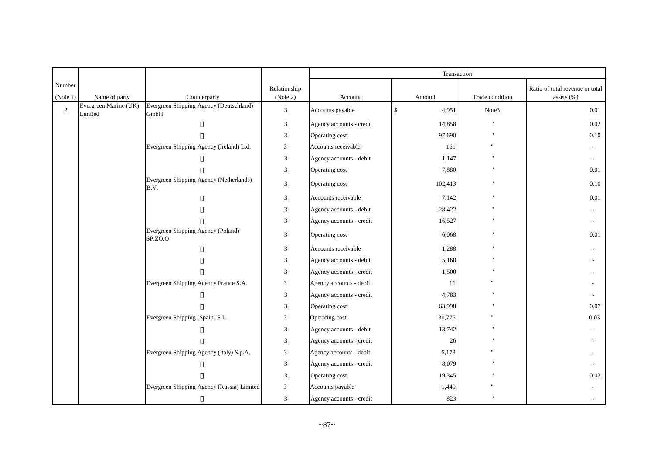|          |                                  |                                                 |                |                          | Transaction           |                    |                                 |
|----------|----------------------------------|-------------------------------------------------|----------------|--------------------------|-----------------------|--------------------|---------------------------------|
| Number   |                                  |                                                 | Relationship   |                          |                       |                    | Ratio of total revenue or total |
| (Note 1) | Name of party                    | Counterparty                                    | (Note 2)       | Account                  | Amount                | Trade condition    | assets $(\% )$                  |
| 2        | Evergreen Marine (UK)<br>Limited | Evergreen Shipping Agency (Deutschland)<br>GmbH | $\mathfrak{Z}$ | Accounts payable         | $\mathbb{S}$<br>4,951 | Note3              | 0.01                            |
|          |                                  |                                                 | $\mathfrak{Z}$ | Agency accounts - credit | 14,858                | $\mathbf{u}$       | 0.02                            |
|          |                                  |                                                 | 3              | Operating cost           | 97,690                | $\mathbf{u}$       | 0.10                            |
|          |                                  | Evergreen Shipping Agency (Ireland) Ltd.        | 3              | Accounts receivable      | 161                   | $^{\prime}$        | $\sim$                          |
|          |                                  |                                                 | 3              | Agency accounts - debit  | 1,147                 |                    | $\sim$                          |
|          |                                  |                                                 | 3              | Operating cost           | 7,880                 | $\mathbf{H}$       | 0.01                            |
|          |                                  | Evergreen Shipping Agency (Netherlands)<br>B.V. | $\mathfrak{Z}$ | Operating cost           | 102,413               | $\mathbf{H}$       | $0.10\,$                        |
|          |                                  |                                                 | 3              | Accounts receivable      | 7,142                 | $\pmb{\mathsf{H}}$ | 0.01                            |
|          |                                  |                                                 | 3              | Agency accounts - debit  | 28,422                |                    |                                 |
|          |                                  |                                                 | 3              | Agency accounts - credit | 16,527                | $\mathbf{u}$       |                                 |
|          |                                  | Evergreen Shipping Agency (Poland)<br>SP.ZO.O   | $\mathfrak{Z}$ | Operating cost           | 6,068                 | $\mathbf{u}$       | 0.01                            |
|          |                                  |                                                 | $\mathfrak{Z}$ | Accounts receivable      | 1,288                 | $\mathbf{H}$       |                                 |
|          |                                  |                                                 | 3              | Agency accounts - debit  | 5,160                 |                    |                                 |
|          |                                  |                                                 | 3              | Agency accounts - credit | 1,500                 |                    |                                 |
|          |                                  | Evergreen Shipping Agency France S.A.           | 3              | Agency accounts - debit  | 11                    |                    |                                 |
|          |                                  |                                                 | 3              | Agency accounts - credit | 4,783                 |                    |                                 |
|          |                                  |                                                 | 3              | Operating cost           | 63,998                | $\mathbf{H}$       | 0.07                            |
|          |                                  | Evergreen Shipping (Spain) S.L.                 | 3              | Operating cost           | 30,775                |                    | 0.03                            |
|          |                                  |                                                 | 3              | Agency accounts - debit  | 13,742                | $\mathbf{u}$       |                                 |
|          |                                  |                                                 | 3              | Agency accounts - credit | 26                    |                    |                                 |
|          |                                  | Evergreen Shipping Agency (Italy) S.p.A.        | 3              | Agency accounts - debit  | 5,173                 |                    |                                 |
|          |                                  |                                                 | 3              | Agency accounts - credit | 8,079                 |                    |                                 |
|          |                                  |                                                 | $\mathfrak{Z}$ | Operating cost           | 19,345                |                    | 0.02                            |
|          |                                  | Evergreen Shipping Agency (Russia) Limited      | $\mathfrak{Z}$ | Accounts payable         | 1,449                 |                    |                                 |
|          |                                  |                                                 | 3              | Agency accounts - credit | 823                   |                    |                                 |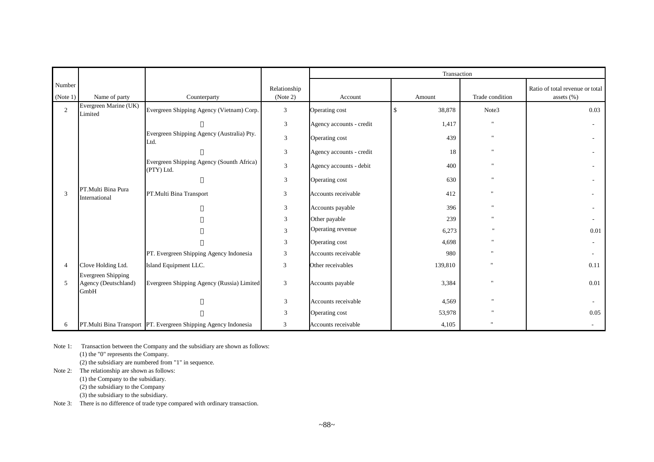|                    |                                                           |                                                                 |                          |                          | Transaction                  |                           |                                               |  |  |
|--------------------|-----------------------------------------------------------|-----------------------------------------------------------------|--------------------------|--------------------------|------------------------------|---------------------------|-----------------------------------------------|--|--|
| Number<br>(Note 1) | Name of party                                             | Counterparty                                                    | Relationship<br>(Note 2) | Account                  | Amount                       | Trade condition           | Ratio of total revenue or total<br>assets (%) |  |  |
| $\overline{2}$     | Evergreen Marine (UK)<br>Limited                          | Evergreen Shipping Agency (Vietnam) Corp.                       | 3                        | Operating cost           | 38,878<br>$\mathbf{\hat{S}}$ | Note3                     | 0.03                                          |  |  |
|                    |                                                           |                                                                 | $\mathfrak{Z}$           | Agency accounts - credit | 1,417                        | $\mathbf{u}$              |                                               |  |  |
|                    |                                                           | Evergreen Shipping Agency (Australia) Pty.<br>Ltd.              | $\mathfrak{Z}$           | Operating cost           | 439                          | $\mathbf{H}$              |                                               |  |  |
|                    |                                                           |                                                                 | $\mathfrak{Z}$           | Agency accounts - credit | 18                           | $\mathbf{u}$              |                                               |  |  |
|                    |                                                           | Evergreen Shipping Agency (Sounth Africa)<br>(PTY) Ltd.         | $\mathfrak{Z}$           | Agency accounts - debit  | 400                          | $\mathbf{H}$              |                                               |  |  |
|                    |                                                           |                                                                 | $\sqrt{3}$               | Operating cost           | 630                          | $\mathbf{H}$              |                                               |  |  |
| 3                  | PT.Multi Bina Pura<br>International                       | PT.Multi Bina Transport                                         | 3                        | Accounts receivable      | 412                          | $\ddot{\phantom{a}}$      |                                               |  |  |
|                    |                                                           |                                                                 | $\mathfrak{Z}$           | Accounts payable         | 396                          | $\mathbf{H}$              |                                               |  |  |
|                    |                                                           |                                                                 | 3                        | Other payable            | 239                          | $\mathbf{H}$              |                                               |  |  |
|                    |                                                           |                                                                 | 3                        | Operating revenue        | 6,273                        | $\boldsymbol{\mathsf{H}}$ | 0.01                                          |  |  |
|                    |                                                           |                                                                 | $\mathfrak{Z}$           | Operating cost           | 4,698                        | $\mathbf{H}$              |                                               |  |  |
|                    |                                                           | PT. Evergreen Shipping Agency Indonesia                         | 3                        | Accounts receivable      | 980                          | $^{\prime}$               |                                               |  |  |
| $\overline{4}$     | Clove Holding Ltd.                                        | Island Equipment LLC.                                           | 3                        | Other receivables        | 139,810                      |                           | 0.11                                          |  |  |
| 5                  | <b>Evergreen Shipping</b><br>Agency (Deutschland)<br>GmbH | Evergreen Shipping Agency (Russia) Limited                      | 3                        | Accounts payable         | 3,384                        | 'n.                       | 0.01                                          |  |  |
|                    |                                                           |                                                                 | $\mathfrak{Z}$           | Accounts receivable      | 4,569                        |                           |                                               |  |  |
|                    |                                                           |                                                                 | 3                        | Operating cost           | 53,978                       |                           | 0.05                                          |  |  |
| 6                  |                                                           | PT.Multi Bina Transport PT. Evergreen Shipping Agency Indonesia | 3                        | Accounts receivable      | 4,105                        |                           |                                               |  |  |

Note 1: Transaction between the Company and the subsidiary are shown as follows:

(1) the "0" represents the Company.

(2) the subsidiary are numbered from "1" in sequence.

Note 2: The relationship are shown as follows:

(1) the Company to the subsidiary.

(2) the subsidiary to the Company

(3) the subsidiary to the subsidiary.

Note 3: There is no difference of trade type compared with ordinary transaction.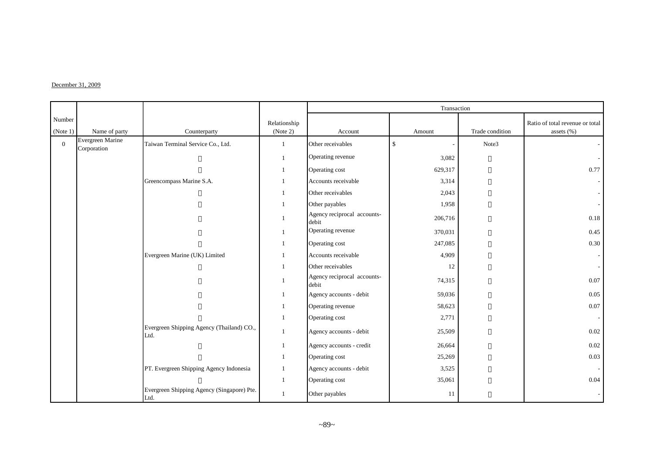#### $December 31, 2009$

|                    |                                 |                                                    |                          |                                      | Transaction  |                 |                                               |
|--------------------|---------------------------------|----------------------------------------------------|--------------------------|--------------------------------------|--------------|-----------------|-----------------------------------------------|
| Number<br>(Note 1) | Name of party                   | Counterparty                                       | Relationship<br>(Note 2) | Account                              | Amount       | Trade condition | Ratio of total revenue or total<br>assets (%) |
| $\mathbf{0}$       | Evergreen Marine<br>Corporation | Taiwan Terminal Service Co., Ltd.                  |                          | Other receivables                    | $\mathbb{S}$ | Note3           |                                               |
|                    |                                 |                                                    |                          | Operating revenue                    | 3,082        |                 |                                               |
|                    |                                 |                                                    |                          | Operating cost                       | 629,317      |                 | 0.77                                          |
|                    |                                 | Greencompass Marine S.A.                           |                          | Accounts receivable                  | 3,314        |                 |                                               |
|                    |                                 |                                                    |                          | Other receivables                    | 2,043        |                 |                                               |
|                    |                                 |                                                    |                          | Other payables                       | 1,958        |                 |                                               |
|                    |                                 |                                                    |                          | Agency reciprocal accounts-<br>debit | 206,716      |                 | 0.18                                          |
|                    |                                 |                                                    |                          | Operating revenue                    | 370,031      |                 | 0.45                                          |
|                    |                                 |                                                    |                          | Operating cost                       | 247,085      |                 | 0.30                                          |
|                    |                                 | Evergreen Marine (UK) Limited                      |                          | Accounts receivable                  | 4,909        |                 |                                               |
|                    |                                 |                                                    |                          | Other receivables                    | 12           |                 |                                               |
|                    |                                 |                                                    |                          | Agency reciprocal accounts-<br>debit | 74,315       |                 | 0.07                                          |
|                    |                                 |                                                    |                          | Agency accounts - debit              | 59,036       |                 | 0.05                                          |
|                    |                                 |                                                    |                          | Operating revenue                    | 58,623       |                 | $0.07\,$                                      |
|                    |                                 |                                                    |                          | Operating cost                       | 2,771        |                 |                                               |
|                    |                                 | Evergreen Shipping Agency (Thailand) CO.,<br>Ltd.  |                          | Agency accounts - debit              | 25,509       |                 | 0.02                                          |
|                    |                                 |                                                    |                          | Agency accounts - credit             | 26,664       |                 | 0.02                                          |
|                    |                                 |                                                    |                          | Operating cost                       | 25,269       |                 | 0.03                                          |
|                    |                                 | PT. Evergreen Shipping Agency Indonesia            |                          | Agency accounts - debit              | 3,525        |                 |                                               |
|                    |                                 |                                                    |                          | Operating cost                       | 35,061       |                 | 0.04                                          |
|                    |                                 | Evergreen Shipping Agency (Singapore) Pte.<br>Ltd. |                          | Other payables                       | 11           |                 |                                               |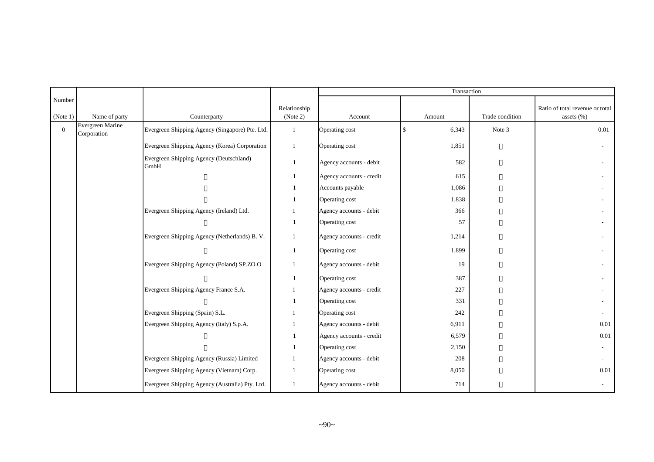|                    |                                 |                                                 |                          |                          | Transaction          |                 |                                               |
|--------------------|---------------------------------|-------------------------------------------------|--------------------------|--------------------------|----------------------|-----------------|-----------------------------------------------|
| Number<br>(Note 1) | Name of party                   | Counterparty                                    | Relationship<br>(Note 2) | Account                  | Amount               | Trade condition | Ratio of total revenue or total<br>assets (%) |
| $\mathbf{0}$       | Evergreen Marine<br>Corporation | Evergreen Shipping Agency (Singapore) Pte. Ltd. | 1                        | Operating cost           | $\mathbf S$<br>6,343 | Note 3          | 0.01                                          |
|                    |                                 | Evergreen Shipping Agency (Korea) Corporation   | 1                        | Operating cost           | 1,851                |                 |                                               |
|                    |                                 | Evergreen Shipping Agency (Deutschland)<br>GmbH | 1                        | Agency accounts - debit  | 582                  |                 |                                               |
|                    |                                 |                                                 |                          | Agency accounts - credit | 615                  |                 |                                               |
|                    |                                 |                                                 |                          | Accounts payable         | 1,086                |                 |                                               |
|                    |                                 |                                                 |                          | Operating cost           | 1,838                |                 |                                               |
|                    |                                 | Evergreen Shipping Agency (Ireland) Ltd.        |                          | Agency accounts - debit  | 366                  |                 |                                               |
|                    |                                 |                                                 |                          | Operating cost           | 57                   |                 |                                               |
|                    |                                 | Evergreen Shipping Agency (Netherlands) B. V.   | 1                        | Agency accounts - credit | 1,214                |                 |                                               |
|                    |                                 |                                                 | $\mathbf{1}$             | Operating cost           | 1,899                |                 |                                               |
|                    |                                 | Evergreen Shipping Agency (Poland) SP.ZO.O      | $\mathbf{1}$             | Agency accounts - debit  | 19                   |                 |                                               |
|                    |                                 |                                                 | $\mathbf{1}$             | Operating cost           | 387                  |                 |                                               |
|                    |                                 | Evergreen Shipping Agency France S.A.           |                          | Agency accounts - credit | 227                  |                 |                                               |
|                    |                                 |                                                 |                          | Operating cost           | 331                  |                 |                                               |
|                    |                                 | Evergreen Shipping (Spain) S.L.                 |                          | Operating cost           | 242                  |                 |                                               |
|                    |                                 | Evergreen Shipping Agency (Italy) S.p.A.        |                          | Agency accounts - debit  | 6,911                |                 | 0.01                                          |
|                    |                                 |                                                 |                          | Agency accounts - credit | 6,579                |                 | $0.01\,$                                      |
|                    |                                 |                                                 |                          | Operating cost           | 2,150                |                 |                                               |
|                    |                                 | Evergreen Shipping Agency (Russia) Limited      |                          | Agency accounts - debit  | 208                  |                 |                                               |
|                    |                                 | Evergreen Shipping Agency (Vietnam) Corp.       |                          | Operating cost           | 8,050                |                 | $0.01\,$                                      |
|                    |                                 | Evergreen Shipping Agency (Australia) Pty. Ltd. | 1                        | Agency accounts - debit  | 714                  |                 |                                               |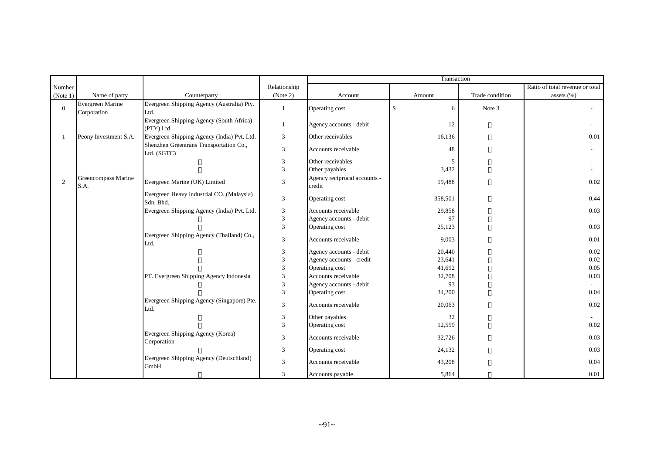|              |                                 |                                                         |               |                                        | Transaction       |                 |                                 |
|--------------|---------------------------------|---------------------------------------------------------|---------------|----------------------------------------|-------------------|-----------------|---------------------------------|
| Number       |                                 |                                                         | Relationship  |                                        |                   |                 | Ratio of total revenue or total |
| (Note 1)     | Name of party                   | Counterparty                                            | (Note 2)      | Account                                | Amount            | Trade condition | assets (%)                      |
| $\mathbf{0}$ | Evergreen Marine<br>Corporation | Evergreen Shipping Agency (Australia) Pty.<br>Ltd.      | 1             | Operating cost                         | $\mathbb{S}$<br>6 | Note 3          |                                 |
|              |                                 | Evergreen Shipping Agency (South Africa)<br>(PTY) Ltd.  | 1             | Agency accounts - debit                | 12                |                 |                                 |
|              | Peony Investment S.A.           | Evergreen Shipping Agency (India) Pvt. Ltd.             | 3             | Other receivables                      | 16,136            |                 | 0.01                            |
|              |                                 | Shenzhen Greentrans Transportation Co.,<br>Ltd. (SGTC)  | 3             | Accounts receivable                    | 48                |                 |                                 |
|              |                                 |                                                         | 3             | Other receivables                      | 5                 |                 |                                 |
|              |                                 |                                                         | 3             | Other payables                         | 3,432             |                 |                                 |
| 2            | Greencompass Marine<br>S.A.     | Evergreen Marine (UK) Limited                           | 3             | Agency reciprocal accounts -<br>credit | 19,488            |                 | $0.02\,$                        |
|              |                                 | Evergreen Heavy Industrial CO., (Malaysia)<br>Sdn. Bhd. | 3             | Operating cost                         | 358,501           |                 | 0.44                            |
|              |                                 | Evergreen Shipping Agency (India) Pvt. Ltd.             | 3             | Accounts receivable                    | 29,858            |                 | 0.03                            |
|              |                                 |                                                         | 3             | Agency accounts - debit                | 97                |                 |                                 |
|              |                                 |                                                         | 3             | Operating cost                         | 25,123            |                 | 0.03                            |
|              |                                 | Evergreen Shipping Agency (Thailand) Co.,<br>Ltd.       | 3             | Accounts receivable                    | 9,003             |                 | 0.01                            |
|              |                                 |                                                         | 3             | Agency accounts - debit                | 20,440            |                 | 0.02                            |
|              |                                 |                                                         | 3             | Agency accounts - credit               | 23,641            |                 | 0.02                            |
|              |                                 |                                                         | $\mathcal{R}$ | Operating cost                         | 41,692            |                 | 0.05                            |
|              |                                 | PT. Evergreen Shipping Agency Indonesia                 | 3             | Accounts receivable                    | 32,708            |                 | 0.03                            |
|              |                                 |                                                         | 3             | Agency accounts - debit                | 93                |                 |                                 |
|              |                                 |                                                         | 3             | Operating cost                         | 34,200            |                 | 0.04                            |
|              |                                 | Evergreen Shipping Agency (Singapore) Pte.<br>Ltd.      | 3             | Accounts receivable                    | 20,063            |                 | $0.02\,$                        |
|              |                                 |                                                         | 3             | Other payables                         | 32                |                 |                                 |
|              |                                 |                                                         | 3             | Operating cost                         | 12,559            |                 | 0.02                            |
|              |                                 | Evergreen Shipping Agency (Korea)<br>Corporation        | 3             | Accounts receivable                    | 32,726            |                 | 0.03                            |
|              |                                 |                                                         | 3             | Operating cost                         | 24,132            |                 | 0.03                            |
|              |                                 | Evergreen Shipping Agency (Deutschland)<br>GmbH         | 3             | Accounts receivable                    | 43,208            |                 | 0.04                            |
|              |                                 |                                                         | 3             | Accounts payable                       | 5,864             |                 | 0.01                            |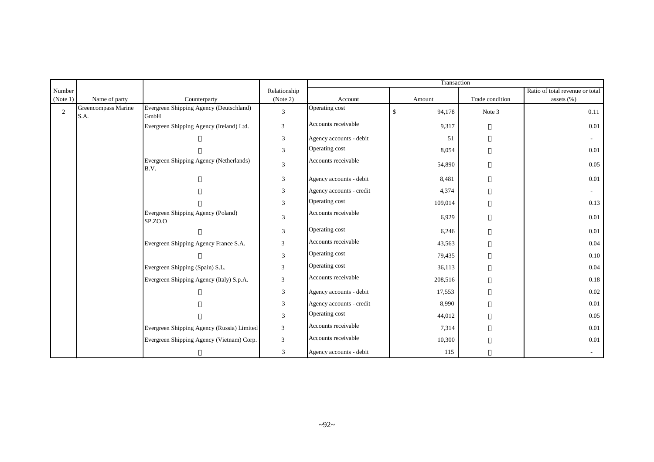|                |                             |                                                 |                             |                          | Transaction             |                 |                                 |
|----------------|-----------------------------|-------------------------------------------------|-----------------------------|--------------------------|-------------------------|-----------------|---------------------------------|
| Number         |                             |                                                 | Relationship                |                          |                         |                 | Ratio of total revenue or total |
| (Note 1)       | Name of party               | Counterparty                                    | (Note 2)                    | Account                  | Amount                  | Trade condition | assets (%)                      |
| $\overline{2}$ | Greencompass Marine<br>S.A. | Evergreen Shipping Agency (Deutschland)<br>GmbH | $\mathfrak{Z}$              | Operating cost           | $\mathbf{\$}$<br>94,178 | Note 3          | 0.11                            |
|                |                             | Evergreen Shipping Agency (Ireland) Ltd.        | $\mathfrak{Z}$              | Accounts receivable      | 9,317                   |                 | 0.01                            |
|                |                             |                                                 | $\mathfrak{Z}$              | Agency accounts - debit  | 51                      |                 |                                 |
|                |                             |                                                 | $\overline{3}$              | Operating cost           | 8,054                   |                 | 0.01                            |
|                |                             | Evergreen Shipping Agency (Netherlands)<br>B.V. | $\overline{3}$              | Accounts receivable      | 54,890                  |                 | 0.05                            |
|                |                             |                                                 | $\mathfrak{Z}$              | Agency accounts - debit  | 8,481                   |                 | 0.01                            |
|                |                             |                                                 | $\mathfrak{Z}$              | Agency accounts - credit | 4,374                   |                 | $\sim$                          |
|                |                             |                                                 | 3                           | Operating cost           | 109,014                 |                 | 0.13                            |
|                |                             | Evergreen Shipping Agency (Poland)<br>SP.ZO.O   | $\overline{3}$              | Accounts receivable      | 6,929                   |                 | 0.01                            |
|                |                             |                                                 | $\mathfrak{Z}$              | Operating cost           | 6,246                   |                 | $0.01\,$                        |
|                |                             | Evergreen Shipping Agency France S.A.           | $\mathfrak{Z}$              | Accounts receivable      | 43,563                  |                 | 0.04                            |
|                |                             |                                                 | $\mathfrak{Z}$              | Operating cost           | 79,435                  |                 | 0.10                            |
|                |                             | Evergreen Shipping (Spain) S.L.                 | $\mathfrak{Z}$              | Operating cost           | 36,113                  |                 | 0.04                            |
|                |                             | Evergreen Shipping Agency (Italy) S.p.A.        | $\ensuremath{\mathfrak{Z}}$ | Accounts receivable      | 208,516                 |                 | 0.18                            |
|                |                             |                                                 | $\ensuremath{\mathfrak{Z}}$ | Agency accounts - debit  | 17,553                  |                 | 0.02                            |
|                |                             |                                                 | $\mathfrak{Z}$              | Agency accounts - credit | 8,990                   |                 | 0.01                            |
|                |                             |                                                 | 3                           | Operating cost           | 44,012                  |                 | 0.05                            |
|                |                             | Evergreen Shipping Agency (Russia) Limited      | 3                           | Accounts receivable      | 7,314                   |                 | 0.01                            |
|                |                             | Evergreen Shipping Agency (Vietnam) Corp.       | $\mathfrak{Z}$              | Accounts receivable      | 10,300                  |                 | $0.01\,$                        |
|                |                             |                                                 | 3                           | Agency accounts - debit  | 115                     |                 |                                 |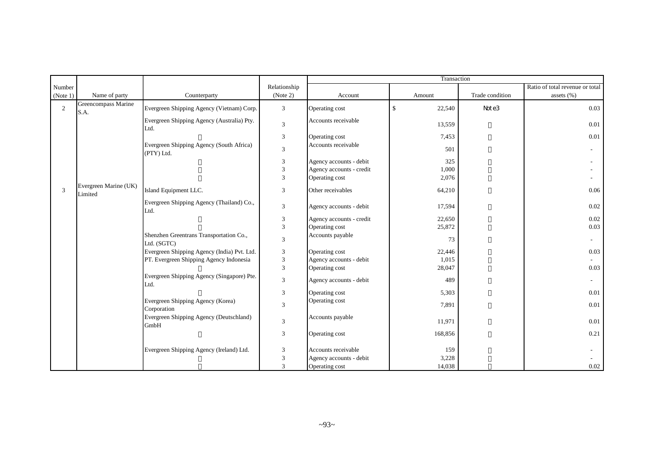|                |                                  |                                                        |                             |                          | Transaction  |                 |                                 |
|----------------|----------------------------------|--------------------------------------------------------|-----------------------------|--------------------------|--------------|-----------------|---------------------------------|
| Number         |                                  |                                                        | Relationship                |                          |              |                 | Ratio of total revenue or total |
| (Note 1)       | Name of party                    | Counterparty                                           | (Note 2)                    | Account                  | Amount       | Trade condition | assets $(\% )$                  |
| $\overline{2}$ | Greencompass Marine<br>S.A.      | Evergreen Shipping Agency (Vietnam) Corp.              | 3                           | Operating cost           | \$<br>22,540 | Note3           | 0.03                            |
|                |                                  | Evergreen Shipping Agency (Australia) Pty.<br>Ltd.     | $\mathfrak{Z}$              | Accounts receivable      | 13,559       |                 | 0.01                            |
|                |                                  |                                                        | $\ensuremath{\mathfrak{Z}}$ | Operating cost           | 7,453        |                 | 0.01                            |
|                |                                  | Evergreen Shipping Agency (South Africa)<br>(PTY) Ltd. | 3                           | Accounts receivable      | 501          |                 |                                 |
|                |                                  |                                                        | 3                           | Agency accounts - debit  | 325          |                 |                                 |
|                |                                  |                                                        | 3                           | Agency accounts - credit | 1,000        |                 |                                 |
|                |                                  |                                                        | 3                           | Operating cost           | 2,076        |                 |                                 |
| 3              | Evergreen Marine (UK)<br>Limited | Island Equipment LLC.                                  | 3                           | Other receivables        | 64,210       |                 | 0.06                            |
|                |                                  | Evergreen Shipping Agency (Thailand) Co.,<br>Ltd.      | $\mathfrak{Z}$              | Agency accounts - debit  | 17,594       |                 | 0.02                            |
|                |                                  |                                                        | $\mathfrak{Z}$              | Agency accounts - credit | 22,650       |                 | 0.02                            |
|                |                                  |                                                        | 3                           | Operating cost           | 25,872       |                 | 0.03                            |
|                |                                  | Shenzhen Greentrans Transportation Co.,<br>Ltd. (SGTC) | 3                           | Accounts payable         | 73           |                 |                                 |
|                |                                  | Evergreen Shipping Agency (India) Pvt. Ltd.            | $\ensuremath{\mathfrak{Z}}$ | Operating cost           | 22,446       |                 | 0.03                            |
|                |                                  | PT. Evergreen Shipping Agency Indonesia                | 3                           | Agency accounts - debit  | 1,015        |                 |                                 |
|                |                                  |                                                        | 3                           | Operating cost           | 28,047       |                 | 0.03                            |
|                |                                  | Evergreen Shipping Agency (Singapore) Pte.<br>Ltd.     | $\mathfrak{Z}$              | Agency accounts - debit  | 489          |                 |                                 |
|                |                                  |                                                        | $\mathfrak{Z}$              | Operating cost           | 5,303        |                 | 0.01                            |
|                |                                  | Evergreen Shipping Agency (Korea)<br>Corporation       | 3                           | Operating cost           | 7,891        |                 | 0.01                            |
|                |                                  | Evergreen Shipping Agency (Deutschland)<br>GmbH        | $\mathfrak{Z}$              | Accounts payable         | 11,971       |                 | 0.01                            |
|                |                                  |                                                        | 3                           | Operating cost           | 168,856      |                 | 0.21                            |
|                |                                  | Evergreen Shipping Agency (Ireland) Ltd.               | 3                           | Accounts receivable      | 159          |                 |                                 |
|                |                                  |                                                        | 3                           | Agency accounts - debit  | 3,228        |                 |                                 |
|                |                                  |                                                        | 3                           | Operating cost           | 14,038       |                 | 0.02                            |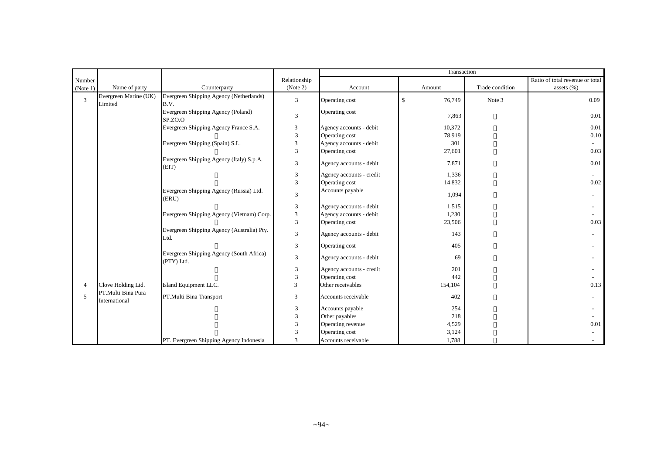|                |                                     |                                                        |                |                          | Transaction             |                 |                                 |  |  |
|----------------|-------------------------------------|--------------------------------------------------------|----------------|--------------------------|-------------------------|-----------------|---------------------------------|--|--|
| Number         |                                     |                                                        | Relationship   |                          |                         |                 | Ratio of total revenue or total |  |  |
| (Note 1)       | Name of party                       | Counterparty                                           | (Note 2)       | Account                  | Amount                  | Trade condition | assets $(\% )$                  |  |  |
| 3              | Evergreen Marine (UK)<br>Limited    | Evergreen Shipping Agency (Netherlands)<br>B.V.        | 3              | Operating cost           | $\mathcal{S}$<br>76,749 | Note 3          | 0.09                            |  |  |
|                |                                     | Evergreen Shipping Agency (Poland)<br>SP.ZO.O          | 3              | Operating cost           | 7,863                   |                 | 0.01                            |  |  |
|                |                                     | Evergreen Shipping Agency France S.A.                  | 3              | Agency accounts - debit  | 10,372                  |                 | 0.01                            |  |  |
|                |                                     |                                                        | 3              | Operating cost           | 78,919                  |                 | 0.10                            |  |  |
|                |                                     | Evergreen Shipping (Spain) S.L.                        | 3              | Agency accounts - debit  | 301                     |                 | $\sim$                          |  |  |
|                |                                     |                                                        | 3              | Operating cost           | 27,601                  |                 | 0.03                            |  |  |
|                |                                     | Evergreen Shipping Agency (Italy) S.p.A.<br>(EIT)      | 3              | Agency accounts - debit  | 7,871                   |                 | 0.01                            |  |  |
|                |                                     |                                                        | 3              | Agency accounts - credit | 1,336                   |                 |                                 |  |  |
|                |                                     |                                                        | 3              | Operating cost           | 14,832                  |                 | 0.02                            |  |  |
|                |                                     | Evergreen Shipping Agency (Russia) Ltd.<br>(ERU)       | 3              | Accounts payable         | 1,094                   |                 |                                 |  |  |
|                |                                     |                                                        | 3              | Agency accounts - debit  | 1,515                   |                 |                                 |  |  |
|                |                                     | Evergreen Shipping Agency (Vietnam) Corp.              | $\overline{3}$ | Agency accounts - debit  | 1,230                   |                 |                                 |  |  |
|                |                                     |                                                        | 3              | Operating cost           | 23,506                  |                 | 0.03                            |  |  |
|                |                                     | Evergreen Shipping Agency (Australia) Pty.<br>Ltd.     | 3              | Agency accounts - debit  | 143                     |                 |                                 |  |  |
|                |                                     |                                                        | 3              | Operating cost           | 405                     |                 |                                 |  |  |
|                |                                     | Evergreen Shipping Agency (South Africa)<br>(PTY) Ltd. | 3              | Agency accounts - debit  | 69                      |                 |                                 |  |  |
|                |                                     |                                                        | 3              | Agency accounts - credit | 201                     |                 |                                 |  |  |
|                |                                     |                                                        | 3              | Operating cost           | 442                     |                 |                                 |  |  |
| $\overline{4}$ | Clove Holding Ltd.                  | Island Equipment LLC.                                  | 3              | Other receivables        | 154,104                 |                 | 0.13                            |  |  |
| 5              | PT.Multi Bina Pura<br>International | PT.Multi Bina Transport                                | 3              | Accounts receivable      | 402                     |                 |                                 |  |  |
|                |                                     |                                                        | 3              | Accounts payable         | 254                     |                 |                                 |  |  |
|                |                                     |                                                        | 3              | Other payables           | 218                     |                 |                                 |  |  |
|                |                                     |                                                        | 3              | Operating revenue        | 4,529                   |                 | 0.01                            |  |  |
|                |                                     |                                                        | 3              | Operating cost           | 3,124                   |                 |                                 |  |  |
|                |                                     | PT. Evergreen Shipping Agency Indonesia                | 3              | Accounts receivable      | 1,788                   |                 |                                 |  |  |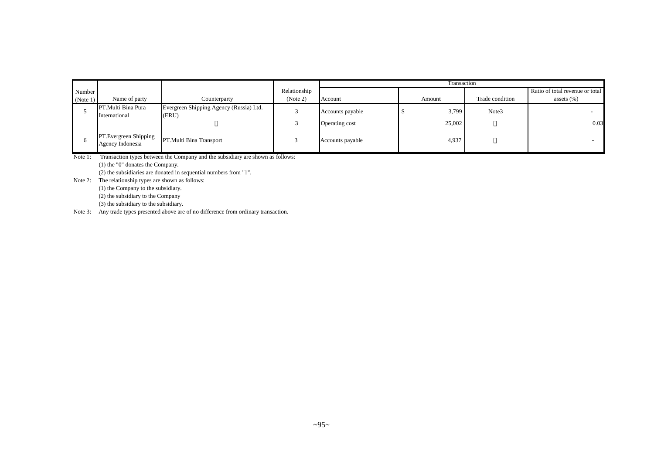|              |                                           |                                                  |              | Transaction      |        |                 |                                 |  |
|--------------|-------------------------------------------|--------------------------------------------------|--------------|------------------|--------|-----------------|---------------------------------|--|
| Number       |                                           |                                                  | Relationship |                  |        |                 | Ratio of total revenue or total |  |
| (Note 1)     | Name of party                             | Counterparty                                     | (Note 2)     | Account          | Amount | Trade condition | assets $(\% )$                  |  |
|              | PT.Multi Bina Pura<br>International       | Evergreen Shipping Agency (Russia) Ltd.<br>(ERU) |              | Accounts payable | 3,799  | Note3           |                                 |  |
|              |                                           |                                                  |              | Operating cost   | 25,002 |                 | 0.03                            |  |
| <sub>0</sub> | PT.Evergreen Shipping<br>Agency Indonesia | PT.Multi Bina Transport                          |              | Accounts payable | 4,937  |                 |                                 |  |

Note 1: Transaction types between the Company and the subsidiary are shown as follows: (1) the "0" donates the Company. (2) the subsidiaries are donated in sequential numbers from "1".

Note 2: The relationship types are shown as follows:

(1) the Company to the subsidiary. (2) the subsidiary to the Company (3) the subsidiary to the subsidiary.

Note 3: Any trade types presented above are of no difference from ordinary transaction.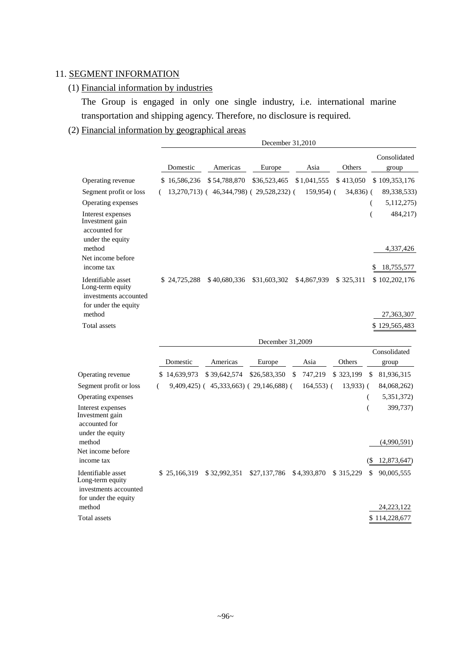# 11. SEGMENT INFORMATION

## (1) Financial information by industries

The Group is engaged in only one single industry, i.e. international marine transportation and shipping agency. Therefore, no disclosure is required.

## (2) Financial information by geographical areas

|                                                                                                   |              | December 31,2010                        |                  |               |             |                                  |
|---------------------------------------------------------------------------------------------------|--------------|-----------------------------------------|------------------|---------------|-------------|----------------------------------|
|                                                                                                   | Domestic     | Americas                                | Europe           | Asia          | Others      | Consolidated<br>group            |
| Operating revenue                                                                                 | \$16,586,236 | \$54,788,870                            | \$36,523,465     | \$1,041,555   | \$413,050   | \$109,353,176                    |
| Segment profit or loss                                                                            |              | 13,270,713) (46,344,798) (29,528,232) ( |                  | $159,954$ (   | 34,836) (   | 89,338,533)                      |
| Operating expenses                                                                                |              |                                         |                  |               |             | 5,112,275)<br>(                  |
| Interest expenses<br>Investment gain<br>accounted for<br>under the equity                         |              |                                         |                  |               |             | 484,217)<br>(                    |
| method                                                                                            |              |                                         |                  |               |             | 4,337,426                        |
| Net income before<br>income tax                                                                   |              |                                         |                  |               |             | 18,755,577                       |
| Identifiable asset<br>Long-term equity<br>investments accounted                                   | \$24,725,288 | \$40,680,336                            | \$31,603,302     | \$4,867,939   | \$ 325,311  | \$102,202,176                    |
| for under the equity<br>method                                                                    |              |                                         |                  |               |             | 27,363,307                       |
| <b>Total assets</b>                                                                               |              |                                         |                  |               |             | \$129,565,483                    |
|                                                                                                   |              |                                         | December 31,2009 |               |             |                                  |
|                                                                                                   |              |                                         |                  |               |             | Consolidated                     |
|                                                                                                   | Domestic     | Americas                                | Europe           | Asia          | Others      | group                            |
| Operating revenue                                                                                 | \$14,639,973 | \$39,642,574                            | \$26,583,350     | 747,219<br>\$ | \$323,199   | \$<br>81,936,315                 |
| Segment profit or loss                                                                            | (            | $9,409,425$ (45,333,663) (29,146,688) ( |                  | $164,553$ ) ( | $13,933)$ ( | 84,068,262)                      |
| Operating expenses                                                                                |              |                                         |                  |               |             | 5,351,372)<br>(                  |
| Interest expenses<br>Investment gain<br>accounted for<br>under the equity                         |              |                                         |                  |               |             | 399,737)<br>(                    |
| method                                                                                            |              |                                         |                  |               |             | (4,990,591)                      |
| Net income before<br>income tax                                                                   |              |                                         |                  |               |             | 12,873,647)<br>(S                |
| Identifiable asset<br>Long-term equity<br>investments accounted<br>for under the equity<br>method | \$25,166,319 | \$32,992,351                            | \$27,137,786     | \$4,393,870   | \$ 315,229  | \$<br>90,005,555<br>24, 223, 122 |
| Total assets                                                                                      |              |                                         |                  |               |             | \$114,228,677                    |